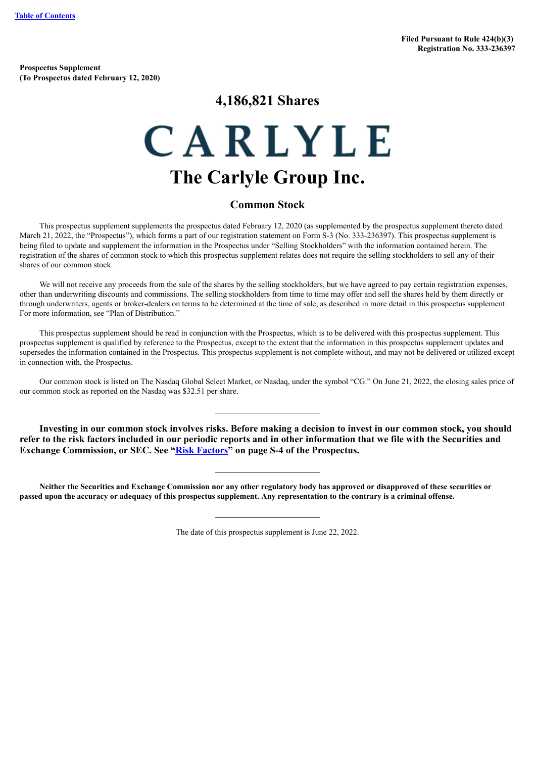**Prospectus Supplement (To Prospectus dated February 12, 2020)**

# **4,186,821 Shares**

# CARLYLE **The Carlyle Group Inc.**

# **Common Stock**

This prospectus supplement supplements the prospectus dated February 12, 2020 (as supplemented by the prospectus supplement thereto dated March 21, 2022, the "Prospectus"), which forms a part of our registration statement on Form S-3 (No. 333-236397). This prospectus supplement is being filed to update and supplement the information in the Prospectus under "Selling Stockholders" with the information contained herein. The registration of the shares of common stock to which this prospectus supplement relates does not require the selling stockholders to sell any of their shares of our common stock.

We will not receive any proceeds from the sale of the shares by the selling stockholders, but we have agreed to pay certain registration expenses, other than underwriting discounts and commissions. The selling stockholders from time to time may offer and sell the shares held by them directly or through underwriters, agents or broker-dealers on terms to be determined at the time of sale, as described in more detail in this prospectus supplement. For more information, see "Plan of Distribution."

This prospectus supplement should be read in conjunction with the Prospectus, which is to be delivered with this prospectus supplement. This prospectus supplement is qualified by reference to the Prospectus, except to the extent that the information in this prospectus supplement updates and supersedes the information contained in the Prospectus. This prospectus supplement is not complete without, and may not be delivered or utilized except in connection with, the Prospectus.

Our common stock is listed on The Nasdaq Global Select Market, or Nasdaq, under the symbol "CG." On June 21, 2022, the closing sales price of our common stock as reported on the Nasdaq was \$32.51 per share.

**Investing in our common stock involves risks. Before making a decision to invest in our common stock, you should refer to the risk factors included in our periodic reports and in other information that we file with the Securities and Exchange Commission, or SEC. See "Risk [Factors](#page-8-0)" on page S-4 of the Prospectus.**

Neither the Securities and Exchange Commission nor any other regulatory body has approved or disapproved of these securities or passed upon the accuracy or adequacy of this prospectus supplement. Any representation to the contrary is a criminal offense.

The date of this prospectus supplement is June 22, 2022.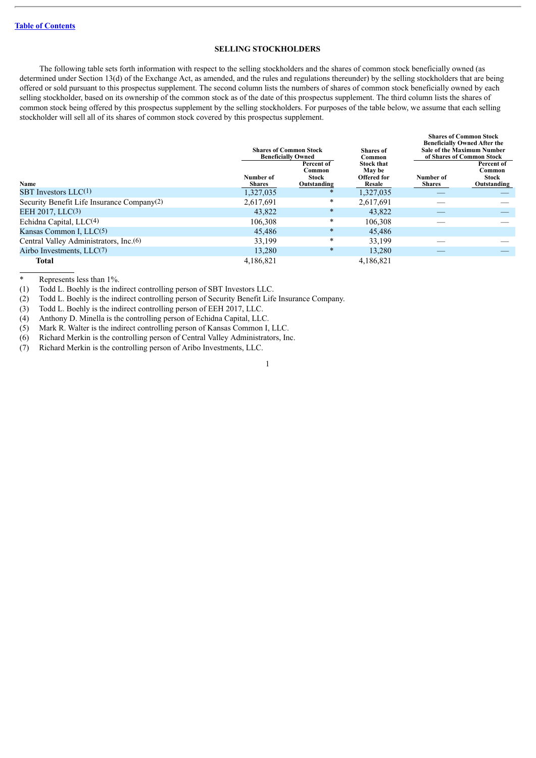#### **SELLING STOCKHOLDERS**

The following table sets forth information with respect to the selling stockholders and the shares of common stock beneficially owned (as determined under Section 13(d) of the Exchange Act, as amended, and the rules and regulations thereunder) by the selling stockholders that are being offered or sold pursuant to this prospectus supplement. The second column lists the numbers of shares of common stock beneficially owned by each selling stockholder, based on its ownership of the common stock as of the date of this prospectus supplement. The third column lists the shares of common stock being offered by this prospectus supplement by the selling stockholders. For purposes of the table below, we assume that each selling stockholder will sell all of its shares of common stock covered by this prospectus supplement.

|                                                    | <b>Shares of Common Stock</b><br><b>Beneficially Owned</b><br>Percent of |                 | <b>Shares of</b><br>Common<br><b>Stock that</b> | <b>Shares of Common Stock</b><br><b>Beneficially Owned After the</b><br><b>Sale of the Maximum Number</b><br>of Shares of Common Stock<br>Percent of |                 |
|----------------------------------------------------|--------------------------------------------------------------------------|-----------------|-------------------------------------------------|------------------------------------------------------------------------------------------------------------------------------------------------------|-----------------|
|                                                    | Number of                                                                | Common<br>Stock | <b>May be</b><br>Offered for                    | Number of                                                                                                                                            | Common<br>Stock |
| <b>Name</b>                                        | <b>Shares</b>                                                            | Outstanding     | Resale                                          | <b>Shares</b>                                                                                                                                        | Outstanding     |
| SBT Investors $LLC(1)$                             | 1,327,035                                                                | $\ast$          | 1,327,035                                       |                                                                                                                                                      |                 |
| Security Benefit Life Insurance Company(2)         | 2,617,691                                                                | $\ast$          | 2,617,691                                       |                                                                                                                                                      |                 |
| EEH 2017, LLC <sup>(3)</sup>                       | 43,822                                                                   | $\ast$          | 43,822                                          |                                                                                                                                                      |                 |
| Echidna Capital, LLC(4)                            | 106.308                                                                  | $\ast$          | 106,308                                         |                                                                                                                                                      |                 |
| Kansas Common I, $LLC(5)$                          | 45.486                                                                   | $\ast$          | 45,486                                          |                                                                                                                                                      |                 |
| Central Valley Administrators, Inc. <sup>(6)</sup> | 33,199                                                                   | $\star$         | 33,199                                          |                                                                                                                                                      |                 |
| Airbo Investments, $LLC(7)$                        | 13,280                                                                   | $\ast$          | 13.280                                          |                                                                                                                                                      |                 |
| Total                                              | 4.186.821                                                                |                 | 4.186.821                                       |                                                                                                                                                      |                 |

Represents less than 1%.

(1) Todd L. Boehly is the indirect controlling person of SBT Investors LLC.

(2) Todd L. Boehly is the indirect controlling person of Security Benefit Life Insurance Company.

(3) Todd L. Boehly is the indirect controlling person of EEH 2017, LLC.

(4) Anthony D. Minella is the controlling person of Echidna Capital, LLC.

(5) Mark R. Walter is the indirect controlling person of Kansas Common I, LLC.

(6) Richard Merkin is the controlling person of Central Valley Administrators, Inc.

(7) Richard Merkin is the controlling person of Aribo Investments, LLC.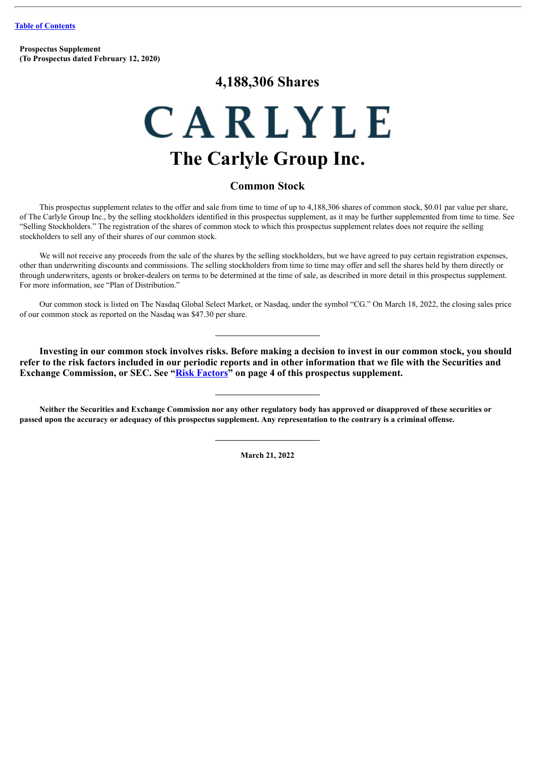**Prospectus Supplement (To Prospectus dated February 12, 2020)**

# **4,188,306 Shares**

# CARLYLE **The Carlyle Group Inc.**

# **Common Stock**

This prospectus supplement relates to the offer and sale from time to time of up to 4,188,306 shares of common stock, \$0.01 par value per share, of The Carlyle Group Inc., by the selling stockholders identified in this prospectus supplement, as it may be further supplemented from time to time. See "Selling Stockholders." The registration of the shares of common stock to which this prospectus supplement relates does not require the selling stockholders to sell any of their shares of our common stock.

We will not receive any proceeds from the sale of the shares by the selling stockholders, but we have agreed to pay certain registration expenses, other than underwriting discounts and commissions. The selling stockholders from time to time may offer and sell the shares held by them directly or through underwriters, agents or broker-dealers on terms to be determined at the time of sale, as described in more detail in this prospectus supplement. For more information, see "Plan of Distribution."

Our common stock is listed on The Nasdaq Global Select Market, or Nasdaq, under the symbol "CG." On March 18, 2022, the closing sales price of our common stock as reported on the Nasdaq was \$47.30 per share.

**Investing in our common stock involves risks. Before making a decision to invest in our common stock, you should refer to the risk factors included in our periodic reports and in other information that we file with the Securities and Exchange Commission, or SEC. See "[Risk Factors](#page-8-0)" on page 4 of this prospectus supplement.**

Neither the Securities and Exchange Commission nor any other regulatory body has approved or disapproved of these securities or passed upon the accuracy or adequacy of this prospectus supplement. Any representation to the contrary is a criminal offense.

**March 21, 2022**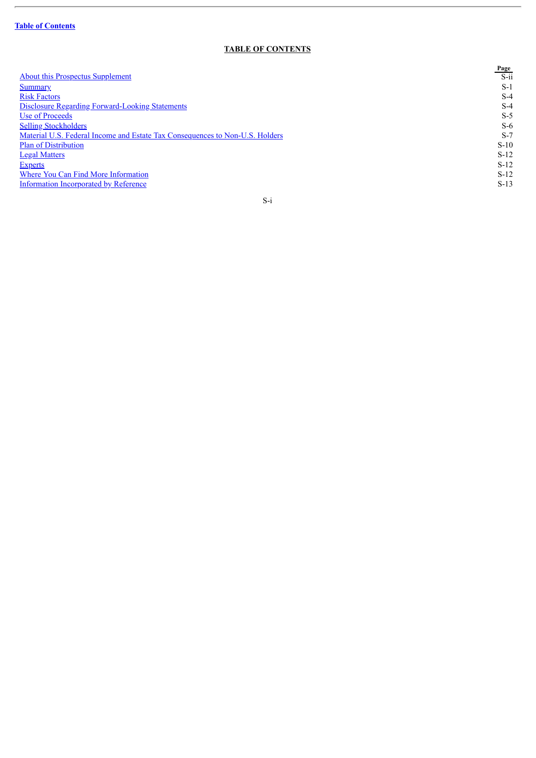$\overline{a}$ 

# **TABLE OF CONTENTS**

<span id="page-3-0"></span>

|                                                                              | Page    |
|------------------------------------------------------------------------------|---------|
| <b>About this Prospectus Supplement</b>                                      | $S$ -ii |
| <b>Summary</b>                                                               | $S-1$   |
| <b>Risk Factors</b>                                                          | $S-4$   |
| <b>Disclosure Regarding Forward-Looking Statements</b>                       | $S-4$   |
| Use of Proceeds                                                              | $S-5$   |
| <b>Selling Stockholders</b>                                                  | $S-6$   |
| Material U.S. Federal Income and Estate Tax Consequences to Non-U.S. Holders | $S-7$   |
| <b>Plan of Distribution</b>                                                  | $S-10$  |
| <b>Legal Matters</b>                                                         | $S-12$  |
| <b>Experts</b>                                                               | $S-12$  |
| Where You Can Find More Information                                          | $S-12$  |
| Information Incorporated by Reference                                        | $S-13$  |
|                                                                              |         |

# S-i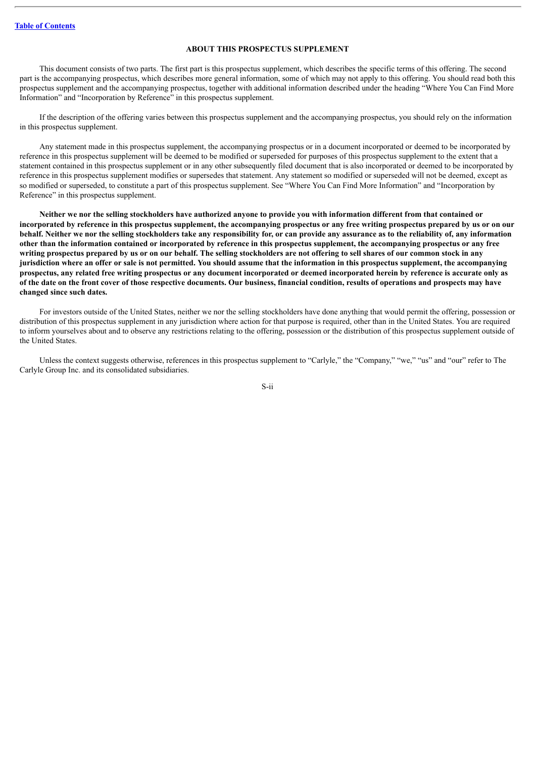# **ABOUT THIS PROSPECTUS SUPPLEMENT**

<span id="page-4-0"></span>This document consists of two parts. The first part is this prospectus supplement, which describes the specific terms of this offering. The second part is the accompanying prospectus, which describes more general information, some of which may not apply to this offering. You should read both this prospectus supplement and the accompanying prospectus, together with additional information described under the heading "Where You Can Find More Information" and "Incorporation by Reference" in this prospectus supplement.

If the description of the offering varies between this prospectus supplement and the accompanying prospectus, you should rely on the information in this prospectus supplement.

Any statement made in this prospectus supplement, the accompanying prospectus or in a document incorporated or deemed to be incorporated by reference in this prospectus supplement will be deemed to be modified or superseded for purposes of this prospectus supplement to the extent that a statement contained in this prospectus supplement or in any other subsequently filed document that is also incorporated or deemed to be incorporated by reference in this prospectus supplement modifies or supersedes that statement. Any statement so modified or superseded will not be deemed, except as so modified or superseded, to constitute a part of this prospectus supplement. See "Where You Can Find More Information" and "Incorporation by Reference" in this prospectus supplement.

Neither we nor the selling stockholders have authorized anyone to provide you with information different from that contained or incorporated by reference in this prospectus supplement, the accompanying prospectus or any free writing prospectus prepared by us or on our behalf. Neither we nor the selling stockholders take any responsibility for, or can provide any assurance as to the reliability of, any information other than the information contained or incorporated by reference in this prospectus supplement, the accompanying prospectus or any free writing prospectus prepared by us or on our behalf. The selling stockholders are not offering to sell shares of our common stock in any jurisdiction where an offer or sale is not permitted. You should assume that the information in this prospectus supplement, the accompanying prospectus, any related free writing prospectus or any document incorporated or deemed incorporated herein by reference is accurate only as of the date on the front cover of those respective documents. Our business, financial condition, results of operations and prospects may have **changed since such dates.**

For investors outside of the United States, neither we nor the selling stockholders have done anything that would permit the offering, possession or distribution of this prospectus supplement in any jurisdiction where action for that purpose is required, other than in the United States. You are required to inform yourselves about and to observe any restrictions relating to the offering, possession or the distribution of this prospectus supplement outside of the United States.

Unless the context suggests otherwise, references in this prospectus supplement to "Carlyle," the "Company," "we," "us" and "our" refer to The Carlyle Group Inc. and its consolidated subsidiaries.

S-ii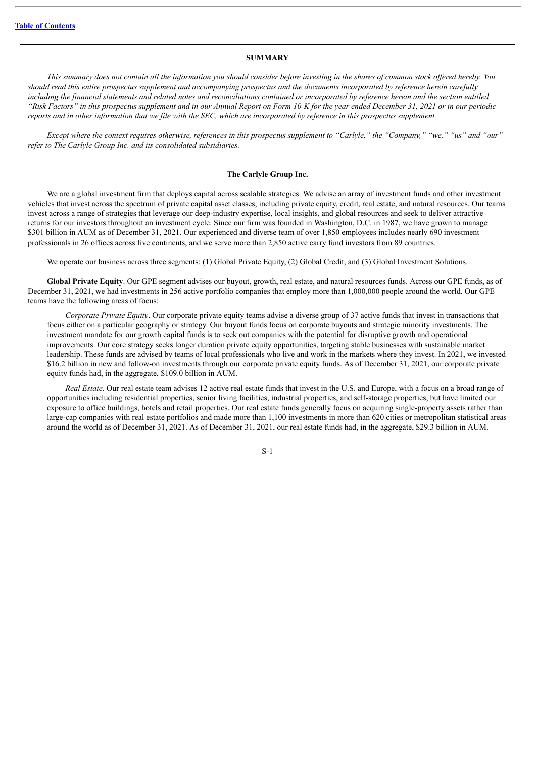# **SUMMARY**

<span id="page-5-0"></span>This summary does not contain all the information you should consider before investing in the shares of common stock offered hereby. You should read this entire prospectus supplement and accompanying prospectus and the documents incorporated by reference herein carefully, including the financial statements and related notes and reconciliations contained or incorporated by reference herein and the section entitled "Risk Factors" in this prospectus supplement and in our Annual Report on Form 10-K for the vear ended December 31, 2021 or in our periodic reports and in other information that we file with the SEC, which are incorporated by reference in this prospectus supplement.

Except where the context requires otherwise, references in this prospectus supplement to "Carlyle," the "Company," "we," "us" and "our" *refer to The Carlyle Group Inc. and its consolidated subsidiaries.*

#### **The Carlyle Group Inc.**

We are a global investment firm that deploys capital across scalable strategies. We advise an array of investment funds and other investment vehicles that invest across the spectrum of private capital asset classes, including private equity, credit, real estate, and natural resources. Our teams invest across a range of strategies that leverage our deep-industry expertise, local insights, and global resources and seek to deliver attractive returns for our investors throughout an investment cycle. Since our firm was founded in Washington, D.C. in 1987, we have grown to manage \$301 billion in AUM as of December 31, 2021. Our experienced and diverse team of over 1,850 employees includes nearly 690 investment professionals in 26 offices across five continents, and we serve more than 2,850 active carry fund investors from 89 countries.

We operate our business across three segments: (1) Global Private Equity, (2) Global Credit, and (3) Global Investment Solutions.

**Global Private Equity**. Our GPE segment advises our buyout, growth, real estate, and natural resources funds. Across our GPE funds, as of December 31, 2021, we had investments in 256 active portfolio companies that employ more than 1,000,000 people around the world. Our GPE teams have the following areas of focus:

*Corporate Private Equity*. Our corporate private equity teams advise a diverse group of 37 active funds that invest in transactions that focus either on a particular geography or strategy. Our buyout funds focus on corporate buyouts and strategic minority investments. The investment mandate for our growth capital funds is to seek out companies with the potential for disruptive growth and operational improvements. Our core strategy seeks longer duration private equity opportunities, targeting stable businesses with sustainable market leadership. These funds are advised by teams of local professionals who live and work in the markets where they invest. In 2021, we invested \$16.2 billion in new and follow-on investments through our corporate private equity funds. As of December 31, 2021, our corporate private equity funds had, in the aggregate, \$109.0 billion in AUM.

*Real Estate*. Our real estate team advises 12 active real estate funds that invest in the U.S. and Europe, with a focus on a broad range of opportunities including residential properties, senior living facilities, industrial properties, and self-storage properties, but have limited our exposure to office buildings, hotels and retail properties. Our real estate funds generally focus on acquiring single-property assets rather than large-cap companies with real estate portfolios and made more than 1,100 investments in more than 620 cities or metropolitan statistical areas around the world as of December 31, 2021. As of December 31, 2021, our real estate funds had, in the aggregate, \$29.3 billion in AUM.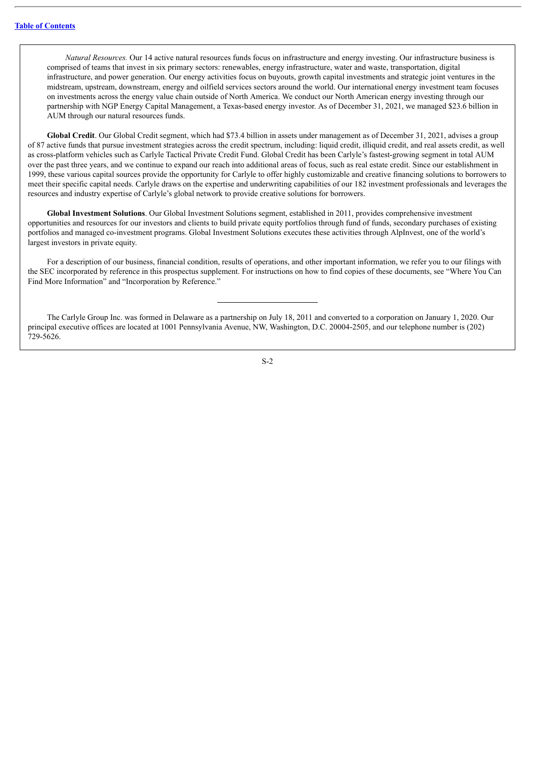*Natural Resources.* Our 14 active natural resources funds focus on infrastructure and energy investing. Our infrastructure business is comprised of teams that invest in six primary sectors: renewables, energy infrastructure, water and waste, transportation, digital infrastructure, and power generation. Our energy activities focus on buyouts, growth capital investments and strategic joint ventures in the midstream, upstream, downstream, energy and oilfield services sectors around the world. Our international energy investment team focuses on investments across the energy value chain outside of North America. We conduct our North American energy investing through our partnership with NGP Energy Capital Management, a Texas-based energy investor. As of December 31, 2021, we managed \$23.6 billion in AUM through our natural resources funds.

**Global Credit**. Our Global Credit segment, which had \$73.4 billion in assets under management as of December 31, 2021, advises a group of 87 active funds that pursue investment strategies across the credit spectrum, including: liquid credit, illiquid credit, and real assets credit, as well as cross-platform vehicles such as Carlyle Tactical Private Credit Fund. Global Credit has been Carlyle's fastest-growing segment in total AUM over the past three years, and we continue to expand our reach into additional areas of focus, such as real estate credit. Since our establishment in 1999, these various capital sources provide the opportunity for Carlyle to offer highly customizable and creative financing solutions to borrowers to meet their specific capital needs. Carlyle draws on the expertise and underwriting capabilities of our 182 investment professionals and leverages the resources and industry expertise of Carlyle's global network to provide creative solutions for borrowers.

**Global Investment Solutions**. Our Global Investment Solutions segment, established in 2011, provides comprehensive investment opportunities and resources for our investors and clients to build private equity portfolios through fund of funds, secondary purchases of existing portfolios and managed co-investment programs. Global Investment Solutions executes these activities through AlpInvest, one of the world's largest investors in private equity.

For a description of our business, financial condition, results of operations, and other important information, we refer you to our filings with the SEC incorporated by reference in this prospectus supplement. For instructions on how to find copies of these documents, see "Where You Can Find More Information" and "Incorporation by Reference."

The Carlyle Group Inc. was formed in Delaware as a partnership on July 18, 2011 and converted to a corporation on January 1, 2020. Our principal executive offices are located at 1001 Pennsylvania Avenue, NW, Washington, D.C. 20004-2505, and our telephone number is (202) 729-5626.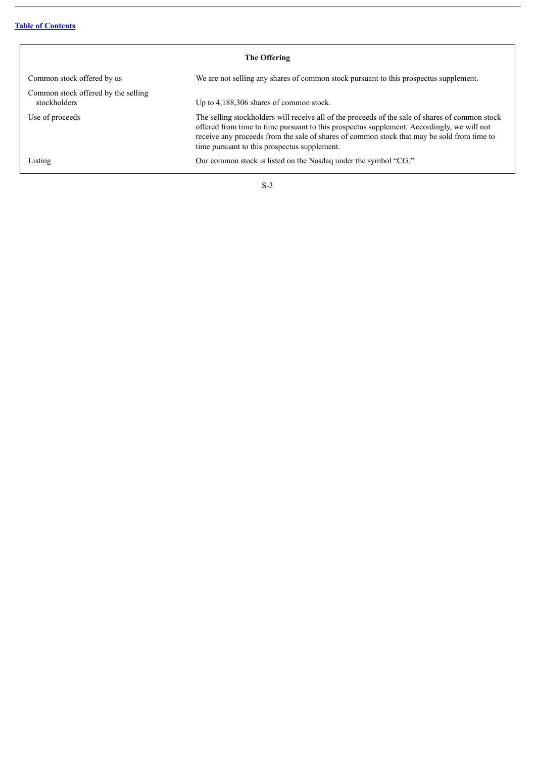j.

| The Offering                                        |                                                                                                                                                                                                                                                                                                                                             |  |  |  |
|-----------------------------------------------------|---------------------------------------------------------------------------------------------------------------------------------------------------------------------------------------------------------------------------------------------------------------------------------------------------------------------------------------------|--|--|--|
| Common stock offered by us                          | We are not selling any shares of common stock pursuant to this prospectus supplement.                                                                                                                                                                                                                                                       |  |  |  |
| Common stock offered by the selling<br>stockholders | Up to 4,188,306 shares of common stock.                                                                                                                                                                                                                                                                                                     |  |  |  |
| Use of proceeds                                     | The selling stockholders will receive all of the proceeds of the sale of shares of common stock<br>offered from time to time pursuant to this prospectus supplement. Accordingly, we will not<br>receive any proceeds from the sale of shares of common stock that may be sold from time to<br>time pursuant to this prospectus supplement. |  |  |  |
| Listing                                             | Our common stock is listed on the Nasdaq under the symbol "CG."                                                                                                                                                                                                                                                                             |  |  |  |
|                                                     |                                                                                                                                                                                                                                                                                                                                             |  |  |  |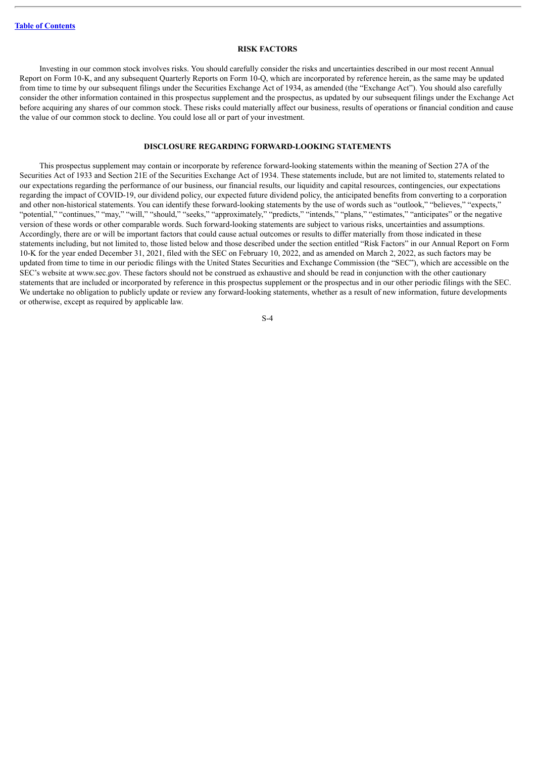#### **RISK FACTORS**

<span id="page-8-0"></span>Investing in our common stock involves risks. You should carefully consider the risks and uncertainties described in our most recent Annual Report on Form 10-K, and any subsequent Quarterly Reports on Form 10-Q, which are incorporated by reference herein, as the same may be updated from time to time by our subsequent filings under the Securities Exchange Act of 1934, as amended (the "Exchange Act"). You should also carefully consider the other information contained in this prospectus supplement and the prospectus, as updated by our subsequent filings under the Exchange Act before acquiring any shares of our common stock. These risks could materially affect our business, results of operations or financial condition and cause the value of our common stock to decline. You could lose all or part of your investment.

#### **DISCLOSURE REGARDING FORWARD-LOOKING STATEMENTS**

<span id="page-8-1"></span>This prospectus supplement may contain or incorporate by reference forward-looking statements within the meaning of Section 27A of the Securities Act of 1933 and Section 21E of the Securities Exchange Act of 1934. These statements include, but are not limited to, statements related to our expectations regarding the performance of our business, our financial results, our liquidity and capital resources, contingencies, our expectations regarding the impact of COVID-19, our dividend policy, our expected future dividend policy, the anticipated benefits from converting to a corporation and other non-historical statements. You can identify these forward-looking statements by the use of words such as "outlook," "believes," "expects," "potential," "continues," "may," "will," "should," "seeks," "approximately," "predicts," "intends," "plans," "estimates," "anticipates" or the negative version of these words or other comparable words. Such forward-looking statements are subject to various risks, uncertainties and assumptions. Accordingly, there are or will be important factors that could cause actual outcomes or results to differ materially from those indicated in these statements including, but not limited to, those listed below and those described under the section entitled "Risk Factors" in our Annual Report on Form 10-K for the year ended December 31, 2021, filed with the SEC on February 10, 2022, and as amended on March 2, 2022, as such factors may be updated from time to time in our periodic filings with the United States Securities and Exchange Commission (the "SEC"), which are accessible on the SEC's website at www.sec.gov. These factors should not be construed as exhaustive and should be read in conjunction with the other cautionary statements that are included or incorporated by reference in this prospectus supplement or the prospectus and in our other periodic filings with the SEC. We undertake no obligation to publicly update or review any forward-looking statements, whether as a result of new information, future developments or otherwise, except as required by applicable law.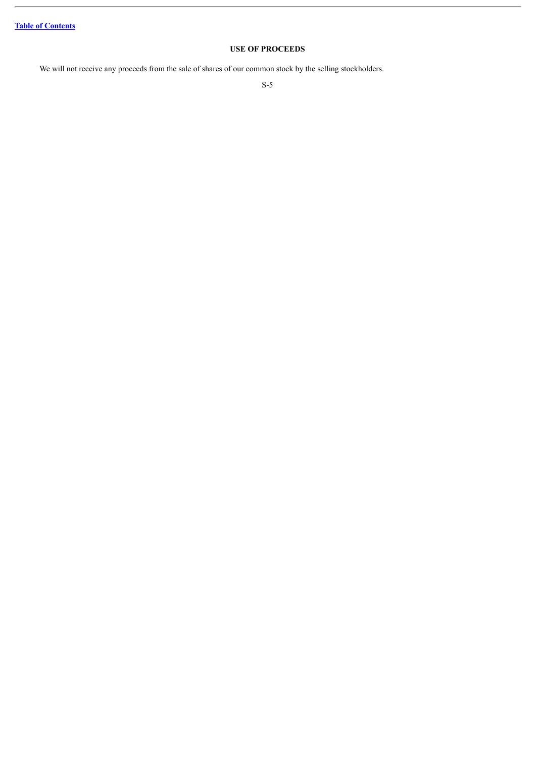# **USE OF PROCEEDS**

<span id="page-9-0"></span>We will not receive any proceeds from the sale of shares of our common stock by the selling stockholders.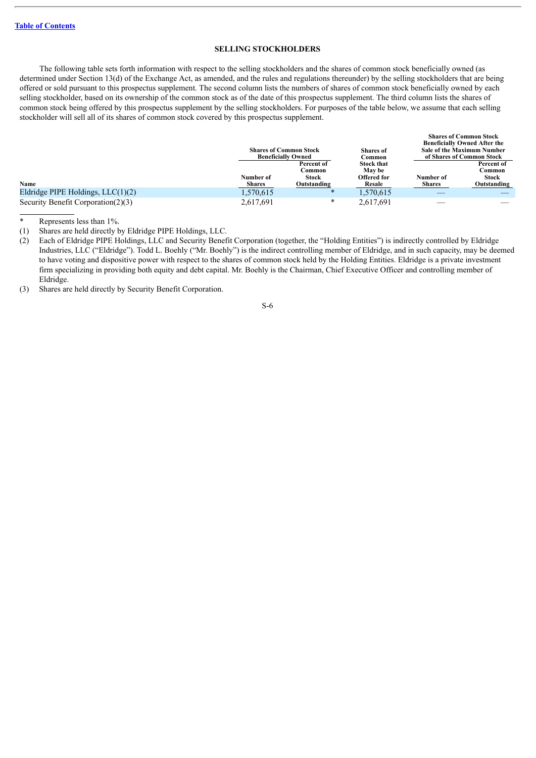#### **SELLING STOCKHOLDERS**

<span id="page-10-0"></span>The following table sets forth information with respect to the selling stockholders and the shares of common stock beneficially owned (as determined under Section 13(d) of the Exchange Act, as amended, and the rules and regulations thereunder) by the selling stockholders that are being offered or sold pursuant to this prospectus supplement. The second column lists the numbers of shares of common stock beneficially owned by each selling stockholder, based on its ownership of the common stock as of the date of this prospectus supplement. The third column lists the shares of common stock being offered by this prospectus supplement by the selling stockholders. For purposes of the table below, we assume that each selling stockholder will sell all of its shares of common stock covered by this prospectus supplement.

|                                       |               | <b>Shares of Common Stock</b><br><b>Beneficially Owned</b> | <b>Shares</b> of<br>Common | <b>Shares of Common Stock</b><br><b>Beneficially Owned After the</b><br><b>Sale of the Maximum Number</b><br>of Shares of Common Stock |             |
|---------------------------------------|---------------|------------------------------------------------------------|----------------------------|----------------------------------------------------------------------------------------------------------------------------------------|-------------|
|                                       |               | Percent of                                                 | <b>Stock that</b>          |                                                                                                                                        | Percent of  |
|                                       |               | Common                                                     | <b>May be</b>              |                                                                                                                                        | Common      |
|                                       | Number of     | <b>Stock</b>                                               | Offered for                | Number of                                                                                                                              | Stock       |
| Name                                  | <b>Shares</b> | Outstanding                                                | Resale                     | <b>Shares</b>                                                                                                                          | Outstanding |
| Eldridge PIPE Holdings, $LLC(1)(2)$   | 1,570,615     | ∗                                                          | 1,570,615                  |                                                                                                                                        |             |
| Security Benefit Corporation $(2)(3)$ | 2.617.691     | $\ast$                                                     | 2.617.691                  |                                                                                                                                        |             |

Represents less than 1%.

(1) Shares are held directly by Eldridge PIPE Holdings, LLC.

(2) Each of Eldridge PIPE Holdings, LLC and Security Benefit Corporation (together, the "Holding Entities") is indirectly controlled by Eldridge Industries, LLC ("Eldridge"). Todd L. Boehly ("Mr. Boehly") is the indirect controlling member of Eldridge, and in such capacity, may be deemed to have voting and dispositive power with respect to the shares of common stock held by the Holding Entities. Eldridge is a private investment firm specializing in providing both equity and debt capital. Mr. Boehly is the Chairman, Chief Executive Officer and controlling member of Eldridge.

(3) Shares are held directly by Security Benefit Corporation.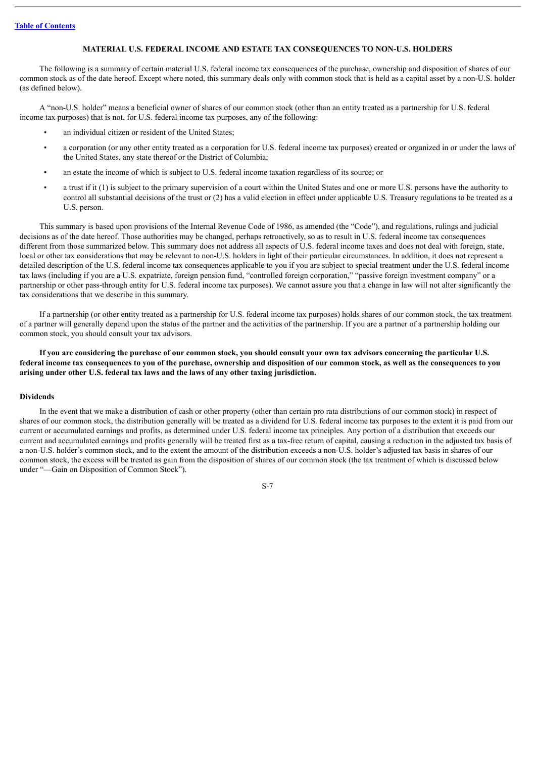#### **MATERIAL U.S. FEDERAL INCOME AND ESTATE TAX CONSEQUENCES TO NON-U.S. HOLDERS**

<span id="page-11-0"></span>The following is a summary of certain material U.S. federal income tax consequences of the purchase, ownership and disposition of shares of our common stock as of the date hereof. Except where noted, this summary deals only with common stock that is held as a capital asset by a non-U.S. holder (as defined below).

A "non-U.S. holder" means a beneficial owner of shares of our common stock (other than an entity treated as a partnership for U.S. federal income tax purposes) that is not, for U.S. federal income tax purposes, any of the following:

- an individual citizen or resident of the United States;
- a corporation (or any other entity treated as a corporation for U.S. federal income tax purposes) created or organized in or under the laws of the United States, any state thereof or the District of Columbia;
- an estate the income of which is subject to U.S. federal income taxation regardless of its source; or
- a trust if it (1) is subject to the primary supervision of a court within the United States and one or more U.S. persons have the authority to control all substantial decisions of the trust or (2) has a valid election in effect under applicable U.S. Treasury regulations to be treated as a U.S. person.

This summary is based upon provisions of the Internal Revenue Code of 1986, as amended (the "Code"), and regulations, rulings and judicial decisions as of the date hereof. Those authorities may be changed, perhaps retroactively, so as to result in U.S. federal income tax consequences different from those summarized below. This summary does not address all aspects of U.S. federal income taxes and does not deal with foreign, state, local or other tax considerations that may be relevant to non-U.S. holders in light of their particular circumstances. In addition, it does not represent a detailed description of the U.S. federal income tax consequences applicable to you if you are subject to special treatment under the U.S. federal income tax laws (including if you are a U.S. expatriate, foreign pension fund, "controlled foreign corporation," "passive foreign investment company" or a partnership or other pass-through entity for U.S. federal income tax purposes). We cannot assure you that a change in law will not alter significantly the tax considerations that we describe in this summary.

If a partnership (or other entity treated as a partnership for U.S. federal income tax purposes) holds shares of our common stock, the tax treatment of a partner will generally depend upon the status of the partner and the activities of the partnership. If you are a partner of a partnership holding our common stock, you should consult your tax advisors.

If you are considering the purchase of our common stock, you should consult your own tax advisors concerning the particular U.S. federal income tax consequences to you of the purchase, ownership and disposition of our common stock, as well as the consequences to you **arising under other U.S. federal tax laws and the laws of any other taxing jurisdiction.**

#### **Dividends**

In the event that we make a distribution of cash or other property (other than certain pro rata distributions of our common stock) in respect of shares of our common stock, the distribution generally will be treated as a dividend for U.S. federal income tax purposes to the extent it is paid from our current or accumulated earnings and profits, as determined under U.S. federal income tax principles. Any portion of a distribution that exceeds our current and accumulated earnings and profits generally will be treated first as a tax-free return of capital, causing a reduction in the adjusted tax basis of a non-U.S. holder's common stock, and to the extent the amount of the distribution exceeds a non-U.S. holder's adjusted tax basis in shares of our common stock, the excess will be treated as gain from the disposition of shares of our common stock (the tax treatment of which is discussed below under "—Gain on Disposition of Common Stock").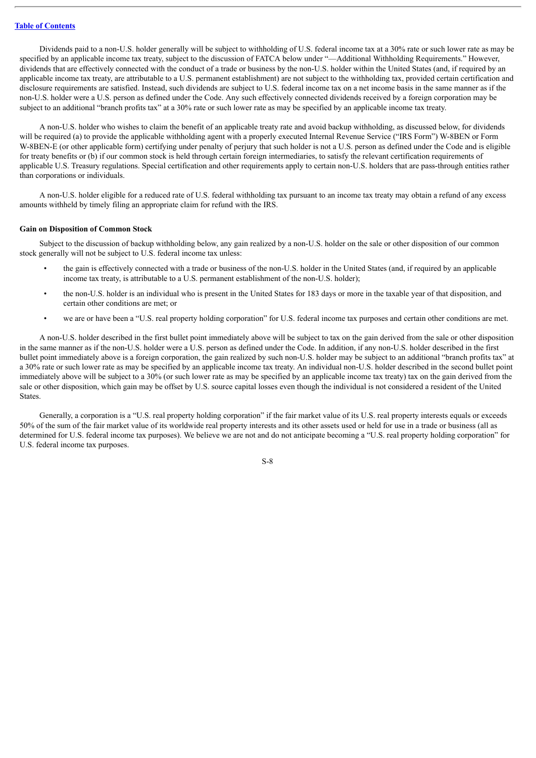Dividends paid to a non-U.S. holder generally will be subject to withholding of U.S. federal income tax at a 30% rate or such lower rate as may be specified by an applicable income tax treaty, subject to the discussion of FATCA below under "—Additional Withholding Requirements." However, dividends that are effectively connected with the conduct of a trade or business by the non-U.S. holder within the United States (and, if required by an applicable income tax treaty, are attributable to a U.S. permanent establishment) are not subject to the withholding tax, provided certain certification and disclosure requirements are satisfied. Instead, such dividends are subject to U.S. federal income tax on a net income basis in the same manner as if the non-U.S. holder were a U.S. person as defined under the Code. Any such effectively connected dividends received by a foreign corporation may be subject to an additional "branch profits tax" at a 30% rate or such lower rate as may be specified by an applicable income tax treaty.

A non-U.S. holder who wishes to claim the benefit of an applicable treaty rate and avoid backup withholding, as discussed below, for dividends will be required (a) to provide the applicable withholding agent with a properly executed Internal Revenue Service ("IRS Form") W-8BEN or Form W-8BEN-E (or other applicable form) certifying under penalty of perjury that such holder is not a U.S. person as defined under the Code and is eligible for treaty benefits or (b) if our common stock is held through certain foreign intermediaries, to satisfy the relevant certification requirements of applicable U.S. Treasury regulations. Special certification and other requirements apply to certain non-U.S. holders that are pass-through entities rather than corporations or individuals.

A non-U.S. holder eligible for a reduced rate of U.S. federal withholding tax pursuant to an income tax treaty may obtain a refund of any excess amounts withheld by timely filing an appropriate claim for refund with the IRS.

#### **Gain on Disposition of Common Stock**

Subject to the discussion of backup withholding below, any gain realized by a non-U.S. holder on the sale or other disposition of our common stock generally will not be subject to U.S. federal income tax unless:

- the gain is effectively connected with a trade or business of the non-U.S. holder in the United States (and, if required by an applicable income tax treaty, is attributable to a U.S. permanent establishment of the non-U.S. holder);
- the non-U.S. holder is an individual who is present in the United States for 183 days or more in the taxable year of that disposition, and certain other conditions are met; or
- we are or have been a "U.S. real property holding corporation" for U.S. federal income tax purposes and certain other conditions are met.

A non-U.S. holder described in the first bullet point immediately above will be subject to tax on the gain derived from the sale or other disposition in the same manner as if the non-U.S. holder were a U.S. person as defined under the Code. In addition, if any non-U.S. holder described in the first bullet point immediately above is a foreign corporation, the gain realized by such non-U.S. holder may be subject to an additional "branch profits tax" at a 30% rate or such lower rate as may be specified by an applicable income tax treaty. An individual non-U.S. holder described in the second bullet point immediately above will be subject to a 30% (or such lower rate as may be specified by an applicable income tax treaty) tax on the gain derived from the sale or other disposition, which gain may be offset by U.S. source capital losses even though the individual is not considered a resident of the United States.

Generally, a corporation is a "U.S. real property holding corporation" if the fair market value of its U.S. real property interests equals or exceeds 50% of the sum of the fair market value of its worldwide real property interests and its other assets used or held for use in a trade or business (all as determined for U.S. federal income tax purposes). We believe we are not and do not anticipate becoming a "U.S. real property holding corporation" for U.S. federal income tax purposes.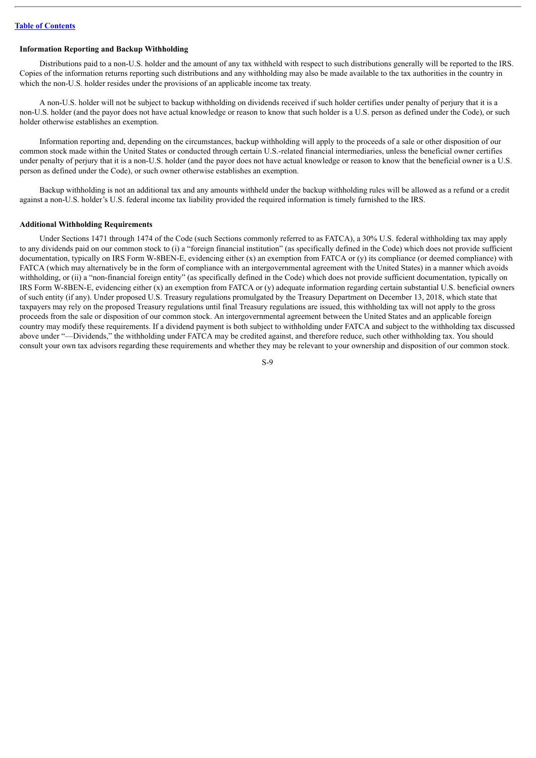# **Information Reporting and Backup Withholding**

Distributions paid to a non-U.S. holder and the amount of any tax withheld with respect to such distributions generally will be reported to the IRS. Copies of the information returns reporting such distributions and any withholding may also be made available to the tax authorities in the country in which the non-U.S. holder resides under the provisions of an applicable income tax treaty.

A non-U.S. holder will not be subject to backup withholding on dividends received if such holder certifies under penalty of perjury that it is a non-U.S. holder (and the payor does not have actual knowledge or reason to know that such holder is a U.S. person as defined under the Code), or such holder otherwise establishes an exemption.

Information reporting and, depending on the circumstances, backup withholding will apply to the proceeds of a sale or other disposition of our common stock made within the United States or conducted through certain U.S.-related financial intermediaries, unless the beneficial owner certifies under penalty of perjury that it is a non-U.S. holder (and the payor does not have actual knowledge or reason to know that the beneficial owner is a U.S. person as defined under the Code), or such owner otherwise establishes an exemption.

Backup withholding is not an additional tax and any amounts withheld under the backup withholding rules will be allowed as a refund or a credit against a non-U.S. holder's U.S. federal income tax liability provided the required information is timely furnished to the IRS.

#### **Additional Withholding Requirements**

Under Sections 1471 through 1474 of the Code (such Sections commonly referred to as FATCA), a 30% U.S. federal withholding tax may apply to any dividends paid on our common stock to (i) a "foreign financial institution" (as specifically defined in the Code) which does not provide sufficient documentation, typically on IRS Form W-8BEN-E, evidencing either (x) an exemption from FATCA or (y) its compliance (or deemed compliance) with FATCA (which may alternatively be in the form of compliance with an intergovernmental agreement with the United States) in a manner which avoids withholding, or (ii) a "non-financial foreign entity" (as specifically defined in the Code) which does not provide sufficient documentation, typically on IRS Form W-8BEN-E, evidencing either (x) an exemption from FATCA or (y) adequate information regarding certain substantial U.S. beneficial owners of such entity (if any). Under proposed U.S. Treasury regulations promulgated by the Treasury Department on December 13, 2018, which state that taxpayers may rely on the proposed Treasury regulations until final Treasury regulations are issued, this withholding tax will not apply to the gross proceeds from the sale or disposition of our common stock. An intergovernmental agreement between the United States and an applicable foreign country may modify these requirements. If a dividend payment is both subject to withholding under FATCA and subject to the withholding tax discussed above under "—Dividends," the withholding under FATCA may be credited against, and therefore reduce, such other withholding tax. You should consult your own tax advisors regarding these requirements and whether they may be relevant to your ownership and disposition of our common stock.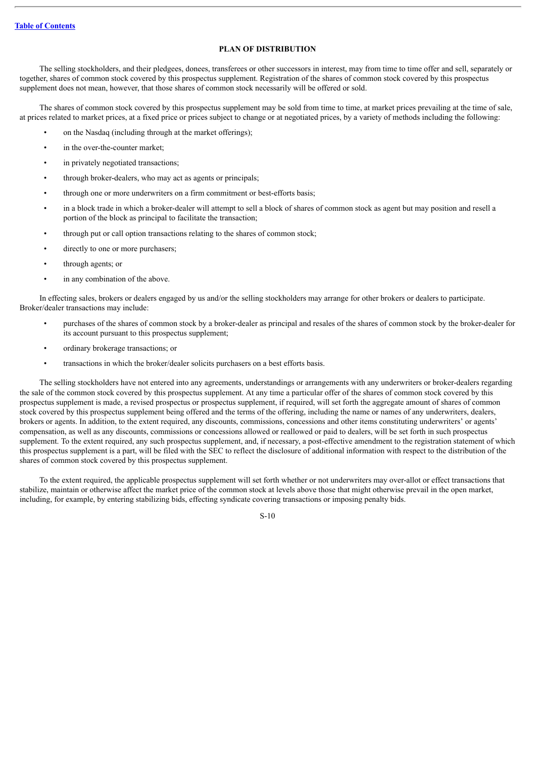# **PLAN OF DISTRIBUTION**

<span id="page-14-0"></span>The selling stockholders, and their pledgees, donees, transferees or other successors in interest, may from time to time offer and sell, separately or together, shares of common stock covered by this prospectus supplement. Registration of the shares of common stock covered by this prospectus supplement does not mean, however, that those shares of common stock necessarily will be offered or sold.

The shares of common stock covered by this prospectus supplement may be sold from time to time, at market prices prevailing at the time of sale, at prices related to market prices, at a fixed price or prices subject to change or at negotiated prices, by a variety of methods including the following:

- on the Nasdaq (including through at the market offerings);
- in the over-the-counter market;
- in privately negotiated transactions;
- through broker-dealers, who may act as agents or principals;
- through one or more underwriters on a firm commitment or best-efforts basis;
- in a block trade in which a broker-dealer will attempt to sell a block of shares of common stock as agent but may position and resell a portion of the block as principal to facilitate the transaction;
- through put or call option transactions relating to the shares of common stock;
- directly to one or more purchasers;
- through agents; or
- in any combination of the above.

In effecting sales, brokers or dealers engaged by us and/or the selling stockholders may arrange for other brokers or dealers to participate. Broker/dealer transactions may include:

- purchases of the shares of common stock by a broker-dealer as principal and resales of the shares of common stock by the broker-dealer for its account pursuant to this prospectus supplement;
- ordinary brokerage transactions; or
- transactions in which the broker/dealer solicits purchasers on a best efforts basis.

The selling stockholders have not entered into any agreements, understandings or arrangements with any underwriters or broker-dealers regarding the sale of the common stock covered by this prospectus supplement. At any time a particular offer of the shares of common stock covered by this prospectus supplement is made, a revised prospectus or prospectus supplement, if required, will set forth the aggregate amount of shares of common stock covered by this prospectus supplement being offered and the terms of the offering, including the name or names of any underwriters, dealers, brokers or agents. In addition, to the extent required, any discounts, commissions, concessions and other items constituting underwriters' or agents' compensation, as well as any discounts, commissions or concessions allowed or reallowed or paid to dealers, will be set forth in such prospectus supplement. To the extent required, any such prospectus supplement, and, if necessary, a post-effective amendment to the registration statement of which this prospectus supplement is a part, will be filed with the SEC to reflect the disclosure of additional information with respect to the distribution of the shares of common stock covered by this prospectus supplement.

To the extent required, the applicable prospectus supplement will set forth whether or not underwriters may over-allot or effect transactions that stabilize, maintain or otherwise affect the market price of the common stock at levels above those that might otherwise prevail in the open market, including, for example, by entering stabilizing bids, effecting syndicate covering transactions or imposing penalty bids.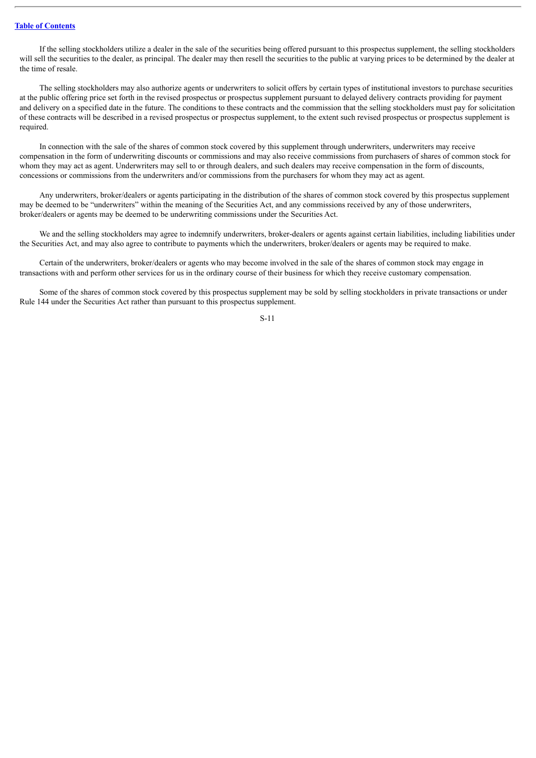If the selling stockholders utilize a dealer in the sale of the securities being offered pursuant to this prospectus supplement, the selling stockholders will sell the securities to the dealer, as principal. The dealer may then resell the securities to the public at varying prices to be determined by the dealer at the time of resale.

The selling stockholders may also authorize agents or underwriters to solicit offers by certain types of institutional investors to purchase securities at the public offering price set forth in the revised prospectus or prospectus supplement pursuant to delayed delivery contracts providing for payment and delivery on a specified date in the future. The conditions to these contracts and the commission that the selling stockholders must pay for solicitation of these contracts will be described in a revised prospectus or prospectus supplement, to the extent such revised prospectus or prospectus supplement is required.

In connection with the sale of the shares of common stock covered by this supplement through underwriters, underwriters may receive compensation in the form of underwriting discounts or commissions and may also receive commissions from purchasers of shares of common stock for whom they may act as agent. Underwriters may sell to or through dealers, and such dealers may receive compensation in the form of discounts, concessions or commissions from the underwriters and/or commissions from the purchasers for whom they may act as agent.

Any underwriters, broker/dealers or agents participating in the distribution of the shares of common stock covered by this prospectus supplement may be deemed to be "underwriters" within the meaning of the Securities Act, and any commissions received by any of those underwriters, broker/dealers or agents may be deemed to be underwriting commissions under the Securities Act.

We and the selling stockholders may agree to indemnify underwriters, broker-dealers or agents against certain liabilities, including liabilities under the Securities Act, and may also agree to contribute to payments which the underwriters, broker/dealers or agents may be required to make.

Certain of the underwriters, broker/dealers or agents who may become involved in the sale of the shares of common stock may engage in transactions with and perform other services for us in the ordinary course of their business for which they receive customary compensation.

Some of the shares of common stock covered by this prospectus supplement may be sold by selling stockholders in private transactions or under Rule 144 under the Securities Act rather than pursuant to this prospectus supplement.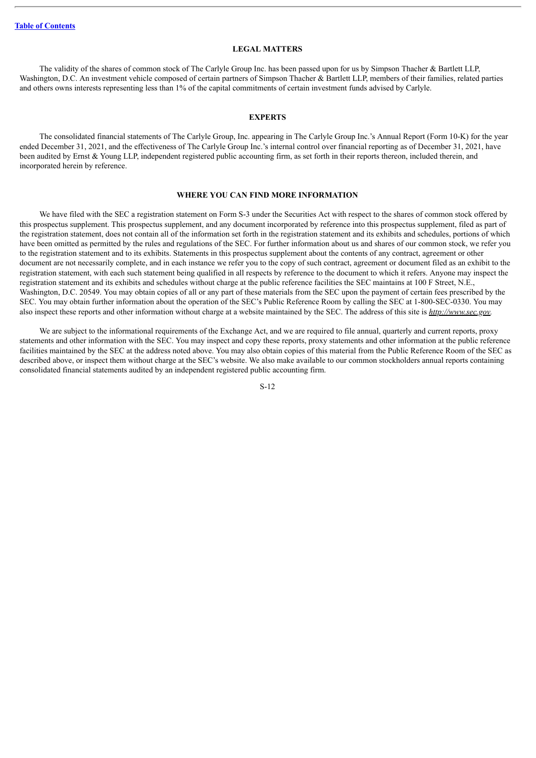#### **LEGAL MATTERS**

<span id="page-16-0"></span>The validity of the shares of common stock of The Carlyle Group Inc. has been passed upon for us by Simpson Thacher & Bartlett LLP, Washington, D.C. An investment vehicle composed of certain partners of Simpson Thacher & Bartlett LLP, members of their families, related parties and others owns interests representing less than 1% of the capital commitments of certain investment funds advised by Carlyle.

#### **EXPERTS**

<span id="page-16-1"></span>The consolidated financial statements of The Carlyle Group, Inc. appearing in The Carlyle Group Inc.'s Annual Report (Form 10-K) for the year ended December 31, 2021, and the effectiveness of The Carlyle Group Inc.'s internal control over financial reporting as of December 31, 2021, have been audited by Ernst & Young LLP, independent registered public accounting firm, as set forth in their reports thereon, included therein, and incorporated herein by reference.

# **WHERE YOU CAN FIND MORE INFORMATION**

<span id="page-16-2"></span>We have filed with the SEC a registration statement on Form S-3 under the Securities Act with respect to the shares of common stock offered by this prospectus supplement. This prospectus supplement, and any document incorporated by reference into this prospectus supplement, filed as part of the registration statement, does not contain all of the information set forth in the registration statement and its exhibits and schedules, portions of which have been omitted as permitted by the rules and regulations of the SEC. For further information about us and shares of our common stock, we refer you to the registration statement and to its exhibits. Statements in this prospectus supplement about the contents of any contract, agreement or other document are not necessarily complete, and in each instance we refer you to the copy of such contract, agreement or document filed as an exhibit to the registration statement, with each such statement being qualified in all respects by reference to the document to which it refers. Anyone may inspect the registration statement and its exhibits and schedules without charge at the public reference facilities the SEC maintains at 100 F Street, N.E., Washington, D.C. 20549. You may obtain copies of all or any part of these materials from the SEC upon the payment of certain fees prescribed by the SEC. You may obtain further information about the operation of the SEC's Public Reference Room by calling the SEC at 1-800-SEC-0330. You may also inspect these reports and other information without charge at a website maintained by the SEC. The address of this site is *http://www.sec.gov.*

We are subject to the informational requirements of the Exchange Act, and we are required to file annual, quarterly and current reports, proxy statements and other information with the SEC. You may inspect and copy these reports, proxy statements and other information at the public reference facilities maintained by the SEC at the address noted above. You may also obtain copies of this material from the Public Reference Room of the SEC as described above, or inspect them without charge at the SEC's website. We also make available to our common stockholders annual reports containing consolidated financial statements audited by an independent registered public accounting firm.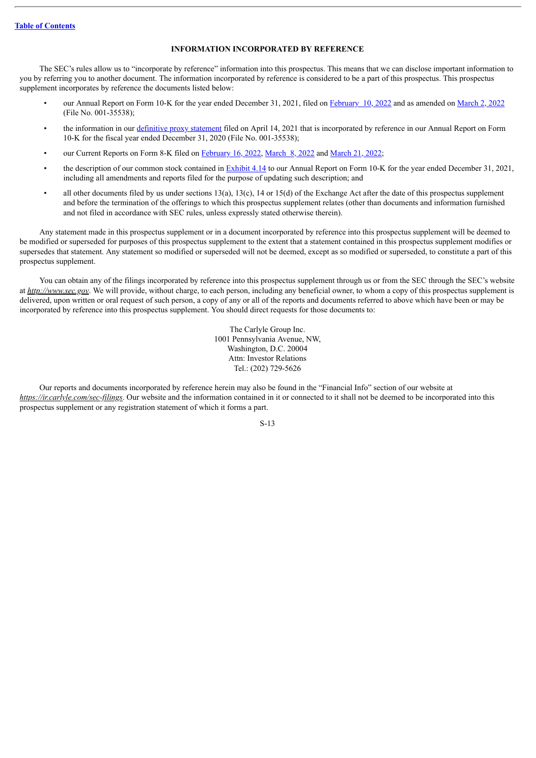# **INFORMATION INCORPORATED BY REFERENCE**

<span id="page-17-0"></span>The SEC's rules allow us to "incorporate by reference" information into this prospectus. This means that we can disclose important information to you by referring you to another document. The information incorporated by reference is considered to be a part of this prospectus. This prospectus supplement incorporates by reference the documents listed below:

- our Annual Report on Form 10-K for the year ended December 31, 2021, filed on [February](http://www.sec.gov/ix?doc=/Archives/edgar/data/1527166/000152716622000007/cg-20211231.htm) 10, 2022 and as amended on [March](http://www.sec.gov/ix?doc=/Archives/edgar/data/1527166/000152716622000012/cg-20211231.htm) 2, 2022 (File No. 001-35538);
- the information in our definitive proxy [statement](http://www.sec.gov/Archives/edgar/data/1527166/000152716621000025/a2021cgproxystatement.htm) filed on April 14, 2021 that is incorporated by reference in our Annual Report on Form 10-K for the fiscal year ended December 31, 2020 (File No. 001-35538);
- our Current Reports on Form 8-K filed on [February](http://www.sec.gov/ix?doc=/Archives/edgar/data/1527166/000152716622000009/cg-20220211.htm) 16, 2022, [March](http://www.sec.gov/ix?doc=/Archives/edgar/data/1527166/000119312522080563/d312910d8k.htm) 8, 2022 and March 21, 2022;
- the description of our common stock contained in [Exhibit](http://www.sec.gov/Archives/edgar/data/1527166/000152716622000012/cg_20211231x10-kaxex414.htm) 4.14 to our Annual Report on Form 10-K for the year ended December 31, 2021, including all amendments and reports filed for the purpose of updating such description; and
- all other documents filed by us under sections 13(a), 13(c), 14 or 15(d) of the Exchange Act after the date of this prospectus supplement and before the termination of the offerings to which this prospectus supplement relates (other than documents and information furnished and not filed in accordance with SEC rules, unless expressly stated otherwise therein).

Any statement made in this prospectus supplement or in a document incorporated by reference into this prospectus supplement will be deemed to be modified or superseded for purposes of this prospectus supplement to the extent that a statement contained in this prospectus supplement modifies or supersedes that statement. Any statement so modified or superseded will not be deemed, except as so modified or superseded, to constitute a part of this prospectus supplement.

You can obtain any of the filings incorporated by reference into this prospectus supplement through us or from the SEC through the SEC's website at *http://www.sec.gov*. We will provide, without charge, to each person, including any beneficial owner, to whom a copy of this prospectus supplement is delivered, upon written or oral request of such person, a copy of any or all of the reports and documents referred to above which have been or may be incorporated by reference into this prospectus supplement. You should direct requests for those documents to:

> The Carlyle Group Inc. 1001 Pennsylvania Avenue, NW, Washington, D.C. 20004 Attn: Investor Relations Tel.: (202) 729-5626

Our reports and documents incorporated by reference herein may also be found in the "Financial Info" section of our website at *https://ir.carlyle.com/sec-filings*. Our website and the information contained in it or connected to it shall not be deemed to be incorporated into this prospectus supplement or any registration statement of which it forms a part.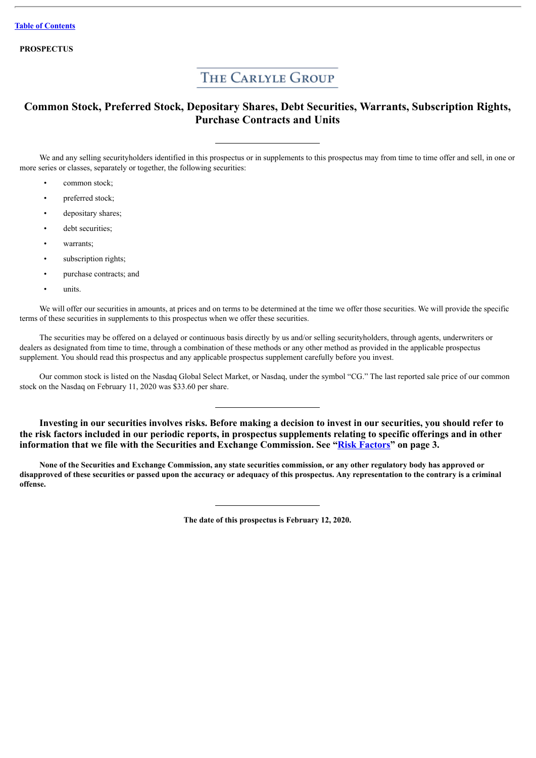**PROSPECTUS**

# THE CARLYLE GROUP

# **Common Stock, Preferred Stock, Depositary Shares, Debt Securities, Warrants, Subscription Rights, Purchase Contracts and Units**

We and any selling securityholders identified in this prospectus or in supplements to this prospectus may from time to time offer and sell, in one or more series or classes, separately or together, the following securities:

- common stock;
- preferred stock:
- depositary shares;
- debt securities:
- warrants;
- subscription rights;
- purchase contracts; and
- units.

We will offer our securities in amounts, at prices and on terms to be determined at the time we offer those securities. We will provide the specific terms of these securities in supplements to this prospectus when we offer these securities.

The securities may be offered on a delayed or continuous basis directly by us and/or selling securityholders, through agents, underwriters or dealers as designated from time to time, through a combination of these methods or any other method as provided in the applicable prospectus supplement. You should read this prospectus and any applicable prospectus supplement carefully before you invest.

Our common stock is listed on the Nasdaq Global Select Market, or Nasdaq, under the symbol "CG." The last reported sale price of our common stock on the Nasdaq on February 11, 2020 was \$33.60 per share.

**Investing in our securities involves risks. Before making a decision to invest in our securities, you should refer to the risk factors included in our periodic reports, in prospectus supplements relating to specific offerings and in other information that we file with the Securities and Exchange Commission. See "Risk [Factors"](#page-22-0) on page 3.**

None of the Securities and Exchange Commission, any state securities commission, or any other regulatory body has approved or disapproved of these securities or passed upon the accuracy or adequacy of this prospectus. Any representation to the contrary is a criminal **offense.**

**The date of this prospectus is February 12, 2020.**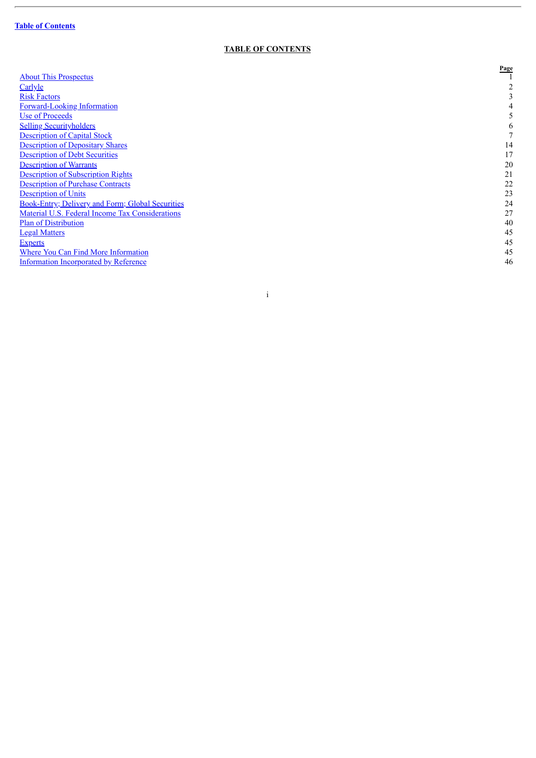$\overline{a}$ 

# **TABLE OF CONTENTS**

|                                                         | Page |
|---------------------------------------------------------|------|
| <b>About This Prospectus</b>                            |      |
| Carlyle                                                 |      |
| <b>Risk Factors</b>                                     | 3    |
| <b>Forward-Looking Information</b>                      | 4    |
| Use of Proceeds                                         | 5    |
| <b>Selling Securityholders</b>                          | 6    |
| <b>Description of Capital Stock</b>                     |      |
| <b>Description of Depositary Shares</b>                 | 14   |
| <b>Description of Debt Securities</b>                   | 17   |
| <b>Description of Warrants</b>                          | 20   |
| <b>Description of Subscription Rights</b>               | 21   |
| <b>Description of Purchase Contracts</b>                | 22   |
| <b>Description of Units</b>                             | 23   |
| <b>Book-Entry; Delivery and Form; Global Securities</b> | 24   |
| Material U.S. Federal Income Tax Considerations         | 27   |
| <b>Plan of Distribution</b>                             | 40   |
| <b>Legal Matters</b>                                    | 45   |
| <b>Experts</b>                                          | 45   |
| <b>Where You Can Find More Information</b>              | 45   |
| <b>Information Incorporated by Reference</b>            | 46   |

i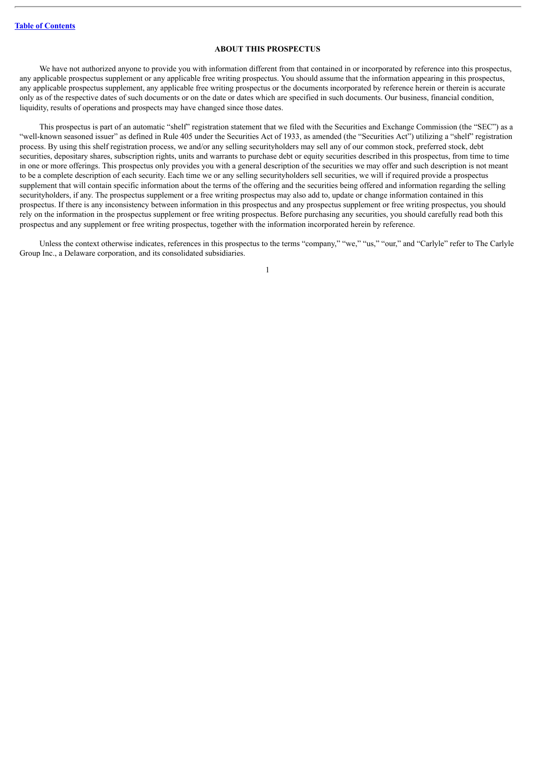# **ABOUT THIS PROSPECTUS**

<span id="page-20-0"></span>We have not authorized anyone to provide you with information different from that contained in or incorporated by reference into this prospectus. any applicable prospectus supplement or any applicable free writing prospectus. You should assume that the information appearing in this prospectus, any applicable prospectus supplement, any applicable free writing prospectus or the documents incorporated by reference herein or therein is accurate only as of the respective dates of such documents or on the date or dates which are specified in such documents. Our business, financial condition, liquidity, results of operations and prospects may have changed since those dates.

This prospectus is part of an automatic "shelf" registration statement that we filed with the Securities and Exchange Commission (the "SEC") as a "well-known seasoned issuer" as defined in Rule 405 under the Securities Act of 1933, as amended (the "Securities Act") utilizing a "shelf" registration process. By using this shelf registration process, we and/or any selling securityholders may sell any of our common stock, preferred stock, debt securities, depositary shares, subscription rights, units and warrants to purchase debt or equity securities described in this prospectus, from time to time in one or more offerings. This prospectus only provides you with a general description of the securities we may offer and such description is not meant to be a complete description of each security. Each time we or any selling securityholders sell securities, we will if required provide a prospectus supplement that will contain specific information about the terms of the offering and the securities being offered and information regarding the selling securityholders, if any. The prospectus supplement or a free writing prospectus may also add to, update or change information contained in this prospectus. If there is any inconsistency between information in this prospectus and any prospectus supplement or free writing prospectus, you should rely on the information in the prospectus supplement or free writing prospectus. Before purchasing any securities, you should carefully read both this prospectus and any supplement or free writing prospectus, together with the information incorporated herein by reference.

Unless the context otherwise indicates, references in this prospectus to the terms "company," "we," "us," "our," and "Carlyle" refer to The Carlyle Group Inc., a Delaware corporation, and its consolidated subsidiaries.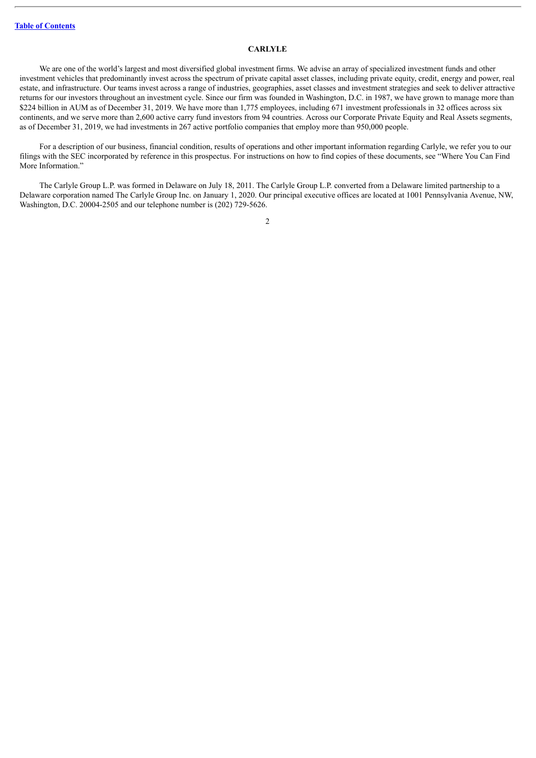# **CARLYLE**

<span id="page-21-0"></span>We are one of the world's largest and most diversified global investment firms. We advise an array of specialized investment funds and other investment vehicles that predominantly invest across the spectrum of private capital asset classes, including private equity, credit, energy and power, real estate, and infrastructure. Our teams invest across a range of industries, geographies, asset classes and investment strategies and seek to deliver attractive returns for our investors throughout an investment cycle. Since our firm was founded in Washington, D.C. in 1987, we have grown to manage more than \$224 billion in AUM as of December 31, 2019. We have more than 1,775 employees, including 671 investment professionals in 32 offices across six continents, and we serve more than 2,600 active carry fund investors from 94 countries. Across our Corporate Private Equity and Real Assets segments, as of December 31, 2019, we had investments in 267 active portfolio companies that employ more than 950,000 people.

For a description of our business, financial condition, results of operations and other important information regarding Carlyle, we refer you to our filings with the SEC incorporated by reference in this prospectus. For instructions on how to find copies of these documents, see "Where You Can Find More Information."

The Carlyle Group L.P. was formed in Delaware on July 18, 2011. The Carlyle Group L.P. converted from a Delaware limited partnership to a Delaware corporation named The Carlyle Group Inc. on January 1, 2020. Our principal executive offices are located at 1001 Pennsylvania Avenue, NW, Washington, D.C. 20004-2505 and our telephone number is (202) 729-5626.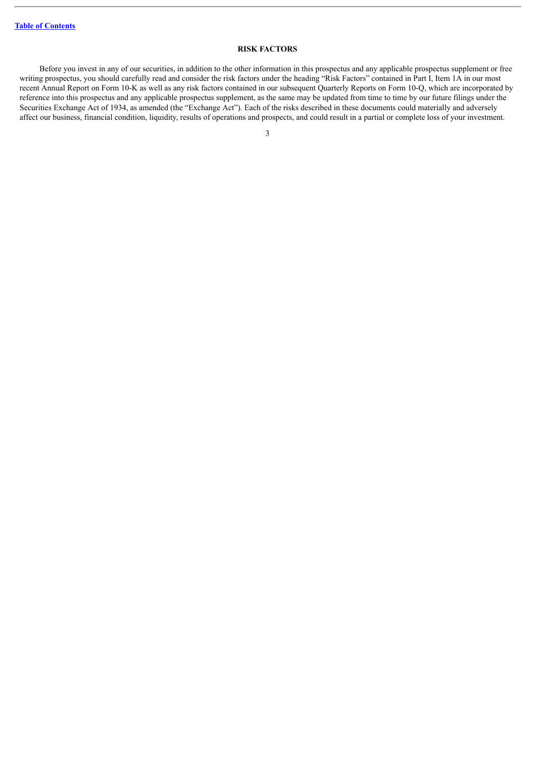# **RISK FACTORS**

<span id="page-22-0"></span>Before you invest in any of our securities, in addition to the other information in this prospectus and any applicable prospectus supplement or free writing prospectus, you should carefully read and consider the risk factors under the heading "Risk Factors" contained in Part I, Item 1A in our most recent Annual Report on Form 10-K as well as any risk factors contained in our subsequent Quarterly Reports on Form 10-Q, which are incorporated by reference into this prospectus and any applicable prospectus supplement, as the same may be updated from time to time by our future filings under the Securities Exchange Act of 1934, as amended (the "Exchange Act"). Each of the risks described in these documents could materially and adversely affect our business, financial condition, liquidity, results of operations and prospects, and could result in a partial or complete loss of your investment.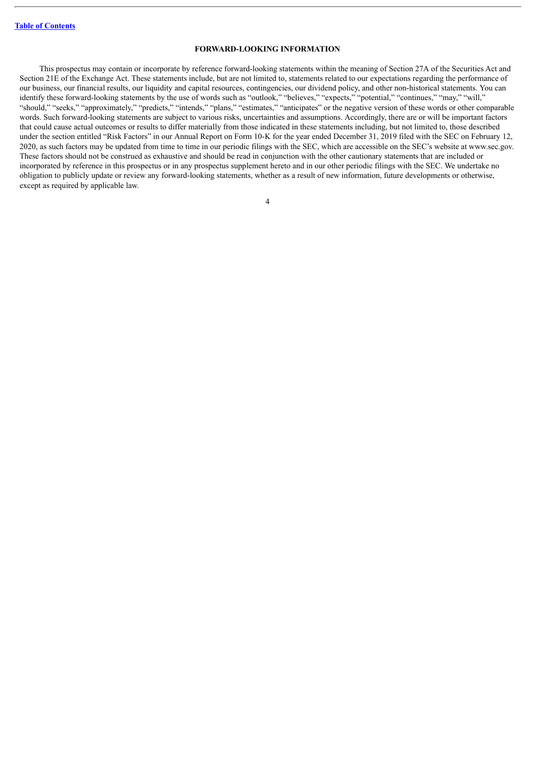# **FORWARD-LOOKING INFORMATION**

<span id="page-23-0"></span>This prospectus may contain or incorporate by reference forward-looking statements within the meaning of Section 27A of the Securities Act and Section 21E of the Exchange Act. These statements include, but are not limited to, statements related to our expectations regarding the performance of our business, our financial results, our liquidity and capital resources, contingencies, our dividend policy, and other non-historical statements. You can identify these forward-looking statements by the use of words such as "outlook," "believes," "expects," "potential," "continues," "may," "will," "should," "seeks," "approximately," "predicts," "intends," "plans," "estimates," "anticipates" or the negative version of these words or other comparable words. Such forward-looking statements are subject to various risks, uncertainties and assumptions. Accordingly, there are or will be important factors that could cause actual outcomes or results to differ materially from those indicated in these statements including, but not limited to, those described under the section entitled "Risk Factors" in our Annual Report on Form 10-K for the year ended December 31, 2019 filed with the SEC on February 12, 2020, as such factors may be updated from time to time in our periodic filings with the SEC, which are accessible on the SEC's website at www.sec.gov. These factors should not be construed as exhaustive and should be read in conjunction with the other cautionary statements that are included or incorporated by reference in this prospectus or in any prospectus supplement hereto and in our other periodic filings with the SEC. We undertake no obligation to publicly update or review any forward-looking statements, whether as a result of new information, future developments or otherwise, except as required by applicable law.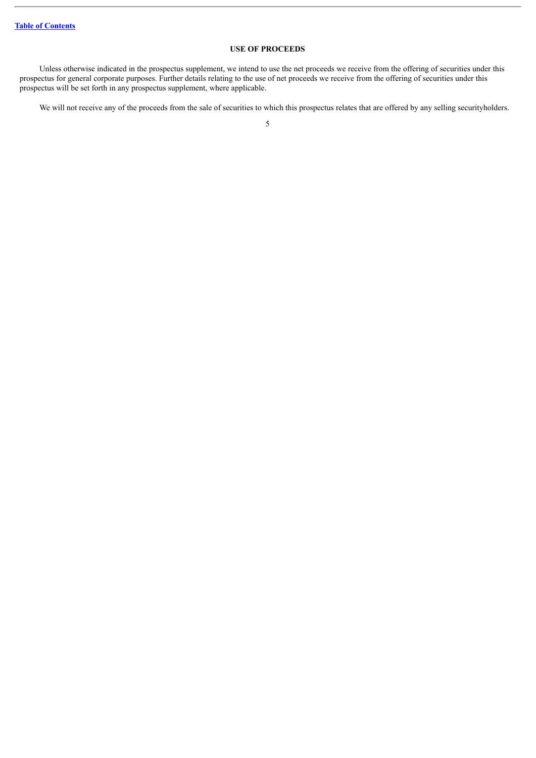# **USE OF PROCEEDS**

<span id="page-24-0"></span>Unless otherwise indicated in the prospectus supplement, we intend to use the net proceeds we receive from the offering of securities under this prospectus for general corporate purposes. Further details relating to the use of net proceeds we receive from the offering of securities under this prospectus will be set forth in any prospectus supplement, where applicable.

We will not receive any of the proceeds from the sale of securities to which this prospectus relates that are offered by any selling securityholders.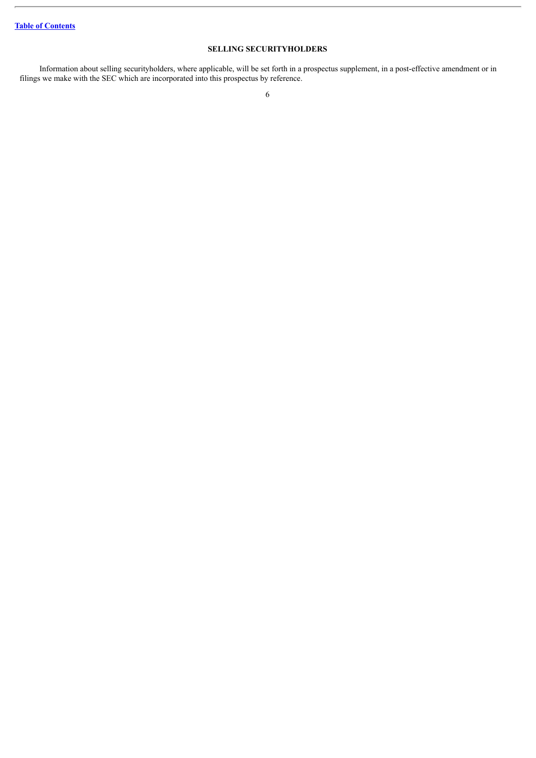# **SELLING SECURITYHOLDERS**

<span id="page-25-0"></span>Information about selling securityholders, where applicable, will be set forth in a prospectus supplement, in a post-effective amendment or in filings we make with the SEC which are incorporated into this prospectus by reference.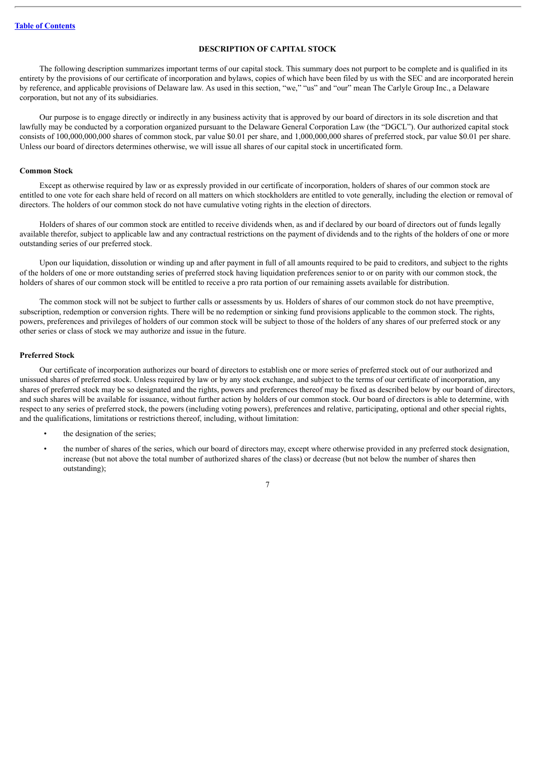# **DESCRIPTION OF CAPITAL STOCK**

<span id="page-26-0"></span>The following description summarizes important terms of our capital stock. This summary does not purport to be complete and is qualified in its entirety by the provisions of our certificate of incorporation and bylaws, copies of which have been filed by us with the SEC and are incorporated herein by reference, and applicable provisions of Delaware law. As used in this section, "we," "us" and "our" mean The Carlyle Group Inc., a Delaware corporation, but not any of its subsidiaries.

Our purpose is to engage directly or indirectly in any business activity that is approved by our board of directors in its sole discretion and that lawfully may be conducted by a corporation organized pursuant to the Delaware General Corporation Law (the "DGCL"). Our authorized capital stock consists of 100,000,000,000 shares of common stock, par value \$0.01 per share, and 1,000,000,000 shares of preferred stock, par value \$0.01 per share. Unless our board of directors determines otherwise, we will issue all shares of our capital stock in uncertificated form.

#### **Common Stock**

Except as otherwise required by law or as expressly provided in our certificate of incorporation, holders of shares of our common stock are entitled to one vote for each share held of record on all matters on which stockholders are entitled to vote generally, including the election or removal of directors. The holders of our common stock do not have cumulative voting rights in the election of directors.

Holders of shares of our common stock are entitled to receive dividends when, as and if declared by our board of directors out of funds legally available therefor, subject to applicable law and any contractual restrictions on the payment of dividends and to the rights of the holders of one or more outstanding series of our preferred stock.

Upon our liquidation, dissolution or winding up and after payment in full of all amounts required to be paid to creditors, and subject to the rights of the holders of one or more outstanding series of preferred stock having liquidation preferences senior to or on parity with our common stock, the holders of shares of our common stock will be entitled to receive a pro rata portion of our remaining assets available for distribution.

The common stock will not be subject to further calls or assessments by us. Holders of shares of our common stock do not have preemptive, subscription, redemption or conversion rights. There will be no redemption or sinking fund provisions applicable to the common stock. The rights, powers, preferences and privileges of holders of our common stock will be subject to those of the holders of any shares of our preferred stock or any other series or class of stock we may authorize and issue in the future.

#### **Preferred Stock**

Our certificate of incorporation authorizes our board of directors to establish one or more series of preferred stock out of our authorized and unissued shares of preferred stock. Unless required by law or by any stock exchange, and subject to the terms of our certificate of incorporation, any shares of preferred stock may be so designated and the rights, powers and preferences thereof may be fixed as described below by our board of directors, and such shares will be available for issuance, without further action by holders of our common stock. Our board of directors is able to determine, with respect to any series of preferred stock, the powers (including voting powers), preferences and relative, participating, optional and other special rights, and the qualifications, limitations or restrictions thereof, including, without limitation:

- the designation of the series;
- the number of shares of the series, which our board of directors may, except where otherwise provided in any preferred stock designation, increase (but not above the total number of authorized shares of the class) or decrease (but not below the number of shares then outstanding);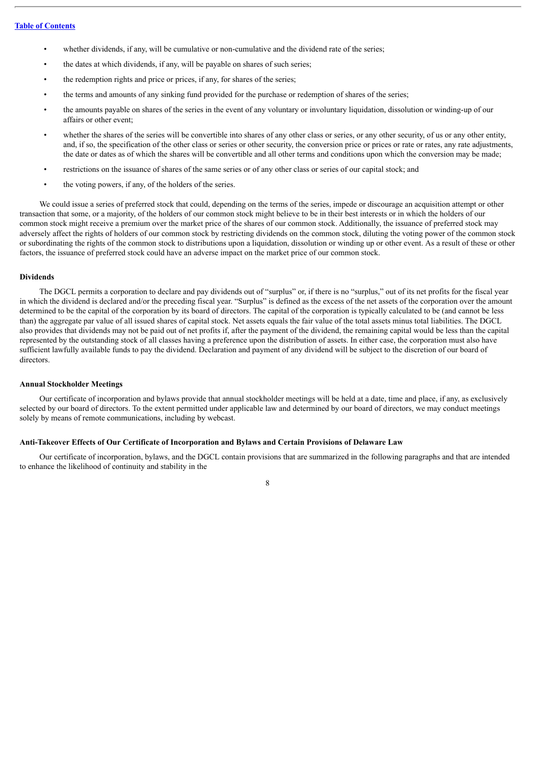- whether dividends, if any, will be cumulative or non-cumulative and the dividend rate of the series;
- the dates at which dividends, if any, will be payable on shares of such series;
- the redemption rights and price or prices, if any, for shares of the series;
- the terms and amounts of any sinking fund provided for the purchase or redemption of shares of the series;
- the amounts payable on shares of the series in the event of any voluntary or involuntary liquidation, dissolution or winding-up of our affairs or other event;
- whether the shares of the series will be convertible into shares of any other class or series, or any other security, of us or any other entity, and, if so, the specification of the other class or series or other security, the conversion price or prices or rate or rates, any rate adjustments, the date or dates as of which the shares will be convertible and all other terms and conditions upon which the conversion may be made;
- restrictions on the issuance of shares of the same series or of any other class or series of our capital stock; and
- the voting powers, if any, of the holders of the series.

We could issue a series of preferred stock that could, depending on the terms of the series, impede or discourage an acquisition attempt or other transaction that some, or a majority, of the holders of our common stock might believe to be in their best interests or in which the holders of our common stock might receive a premium over the market price of the shares of our common stock. Additionally, the issuance of preferred stock may adversely affect the rights of holders of our common stock by restricting dividends on the common stock, diluting the voting power of the common stock or subordinating the rights of the common stock to distributions upon a liquidation, dissolution or winding up or other event. As a result of these or other factors, the issuance of preferred stock could have an adverse impact on the market price of our common stock.

#### **Dividends**

The DGCL permits a corporation to declare and pay dividends out of "surplus" or, if there is no "surplus," out of its net profits for the fiscal year in which the dividend is declared and/or the preceding fiscal year. "Surplus" is defined as the excess of the net assets of the corporation over the amount determined to be the capital of the corporation by its board of directors. The capital of the corporation is typically calculated to be (and cannot be less than) the aggregate par value of all issued shares of capital stock. Net assets equals the fair value of the total assets minus total liabilities. The DGCL also provides that dividends may not be paid out of net profits if, after the payment of the dividend, the remaining capital would be less than the capital represented by the outstanding stock of all classes having a preference upon the distribution of assets. In either case, the corporation must also have sufficient lawfully available funds to pay the dividend. Declaration and payment of any dividend will be subject to the discretion of our board of directors.

#### **Annual Stockholder Meetings**

Our certificate of incorporation and bylaws provide that annual stockholder meetings will be held at a date, time and place, if any, as exclusively selected by our board of directors. To the extent permitted under applicable law and determined by our board of directors, we may conduct meetings solely by means of remote communications, including by webcast.

# **Anti-Takeover Effects of Our Certificate of Incorporation and Bylaws and Certain Provisions of Delaware Law**

Our certificate of incorporation, bylaws, and the DGCL contain provisions that are summarized in the following paragraphs and that are intended to enhance the likelihood of continuity and stability in the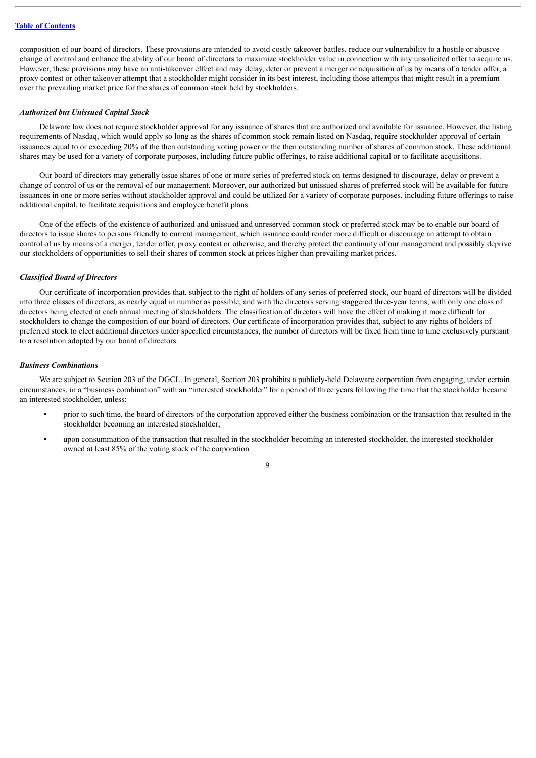composition of our board of directors. These provisions are intended to avoid costly takeover battles, reduce our vulnerability to a hostile or abusive change of control and enhance the ability of our board of directors to maximize stockholder value in connection with any unsolicited offer to acquire us. However, these provisions may have an anti-takeover effect and may delay, deter or prevent a merger or acquisition of us by means of a tender offer, a proxy contest or other takeover attempt that a stockholder might consider in its best interest, including those attempts that might result in a premium over the prevailing market price for the shares of common stock held by stockholders.

#### *Authorized but Unissued Capital Stock*

Delaware law does not require stockholder approval for any issuance of shares that are authorized and available for issuance. However, the listing requirements of Nasdaq, which would apply so long as the shares of common stock remain listed on Nasdaq, require stockholder approval of certain issuances equal to or exceeding 20% of the then outstanding voting power or the then outstanding number of shares of common stock. These additional shares may be used for a variety of corporate purposes, including future public offerings, to raise additional capital or to facilitate acquisitions.

Our board of directors may generally issue shares of one or more series of preferred stock on terms designed to discourage, delay or prevent a change of control of us or the removal of our management. Moreover, our authorized but unissued shares of preferred stock will be available for future issuances in one or more series without stockholder approval and could be utilized for a variety of corporate purposes, including future offerings to raise additional capital, to facilitate acquisitions and employee benefit plans.

One of the effects of the existence of authorized and unissued and unreserved common stock or preferred stock may be to enable our board of directors to issue shares to persons friendly to current management, which issuance could render more difficult or discourage an attempt to obtain control of us by means of a merger, tender offer, proxy contest or otherwise, and thereby protect the continuity of our management and possibly deprive our stockholders of opportunities to sell their shares of common stock at prices higher than prevailing market prices.

#### *Classified Board of Directors*

Our certificate of incorporation provides that, subject to the right of holders of any series of preferred stock, our board of directors will be divided into three classes of directors, as nearly equal in number as possible, and with the directors serving staggered three-year terms, with only one class of directors being elected at each annual meeting of stockholders. The classification of directors will have the effect of making it more difficult for stockholders to change the composition of our board of directors. Our certificate of incorporation provides that, subject to any rights of holders of preferred stock to elect additional directors under specified circumstances, the number of directors will be fixed from time to time exclusively pursuant to a resolution adopted by our board of directors.

#### *Business Combinations*

We are subject to Section 203 of the DGCL. In general, Section 203 prohibits a publicly-held Delaware corporation from engaging, under certain circumstances, in a "business combination" with an "interested stockholder" for a period of three years following the time that the stockholder became an interested stockholder, unless:

- prior to such time, the board of directors of the corporation approved either the business combination or the transaction that resulted in the stockholder becoming an interested stockholder;
- upon consummation of the transaction that resulted in the stockholder becoming an interested stockholder, the interested stockholder owned at least 85% of the voting stock of the corporation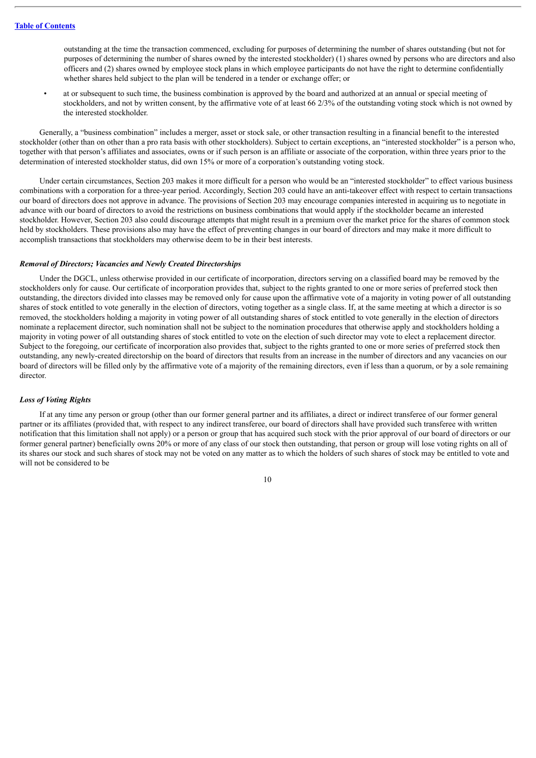outstanding at the time the transaction commenced, excluding for purposes of determining the number of shares outstanding (but not for purposes of determining the number of shares owned by the interested stockholder) (1) shares owned by persons who are directors and also officers and (2) shares owned by employee stock plans in which employee participants do not have the right to determine confidentially whether shares held subject to the plan will be tendered in a tender or exchange offer; or

at or subsequent to such time, the business combination is approved by the board and authorized at an annual or special meeting of stockholders, and not by written consent, by the affirmative vote of at least 66 2/3% of the outstanding voting stock which is not owned by the interested stockholder.

Generally, a "business combination" includes a merger, asset or stock sale, or other transaction resulting in a financial benefit to the interested stockholder (other than on other than a pro rata basis with other stockholders). Subject to certain exceptions, an "interested stockholder" is a person who, together with that person's affiliates and associates, owns or if such person is an affiliate or associate of the corporation, within three years prior to the determination of interested stockholder status, did own 15% or more of a corporation's outstanding voting stock.

Under certain circumstances, Section 203 makes it more difficult for a person who would be an "interested stockholder" to effect various business combinations with a corporation for a three-year period. Accordingly, Section 203 could have an anti-takeover effect with respect to certain transactions our board of directors does not approve in advance. The provisions of Section 203 may encourage companies interested in acquiring us to negotiate in advance with our board of directors to avoid the restrictions on business combinations that would apply if the stockholder became an interested stockholder. However, Section 203 also could discourage attempts that might result in a premium over the market price for the shares of common stock held by stockholders. These provisions also may have the effect of preventing changes in our board of directors and may make it more difficult to accomplish transactions that stockholders may otherwise deem to be in their best interests.

#### *Removal of Directors; Vacancies and Newly Created Directorships*

Under the DGCL, unless otherwise provided in our certificate of incorporation, directors serving on a classified board may be removed by the stockholders only for cause. Our certificate of incorporation provides that, subject to the rights granted to one or more series of preferred stock then outstanding, the directors divided into classes may be removed only for cause upon the affirmative vote of a majority in voting power of all outstanding shares of stock entitled to vote generally in the election of directors, voting together as a single class. If, at the same meeting at which a director is so removed, the stockholders holding a majority in voting power of all outstanding shares of stock entitled to vote generally in the election of directors nominate a replacement director, such nomination shall not be subject to the nomination procedures that otherwise apply and stockholders holding a majority in voting power of all outstanding shares of stock entitled to vote on the election of such director may vote to elect a replacement director. Subject to the foregoing, our certificate of incorporation also provides that, subject to the rights granted to one or more series of preferred stock then outstanding, any newly-created directorship on the board of directors that results from an increase in the number of directors and any vacancies on our board of directors will be filled only by the affirmative vote of a majority of the remaining directors, even if less than a quorum, or by a sole remaining director.

#### *Loss of Voting Rights*

If at any time any person or group (other than our former general partner and its affiliates, a direct or indirect transferee of our former general partner or its affiliates (provided that, with respect to any indirect transferee, our board of directors shall have provided such transferee with written notification that this limitation shall not apply) or a person or group that has acquired such stock with the prior approval of our board of directors or our former general partner) beneficially owns 20% or more of any class of our stock then outstanding, that person or group will lose voting rights on all of its shares our stock and such shares of stock may not be voted on any matter as to which the holders of such shares of stock may be entitled to vote and will not be considered to be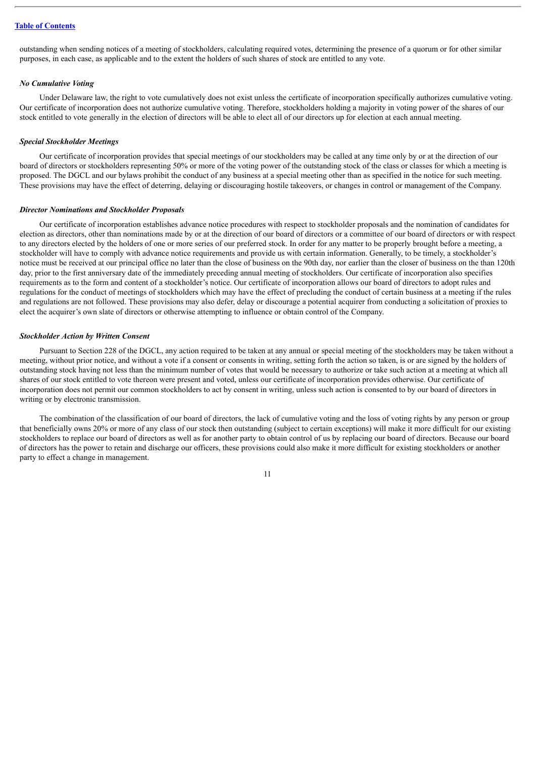outstanding when sending notices of a meeting of stockholders, calculating required votes, determining the presence of a quorum or for other similar purposes, in each case, as applicable and to the extent the holders of such shares of stock are entitled to any vote.

#### *No Cumulative Voting*

Under Delaware law, the right to vote cumulatively does not exist unless the certificate of incorporation specifically authorizes cumulative voting. Our certificate of incorporation does not authorize cumulative voting. Therefore, stockholders holding a majority in voting power of the shares of our stock entitled to vote generally in the election of directors will be able to elect all of our directors up for election at each annual meeting.

#### *Special Stockholder Meetings*

Our certificate of incorporation provides that special meetings of our stockholders may be called at any time only by or at the direction of our board of directors or stockholders representing 50% or more of the voting power of the outstanding stock of the class or classes for which a meeting is proposed. The DGCL and our bylaws prohibit the conduct of any business at a special meeting other than as specified in the notice for such meeting. These provisions may have the effect of deterring, delaying or discouraging hostile takeovers, or changes in control or management of the Company.

#### *Director Nominations and Stockholder Proposals*

Our certificate of incorporation establishes advance notice procedures with respect to stockholder proposals and the nomination of candidates for election as directors, other than nominations made by or at the direction of our board of directors or a committee of our board of directors or with respect to any directors elected by the holders of one or more series of our preferred stock. In order for any matter to be properly brought before a meeting, a stockholder will have to comply with advance notice requirements and provide us with certain information. Generally, to be timely, a stockholder's notice must be received at our principal office no later than the close of business on the 90th day, nor earlier than the closer of business on the than 120th day, prior to the first anniversary date of the immediately preceding annual meeting of stockholders. Our certificate of incorporation also specifies requirements as to the form and content of a stockholder's notice. Our certificate of incorporation allows our board of directors to adopt rules and regulations for the conduct of meetings of stockholders which may have the effect of precluding the conduct of certain business at a meeting if the rules and regulations are not followed. These provisions may also defer, delay or discourage a potential acquirer from conducting a solicitation of proxies to elect the acquirer's own slate of directors or otherwise attempting to influence or obtain control of the Company.

#### *Stockholder Action by Written Consent*

Pursuant to Section 228 of the DGCL, any action required to be taken at any annual or special meeting of the stockholders may be taken without a meeting, without prior notice, and without a vote if a consent or consents in writing, setting forth the action so taken, is or are signed by the holders of outstanding stock having not less than the minimum number of votes that would be necessary to authorize or take such action at a meeting at which all shares of our stock entitled to vote thereon were present and voted, unless our certificate of incorporation provides otherwise. Our certificate of incorporation does not permit our common stockholders to act by consent in writing, unless such action is consented to by our board of directors in writing or by electronic transmission.

The combination of the classification of our board of directors, the lack of cumulative voting and the loss of voting rights by any person or group that beneficially owns 20% or more of any class of our stock then outstanding (subject to certain exceptions) will make it more difficult for our existing stockholders to replace our board of directors as well as for another party to obtain control of us by replacing our board of directors. Because our board of directors has the power to retain and discharge our officers, these provisions could also make it more difficult for existing stockholders or another party to effect a change in management.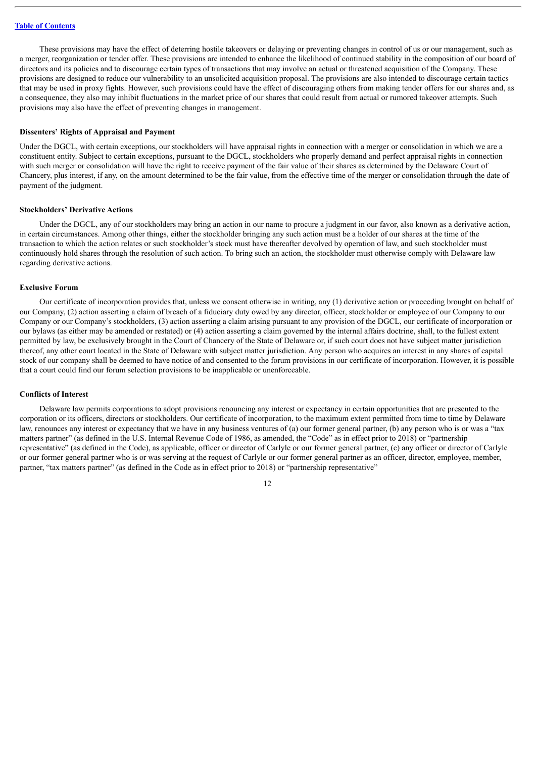These provisions may have the effect of deterring hostile takeovers or delaying or preventing changes in control of us or our management, such as a merger, reorganization or tender offer. These provisions are intended to enhance the likelihood of continued stability in the composition of our board of directors and its policies and to discourage certain types of transactions that may involve an actual or threatened acquisition of the Company. These provisions are designed to reduce our vulnerability to an unsolicited acquisition proposal. The provisions are also intended to discourage certain tactics that may be used in proxy fights. However, such provisions could have the effect of discouraging others from making tender offers for our shares and, as a consequence, they also may inhibit fluctuations in the market price of our shares that could result from actual or rumored takeover attempts. Such provisions may also have the effect of preventing changes in management.

#### **Dissenters' Rights of Appraisal and Payment**

Under the DGCL, with certain exceptions, our stockholders will have appraisal rights in connection with a merger or consolidation in which we are a constituent entity. Subject to certain exceptions, pursuant to the DGCL, stockholders who properly demand and perfect appraisal rights in connection with such merger or consolidation will have the right to receive payment of the fair value of their shares as determined by the Delaware Court of Chancery, plus interest, if any, on the amount determined to be the fair value, from the effective time of the merger or consolidation through the date of payment of the judgment.

#### **Stockholders' Derivative Actions**

Under the DGCL, any of our stockholders may bring an action in our name to procure a judgment in our favor, also known as a derivative action, in certain circumstances. Among other things, either the stockholder bringing any such action must be a holder of our shares at the time of the transaction to which the action relates or such stockholder's stock must have thereafter devolved by operation of law, and such stockholder must continuously hold shares through the resolution of such action. To bring such an action, the stockholder must otherwise comply with Delaware law regarding derivative actions.

#### **Exclusive Forum**

Our certificate of incorporation provides that, unless we consent otherwise in writing, any (1) derivative action or proceeding brought on behalf of our Company, (2) action asserting a claim of breach of a fiduciary duty owed by any director, officer, stockholder or employee of our Company to our Company or our Company's stockholders, (3) action asserting a claim arising pursuant to any provision of the DGCL, our certificate of incorporation or our bylaws (as either may be amended or restated) or (4) action asserting a claim governed by the internal affairs doctrine, shall, to the fullest extent permitted by law, be exclusively brought in the Court of Chancery of the State of Delaware or, if such court does not have subject matter jurisdiction thereof, any other court located in the State of Delaware with subject matter jurisdiction. Any person who acquires an interest in any shares of capital stock of our company shall be deemed to have notice of and consented to the forum provisions in our certificate of incorporation. However, it is possible that a court could find our forum selection provisions to be inapplicable or unenforceable.

#### **Conflicts of Interest**

Delaware law permits corporations to adopt provisions renouncing any interest or expectancy in certain opportunities that are presented to the corporation or its officers, directors or stockholders. Our certificate of incorporation, to the maximum extent permitted from time to time by Delaware law, renounces any interest or expectancy that we have in any business ventures of (a) our former general partner, (b) any person who is or was a "tax matters partner" (as defined in the U.S. Internal Revenue Code of 1986, as amended, the "Code" as in effect prior to 2018) or "partnership representative" (as defined in the Code), as applicable, officer or director of Carlyle or our former general partner, (c) any officer or director of Carlyle or our former general partner who is or was serving at the request of Carlyle or our former general partner as an officer, director, employee, member, partner, "tax matters partner" (as defined in the Code as in effect prior to 2018) or "partnership representative"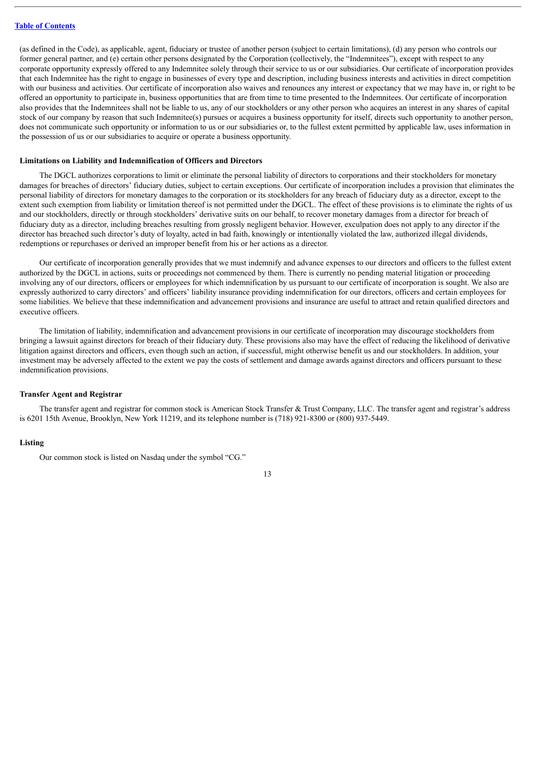(as defined in the Code), as applicable, agent, fiduciary or trustee of another person (subject to certain limitations), (d) any person who controls our former general partner, and (e) certain other persons designated by the Corporation (collectively, the "Indemnitees"), except with respect to any corporate opportunity expressly offered to any Indemnitee solely through their service to us or our subsidiaries. Our certificate of incorporation provides that each Indemnitee has the right to engage in businesses of every type and description, including business interests and activities in direct competition with our business and activities. Our certificate of incorporation also waives and renounces any interest or expectancy that we may have in, or right to be offered an opportunity to participate in, business opportunities that are from time to time presented to the Indemnitees. Our certificate of incorporation also provides that the Indemnitees shall not be liable to us, any of our stockholders or any other person who acquires an interest in any shares of capital stock of our company by reason that such Indemnitee(s) pursues or acquires a business opportunity for itself, directs such opportunity to another person, does not communicate such opportunity or information to us or our subsidiaries or, to the fullest extent permitted by applicable law, uses information in the possession of us or our subsidiaries to acquire or operate a business opportunity.

#### **Limitations on Liability and Indemnification of Officers and Directors**

The DGCL authorizes corporations to limit or eliminate the personal liability of directors to corporations and their stockholders for monetary damages for breaches of directors' fiduciary duties, subject to certain exceptions. Our certificate of incorporation includes a provision that eliminates the personal liability of directors for monetary damages to the corporation or its stockholders for any breach of fiduciary duty as a director, except to the extent such exemption from liability or limitation thereof is not permitted under the DGCL. The effect of these provisions is to eliminate the rights of us and our stockholders, directly or through stockholders' derivative suits on our behalf, to recover monetary damages from a director for breach of fiduciary duty as a director, including breaches resulting from grossly negligent behavior. However, exculpation does not apply to any director if the director has breached such director's duty of loyalty, acted in bad faith, knowingly or intentionally violated the law, authorized illegal dividends, redemptions or repurchases or derived an improper benefit from his or her actions as a director.

Our certificate of incorporation generally provides that we must indemnify and advance expenses to our directors and officers to the fullest extent authorized by the DGCL in actions, suits or proceedings not commenced by them. There is currently no pending material litigation or proceeding involving any of our directors, officers or employees for which indemnification by us pursuant to our certificate of incorporation is sought. We also are expressly authorized to carry directors' and officers' liability insurance providing indemnification for our directors, officers and certain employees for some liabilities. We believe that these indemnification and advancement provisions and insurance are useful to attract and retain qualified directors and executive officers.

The limitation of liability, indemnification and advancement provisions in our certificate of incorporation may discourage stockholders from bringing a lawsuit against directors for breach of their fiduciary duty. These provisions also may have the effect of reducing the likelihood of derivative litigation against directors and officers, even though such an action, if successful, might otherwise benefit us and our stockholders. In addition, your investment may be adversely affected to the extent we pay the costs of settlement and damage awards against directors and officers pursuant to these indemnification provisions.

#### **Transfer Agent and Registrar**

The transfer agent and registrar for common stock is American Stock Transfer & Trust Company, LLC. The transfer agent and registrar's address is 6201 15th Avenue, Brooklyn, New York 11219, and its telephone number is (718) 921-8300 or (800) 937-5449.

#### **Listing**

Our common stock is listed on Nasdaq under the symbol "CG."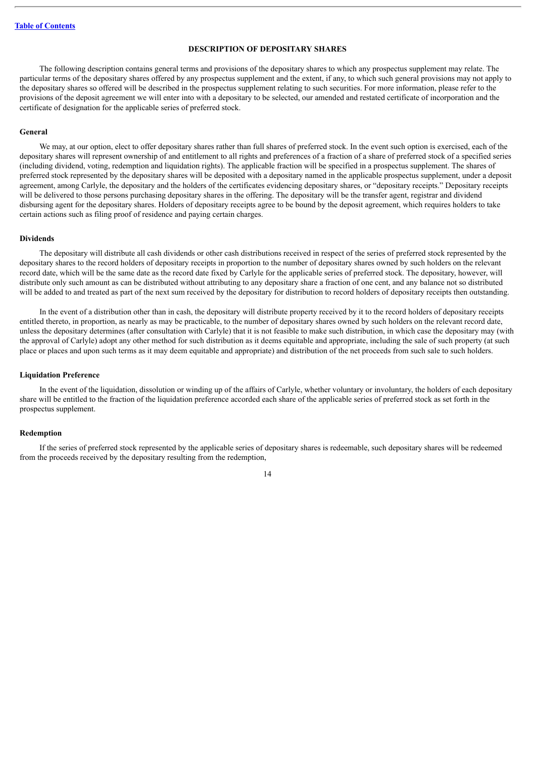# **DESCRIPTION OF DEPOSITARY SHARES**

<span id="page-33-0"></span>The following description contains general terms and provisions of the depositary shares to which any prospectus supplement may relate. The particular terms of the depositary shares offered by any prospectus supplement and the extent, if any, to which such general provisions may not apply to the depositary shares so offered will be described in the prospectus supplement relating to such securities. For more information, please refer to the provisions of the deposit agreement we will enter into with a depositary to be selected, our amended and restated certificate of incorporation and the certificate of designation for the applicable series of preferred stock.

#### **General**

We may, at our option, elect to offer depositary shares rather than full shares of preferred stock. In the event such option is exercised, each of the depositary shares will represent ownership of and entitlement to all rights and preferences of a fraction of a share of preferred stock of a specified series (including dividend, voting, redemption and liquidation rights). The applicable fraction will be specified in a prospectus supplement. The shares of preferred stock represented by the depositary shares will be deposited with a depositary named in the applicable prospectus supplement, under a deposit agreement, among Carlyle, the depositary and the holders of the certificates evidencing depositary shares, or "depositary receipts." Depositary receipts will be delivered to those persons purchasing depositary shares in the offering. The depositary will be the transfer agent, registrar and dividend disbursing agent for the depositary shares. Holders of depositary receipts agree to be bound by the deposit agreement, which requires holders to take certain actions such as filing proof of residence and paying certain charges.

#### **Dividends**

The depositary will distribute all cash dividends or other cash distributions received in respect of the series of preferred stock represented by the depositary shares to the record holders of depositary receipts in proportion to the number of depositary shares owned by such holders on the relevant record date, which will be the same date as the record date fixed by Carlyle for the applicable series of preferred stock. The depositary, however, will distribute only such amount as can be distributed without attributing to any depositary share a fraction of one cent, and any balance not so distributed will be added to and treated as part of the next sum received by the depositary for distribution to record holders of depositary receipts then outstanding.

In the event of a distribution other than in cash, the depositary will distribute property received by it to the record holders of depositary receipts entitled thereto, in proportion, as nearly as may be practicable, to the number of depositary shares owned by such holders on the relevant record date, unless the depositary determines (after consultation with Carlyle) that it is not feasible to make such distribution, in which case the depositary may (with the approval of Carlyle) adopt any other method for such distribution as it deems equitable and appropriate, including the sale of such property (at such place or places and upon such terms as it may deem equitable and appropriate) and distribution of the net proceeds from such sale to such holders.

#### **Liquidation Preference**

In the event of the liquidation, dissolution or winding up of the affairs of Carlyle, whether voluntary or involuntary, the holders of each depositary share will be entitled to the fraction of the liquidation preference accorded each share of the applicable series of preferred stock as set forth in the prospectus supplement.

#### **Redemption**

If the series of preferred stock represented by the applicable series of depositary shares is redeemable, such depositary shares will be redeemed from the proceeds received by the depositary resulting from the redemption,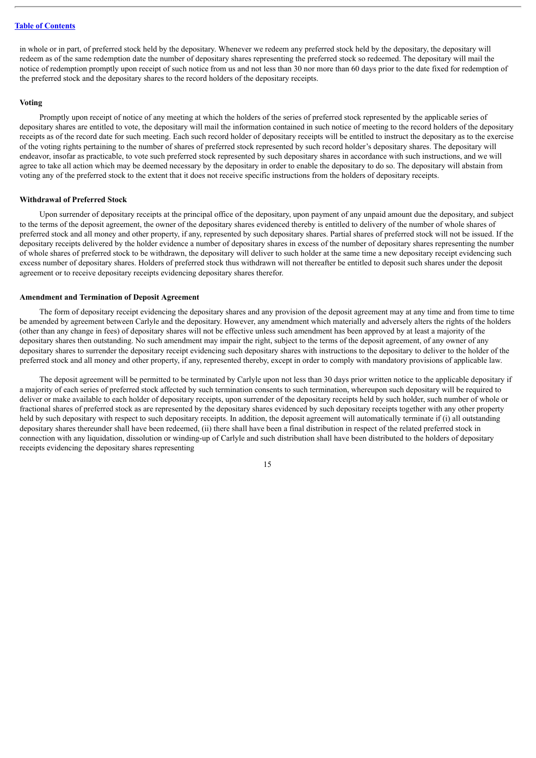in whole or in part, of preferred stock held by the depositary. Whenever we redeem any preferred stock held by the depositary, the depositary will redeem as of the same redemption date the number of depositary shares representing the preferred stock so redeemed. The depositary will mail the notice of redemption promptly upon receipt of such notice from us and not less than 30 nor more than 60 days prior to the date fixed for redemption of the preferred stock and the depositary shares to the record holders of the depositary receipts.

#### **Voting**

Promptly upon receipt of notice of any meeting at which the holders of the series of preferred stock represented by the applicable series of depositary shares are entitled to vote, the depositary will mail the information contained in such notice of meeting to the record holders of the depositary receipts as of the record date for such meeting. Each such record holder of depositary receipts will be entitled to instruct the depositary as to the exercise of the voting rights pertaining to the number of shares of preferred stock represented by such record holder's depositary shares. The depositary will endeavor, insofar as practicable, to vote such preferred stock represented by such depositary shares in accordance with such instructions, and we will agree to take all action which may be deemed necessary by the depositary in order to enable the depositary to do so. The depositary will abstain from voting any of the preferred stock to the extent that it does not receive specific instructions from the holders of depositary receipts.

#### **Withdrawal of Preferred Stock**

Upon surrender of depositary receipts at the principal office of the depositary, upon payment of any unpaid amount due the depositary, and subject to the terms of the deposit agreement, the owner of the depositary shares evidenced thereby is entitled to delivery of the number of whole shares of preferred stock and all money and other property, if any, represented by such depositary shares. Partial shares of preferred stock will not be issued. If the depositary receipts delivered by the holder evidence a number of depositary shares in excess of the number of depositary shares representing the number of whole shares of preferred stock to be withdrawn, the depositary will deliver to such holder at the same time a new depositary receipt evidencing such excess number of depositary shares. Holders of preferred stock thus withdrawn will not thereafter be entitled to deposit such shares under the deposit agreement or to receive depositary receipts evidencing depositary shares therefor.

#### **Amendment and Termination of Deposit Agreement**

The form of depositary receipt evidencing the depositary shares and any provision of the deposit agreement may at any time and from time to time be amended by agreement between Carlyle and the depositary. However, any amendment which materially and adversely alters the rights of the holders (other than any change in fees) of depositary shares will not be effective unless such amendment has been approved by at least a majority of the depositary shares then outstanding. No such amendment may impair the right, subject to the terms of the deposit agreement, of any owner of any depositary shares to surrender the depositary receipt evidencing such depositary shares with instructions to the depositary to deliver to the holder of the preferred stock and all money and other property, if any, represented thereby, except in order to comply with mandatory provisions of applicable law.

The deposit agreement will be permitted to be terminated by Carlyle upon not less than 30 days prior written notice to the applicable depositary if a majority of each series of preferred stock affected by such termination consents to such termination, whereupon such depositary will be required to deliver or make available to each holder of depositary receipts, upon surrender of the depositary receipts held by such holder, such number of whole or fractional shares of preferred stock as are represented by the depositary shares evidenced by such depositary receipts together with any other property held by such depositary with respect to such depositary receipts. In addition, the deposit agreement will automatically terminate if (i) all outstanding depositary shares thereunder shall have been redeemed, (ii) there shall have been a final distribution in respect of the related preferred stock in connection with any liquidation, dissolution or winding-up of Carlyle and such distribution shall have been distributed to the holders of depositary receipts evidencing the depositary shares representing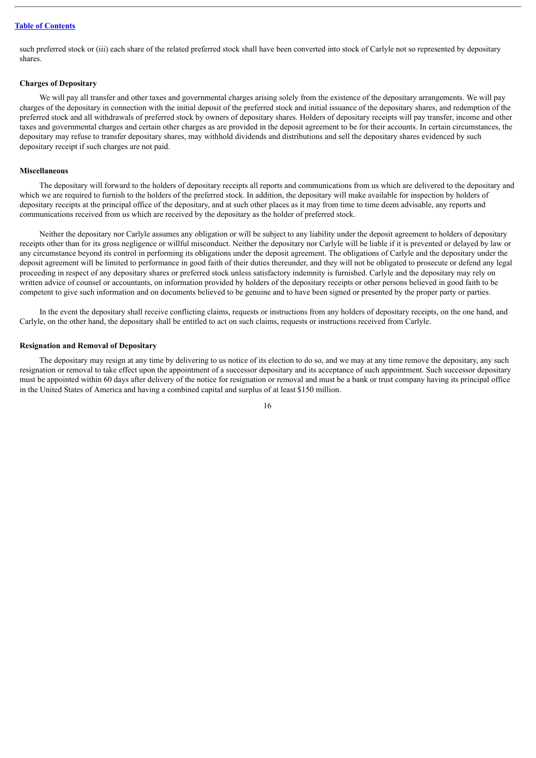such preferred stock or (iii) each share of the related preferred stock shall have been converted into stock of Carlyle not so represented by depositary shares.

# **Charges of Depositary**

We will pay all transfer and other taxes and governmental charges arising solely from the existence of the depositary arrangements. We will pay charges of the depositary in connection with the initial deposit of the preferred stock and initial issuance of the depositary shares, and redemption of the preferred stock and all withdrawals of preferred stock by owners of depositary shares. Holders of depositary receipts will pay transfer, income and other taxes and governmental charges and certain other charges as are provided in the deposit agreement to be for their accounts. In certain circumstances, the depositary may refuse to transfer depositary shares, may withhold dividends and distributions and sell the depositary shares evidenced by such depositary receipt if such charges are not paid.

#### **Miscellaneous**

The depositary will forward to the holders of depositary receipts all reports and communications from us which are delivered to the depositary and which we are required to furnish to the holders of the preferred stock. In addition, the depositary will make available for inspection by holders of depositary receipts at the principal office of the depositary, and at such other places as it may from time to time deem advisable, any reports and communications received from us which are received by the depositary as the holder of preferred stock.

Neither the depositary nor Carlyle assumes any obligation or will be subject to any liability under the deposit agreement to holders of depositary receipts other than for its gross negligence or willful misconduct. Neither the depositary nor Carlyle will be liable if it is prevented or delayed by law or any circumstance beyond its control in performing its obligations under the deposit agreement. The obligations of Carlyle and the depositary under the deposit agreement will be limited to performance in good faith of their duties thereunder, and they will not be obligated to prosecute or defend any legal proceeding in respect of any depositary shares or preferred stock unless satisfactory indemnity is furnished. Carlyle and the depositary may rely on written advice of counsel or accountants, on information provided by holders of the depositary receipts or other persons believed in good faith to be competent to give such information and on documents believed to be genuine and to have been signed or presented by the proper party or parties.

In the event the depositary shall receive conflicting claims, requests or instructions from any holders of depositary receipts, on the one hand, and Carlyle, on the other hand, the depositary shall be entitled to act on such claims, requests or instructions received from Carlyle.

#### **Resignation and Removal of Depositary**

The depositary may resign at any time by delivering to us notice of its election to do so, and we may at any time remove the depositary, any such resignation or removal to take effect upon the appointment of a successor depositary and its acceptance of such appointment. Such successor depositary must be appointed within 60 days after delivery of the notice for resignation or removal and must be a bank or trust company having its principal office in the United States of America and having a combined capital and surplus of at least \$150 million.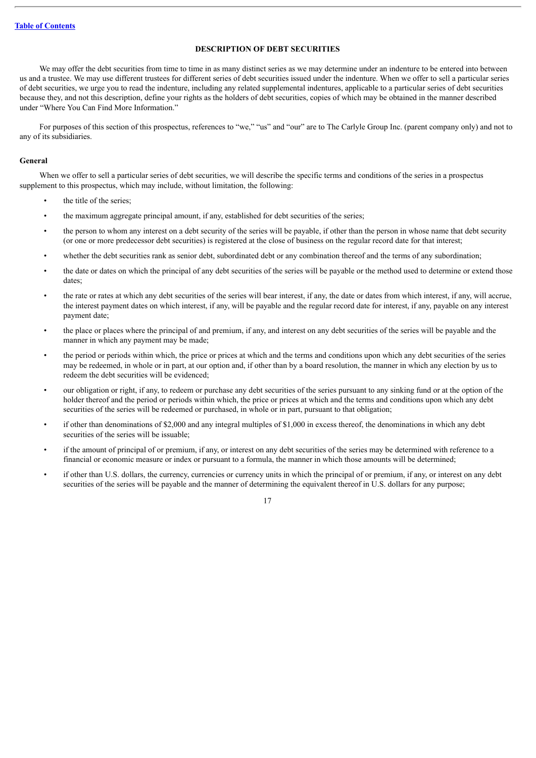# **DESCRIPTION OF DEBT SECURITIES**

<span id="page-36-0"></span>We may offer the debt securities from time to time in as many distinct series as we may determine under an indenture to be entered into between us and a trustee. We may use different trustees for different series of debt securities issued under the indenture. When we offer to sell a particular series of debt securities, we urge you to read the indenture, including any related supplemental indentures, applicable to a particular series of debt securities because they, and not this description, define your rights as the holders of debt securities, copies of which may be obtained in the manner described under "Where You Can Find More Information."

For purposes of this section of this prospectus, references to "we," "us" and "our" are to The Carlyle Group Inc. (parent company only) and not to any of its subsidiaries.

#### **General**

When we offer to sell a particular series of debt securities, we will describe the specific terms and conditions of the series in a prospectus supplement to this prospectus, which may include, without limitation, the following:

- the title of the series;
- the maximum aggregate principal amount, if any, established for debt securities of the series;
- the person to whom any interest on a debt security of the series will be payable, if other than the person in whose name that debt security (or one or more predecessor debt securities) is registered at the close of business on the regular record date for that interest;
- whether the debt securities rank as senior debt, subordinated debt or any combination thereof and the terms of any subordination;
- the date or dates on which the principal of any debt securities of the series will be payable or the method used to determine or extend those dates;
- the rate or rates at which any debt securities of the series will bear interest, if any, the date or dates from which interest, if any, will accrue, the interest payment dates on which interest, if any, will be payable and the regular record date for interest, if any, payable on any interest payment date;
- the place or places where the principal of and premium, if any, and interest on any debt securities of the series will be payable and the manner in which any payment may be made;
- the period or periods within which, the price or prices at which and the terms and conditions upon which any debt securities of the series may be redeemed, in whole or in part, at our option and, if other than by a board resolution, the manner in which any election by us to redeem the debt securities will be evidenced;
- our obligation or right, if any, to redeem or purchase any debt securities of the series pursuant to any sinking fund or at the option of the holder thereof and the period or periods within which, the price or prices at which and the terms and conditions upon which any debt securities of the series will be redeemed or purchased, in whole or in part, pursuant to that obligation;
- if other than denominations of \$2,000 and any integral multiples of \$1,000 in excess thereof, the denominations in which any debt securities of the series will be issuable;
- if the amount of principal of or premium, if any, or interest on any debt securities of the series may be determined with reference to a financial or economic measure or index or pursuant to a formula, the manner in which those amounts will be determined;
- if other than U.S. dollars, the currency, currencies or currency units in which the principal of or premium, if any, or interest on any debt securities of the series will be payable and the manner of determining the equivalent thereof in U.S. dollars for any purpose;

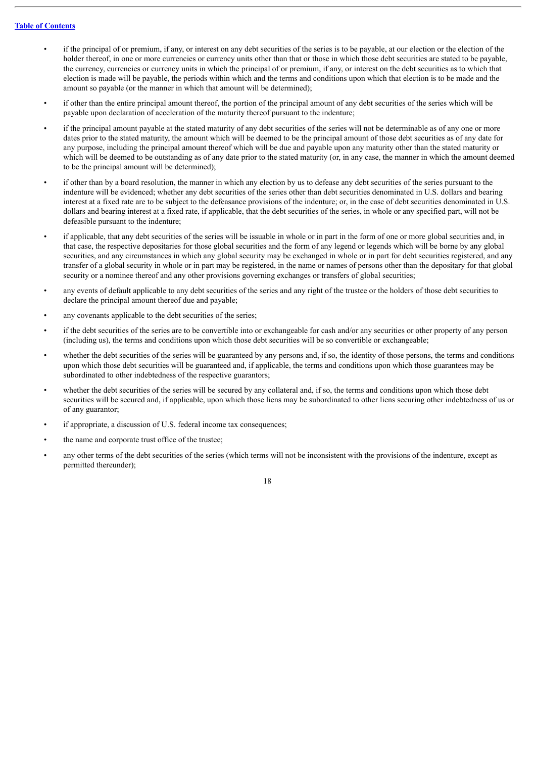- if the principal of or premium, if any, or interest on any debt securities of the series is to be payable, at our election or the election of the holder thereof, in one or more currencies or currency units other than that or those in which those debt securities are stated to be payable. the currency, currencies or currency units in which the principal of or premium, if any, or interest on the debt securities as to which that election is made will be payable, the periods within which and the terms and conditions upon which that election is to be made and the amount so payable (or the manner in which that amount will be determined);
- if other than the entire principal amount thereof, the portion of the principal amount of any debt securities of the series which will be payable upon declaration of acceleration of the maturity thereof pursuant to the indenture;
- if the principal amount payable at the stated maturity of any debt securities of the series will not be determinable as of any one or more dates prior to the stated maturity, the amount which will be deemed to be the principal amount of those debt securities as of any date for any purpose, including the principal amount thereof which will be due and payable upon any maturity other than the stated maturity or which will be deemed to be outstanding as of any date prior to the stated maturity (or, in any case, the manner in which the amount deemed to be the principal amount will be determined);
- if other than by a board resolution, the manner in which any election by us to defease any debt securities of the series pursuant to the indenture will be evidenced; whether any debt securities of the series other than debt securities denominated in U.S. dollars and bearing interest at a fixed rate are to be subject to the defeasance provisions of the indenture; or, in the case of debt securities denominated in U.S. dollars and bearing interest at a fixed rate, if applicable, that the debt securities of the series, in whole or any specified part, will not be defeasible pursuant to the indenture;
- if applicable, that any debt securities of the series will be issuable in whole or in part in the form of one or more global securities and, in that case, the respective depositaries for those global securities and the form of any legend or legends which will be borne by any global securities, and any circumstances in which any global security may be exchanged in whole or in part for debt securities registered, and any transfer of a global security in whole or in part may be registered, in the name or names of persons other than the depositary for that global security or a nominee thereof and any other provisions governing exchanges or transfers of global securities;
- any events of default applicable to any debt securities of the series and any right of the trustee or the holders of those debt securities to declare the principal amount thereof due and payable;
- any covenants applicable to the debt securities of the series;
- if the debt securities of the series are to be convertible into or exchangeable for cash and/or any securities or other property of any person (including us), the terms and conditions upon which those debt securities will be so convertible or exchangeable;
- whether the debt securities of the series will be guaranteed by any persons and, if so, the identity of those persons, the terms and conditions upon which those debt securities will be guaranteed and, if applicable, the terms and conditions upon which those guarantees may be subordinated to other indebtedness of the respective guarantors:
- whether the debt securities of the series will be secured by any collateral and, if so, the terms and conditions upon which those debt securities will be secured and, if applicable, upon which those liens may be subordinated to other liens securing other indebtedness of us or of any guarantor;
- if appropriate, a discussion of U.S. federal income tax consequences:
- the name and corporate trust office of the trustee;
- any other terms of the debt securities of the series (which terms will not be inconsistent with the provisions of the indenture, except as permitted thereunder);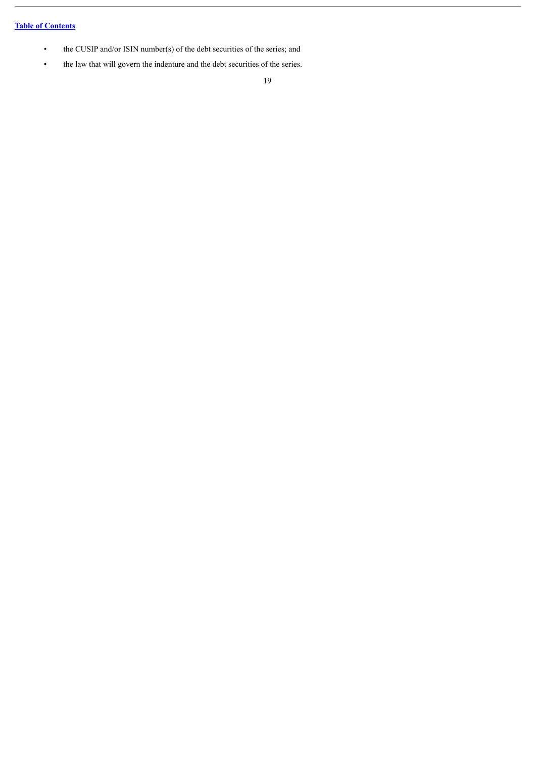- the CUSIP and/or ISIN number(s) of the debt securities of the series; and
- the law that will govern the indenture and the debt securities of the series.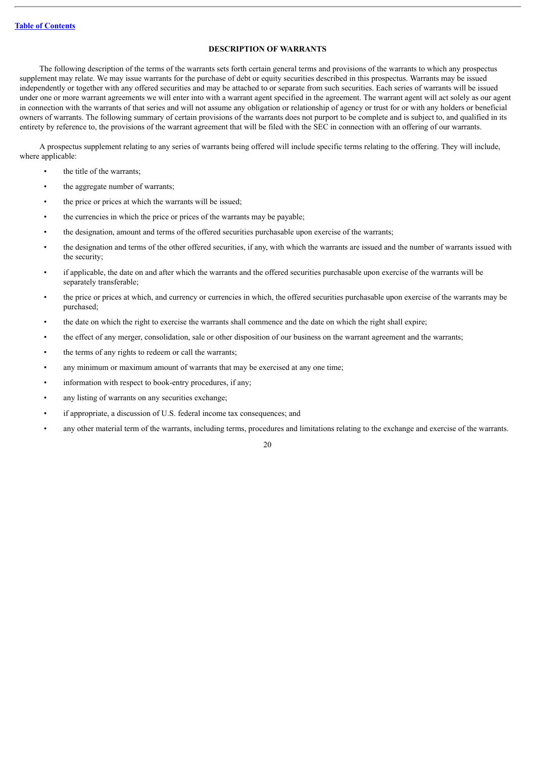# **DESCRIPTION OF WARRANTS**

<span id="page-39-0"></span>The following description of the terms of the warrants sets forth certain general terms and provisions of the warrants to which any prospectus supplement may relate. We may issue warrants for the purchase of debt or equity securities described in this prospectus. Warrants may be issued independently or together with any offered securities and may be attached to or separate from such securities. Each series of warrants will be issued under one or more warrant agreements we will enter into with a warrant agent specified in the agreement. The warrant agent will act solely as our agent in connection with the warrants of that series and will not assume any obligation or relationship of agency or trust for or with any holders or beneficial owners of warrants. The following summary of certain provisions of the warrants does not purport to be complete and is subject to, and qualified in its entirety by reference to, the provisions of the warrant agreement that will be filed with the SEC in connection with an offering of our warrants.

A prospectus supplement relating to any series of warrants being offered will include specific terms relating to the offering. They will include, where applicable:

- the title of the warrants;
- the aggregate number of warrants;
- the price or prices at which the warrants will be issued;
- the currencies in which the price or prices of the warrants may be payable;
- the designation, amount and terms of the offered securities purchasable upon exercise of the warrants;
- the designation and terms of the other offered securities, if any, with which the warrants are issued and the number of warrants issued with the security;
- if applicable, the date on and after which the warrants and the offered securities purchasable upon exercise of the warrants will be separately transferable;
- the price or prices at which, and currency or currencies in which, the offered securities purchasable upon exercise of the warrants may be purchased;
- the date on which the right to exercise the warrants shall commence and the date on which the right shall expire;
- the effect of any merger, consolidation, sale or other disposition of our business on the warrant agreement and the warrants;
- the terms of any rights to redeem or call the warrants;
- any minimum or maximum amount of warrants that may be exercised at any one time;
- information with respect to book-entry procedures, if any;
- any listing of warrants on any securities exchange;
- if appropriate, a discussion of U.S. federal income tax consequences; and
- any other material term of the warrants, including terms, procedures and limitations relating to the exchange and exercise of the warrants.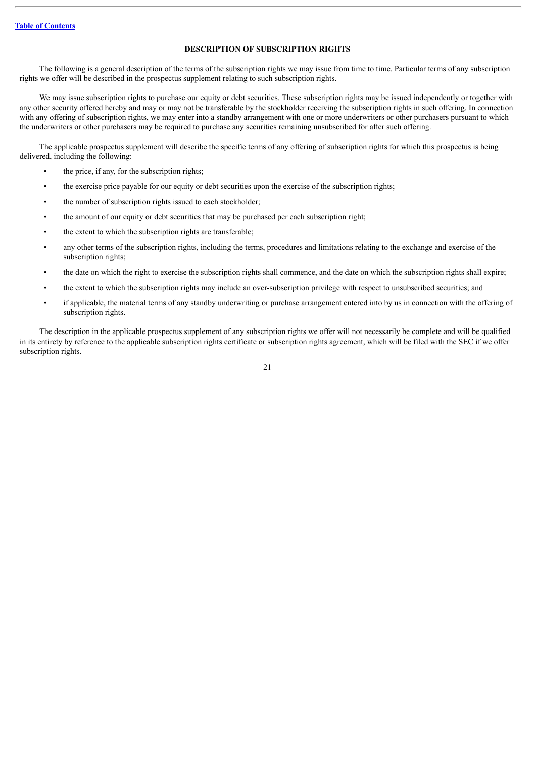# **DESCRIPTION OF SUBSCRIPTION RIGHTS**

<span id="page-40-0"></span>The following is a general description of the terms of the subscription rights we may issue from time to time. Particular terms of any subscription rights we offer will be described in the prospectus supplement relating to such subscription rights.

We may issue subscription rights to purchase our equity or debt securities. These subscription rights may be issued independently or together with any other security offered hereby and may or may not be transferable by the stockholder receiving the subscription rights in such offering. In connection with any offering of subscription rights, we may enter into a standby arrangement with one or more underwriters or other purchasers pursuant to which the underwriters or other purchasers may be required to purchase any securities remaining unsubscribed for after such offering.

The applicable prospectus supplement will describe the specific terms of any offering of subscription rights for which this prospectus is being delivered, including the following:

- the price, if any, for the subscription rights;
- the exercise price payable for our equity or debt securities upon the exercise of the subscription rights;
- the number of subscription rights issued to each stockholder;
- the amount of our equity or debt securities that may be purchased per each subscription right;
- the extent to which the subscription rights are transferable;
- any other terms of the subscription rights, including the terms, procedures and limitations relating to the exchange and exercise of the subscription rights;
- the date on which the right to exercise the subscription rights shall commence, and the date on which the subscription rights shall expire;
- the extent to which the subscription rights may include an over-subscription privilege with respect to unsubscribed securities; and
- if applicable, the material terms of any standby underwriting or purchase arrangement entered into by us in connection with the offering of subscription rights.

The description in the applicable prospectus supplement of any subscription rights we offer will not necessarily be complete and will be qualified in its entirety by reference to the applicable subscription rights certificate or subscription rights agreement, which will be filed with the SEC if we offer subscription rights.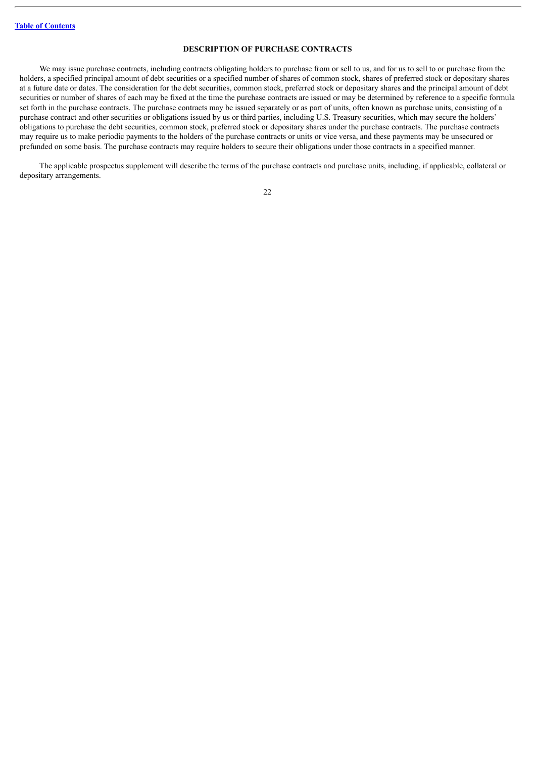# **DESCRIPTION OF PURCHASE CONTRACTS**

<span id="page-41-0"></span>We may issue purchase contracts, including contracts obligating holders to purchase from or sell to us, and for us to sell to or purchase from the holders, a specified principal amount of debt securities or a specified number of shares of common stock, shares of preferred stock or depositary shares at a future date or dates. The consideration for the debt securities, common stock, preferred stock or depositary shares and the principal amount of debt securities or number of shares of each may be fixed at the time the purchase contracts are issued or may be determined by reference to a specific formula set forth in the purchase contracts. The purchase contracts may be issued separately or as part of units, often known as purchase units, consisting of a purchase contract and other securities or obligations issued by us or third parties, including U.S. Treasury securities, which may secure the holders' obligations to purchase the debt securities, common stock, preferred stock or depositary shares under the purchase contracts. The purchase contracts may require us to make periodic payments to the holders of the purchase contracts or units or vice versa, and these payments may be unsecured or prefunded on some basis. The purchase contracts may require holders to secure their obligations under those contracts in a specified manner.

The applicable prospectus supplement will describe the terms of the purchase contracts and purchase units, including, if applicable, collateral or depositary arrangements.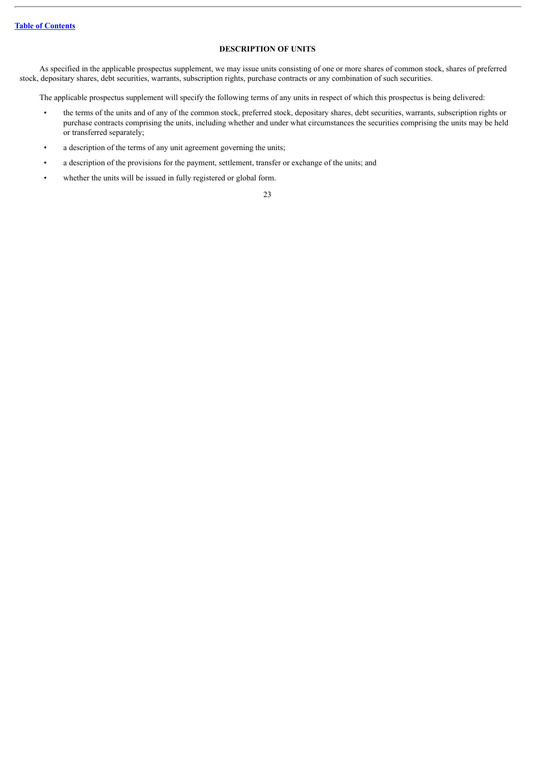# **DESCRIPTION OF UNITS**

<span id="page-42-0"></span>As specified in the applicable prospectus supplement, we may issue units consisting of one or more shares of common stock, shares of preferred stock, depositary shares, debt securities, warrants, subscription rights, purchase contracts or any combination of such securities.

The applicable prospectus supplement will specify the following terms of any units in respect of which this prospectus is being delivered:

- the terms of the units and of any of the common stock, preferred stock, depositary shares, debt securities, warrants, subscription rights or purchase contracts comprising the units, including whether and under what circumstances the securities comprising the units may be held or transferred separately;
- a description of the terms of any unit agreement governing the units;
- a description of the provisions for the payment, settlement, transfer or exchange of the units; and
- whether the units will be issued in fully registered or global form.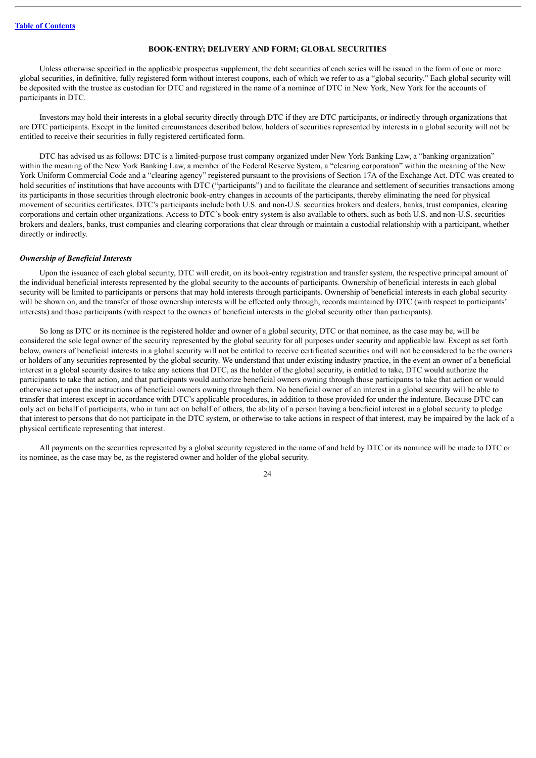#### **BOOK-ENTRY; DELIVERY AND FORM; GLOBAL SECURITIES**

<span id="page-43-0"></span>Unless otherwise specified in the applicable prospectus supplement, the debt securities of each series will be issued in the form of one or more global securities, in definitive, fully registered form without interest coupons, each of which we refer to as a "global security." Each global security will be deposited with the trustee as custodian for DTC and registered in the name of a nominee of DTC in New York, New York for the accounts of participants in DTC.

Investors may hold their interests in a global security directly through DTC if they are DTC participants, or indirectly through organizations that are DTC participants. Except in the limited circumstances described below, holders of securities represented by interests in a global security will not be entitled to receive their securities in fully registered certificated form.

DTC has advised us as follows: DTC is a limited-purpose trust company organized under New York Banking Law, a "banking organization" within the meaning of the New York Banking Law, a member of the Federal Reserve System, a "clearing corporation" within the meaning of the New York Uniform Commercial Code and a "clearing agency" registered pursuant to the provisions of Section 17A of the Exchange Act. DTC was created to hold securities of institutions that have accounts with DTC ("participants") and to facilitate the clearance and settlement of securities transactions among its participants in those securities through electronic book-entry changes in accounts of the participants, thereby eliminating the need for physical movement of securities certificates. DTC's participants include both U.S. and non-U.S. securities brokers and dealers, banks, trust companies, clearing corporations and certain other organizations. Access to DTC's book-entry system is also available to others, such as both U.S. and non-U.S. securities brokers and dealers, banks, trust companies and clearing corporations that clear through or maintain a custodial relationship with a participant, whether directly or indirectly.

#### *Ownership of Beneficial Interests*

Upon the issuance of each global security, DTC will credit, on its book-entry registration and transfer system, the respective principal amount of the individual beneficial interests represented by the global security to the accounts of participants. Ownership of beneficial interests in each global security will be limited to participants or persons that may hold interests through participants. Ownership of beneficial interests in each global security will be shown on, and the transfer of those ownership interests will be effected only through, records maintained by DTC (with respect to participants' interests) and those participants (with respect to the owners of beneficial interests in the global security other than participants).

So long as DTC or its nominee is the registered holder and owner of a global security, DTC or that nominee, as the case may be, will be considered the sole legal owner of the security represented by the global security for all purposes under security and applicable law. Except as set forth below, owners of beneficial interests in a global security will not be entitled to receive certificated securities and will not be considered to be the owners or holders of any securities represented by the global security. We understand that under existing industry practice, in the event an owner of a beneficial interest in a global security desires to take any actions that DTC, as the holder of the global security, is entitled to take, DTC would authorize the participants to take that action, and that participants would authorize beneficial owners owning through those participants to take that action or would otherwise act upon the instructions of beneficial owners owning through them. No beneficial owner of an interest in a global security will be able to transfer that interest except in accordance with DTC's applicable procedures, in addition to those provided for under the indenture. Because DTC can only act on behalf of participants, who in turn act on behalf of others, the ability of a person having a beneficial interest in a global security to pledge that interest to persons that do not participate in the DTC system, or otherwise to take actions in respect of that interest, may be impaired by the lack of a physical certificate representing that interest.

All payments on the securities represented by a global security registered in the name of and held by DTC or its nominee will be made to DTC or its nominee, as the case may be, as the registered owner and holder of the global security.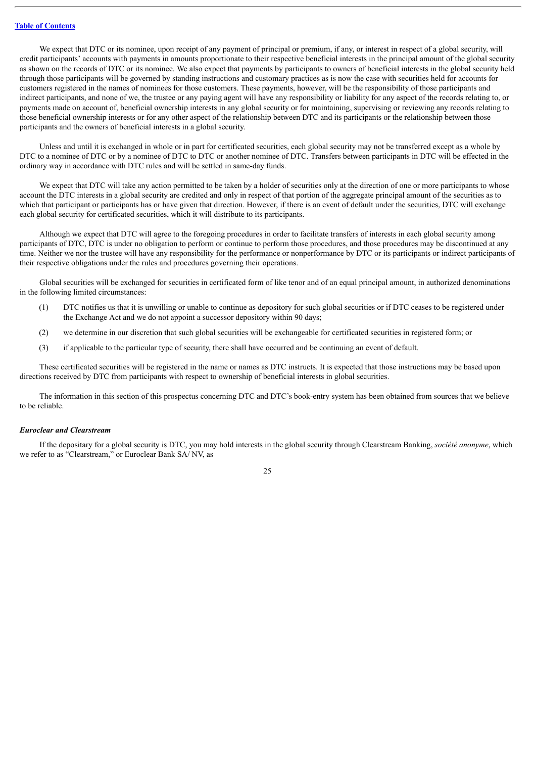We expect that DTC or its nominee, upon receipt of any payment of principal or premium, if any, or interest in respect of a global security, will credit participants' accounts with payments in amounts proportionate to their respective beneficial interests in the principal amount of the global security as shown on the records of DTC or its nominee. We also expect that payments by participants to owners of beneficial interests in the global security held through those participants will be governed by standing instructions and customary practices as is now the case with securities held for accounts for customers registered in the names of nominees for those customers. These payments, however, will be the responsibility of those participants and indirect participants, and none of we, the trustee or any paying agent will have any responsibility or liability for any aspect of the records relating to, or payments made on account of, beneficial ownership interests in any global security or for maintaining, supervising or reviewing any records relating to those beneficial ownership interests or for any other aspect of the relationship between DTC and its participants or the relationship between those participants and the owners of beneficial interests in a global security.

Unless and until it is exchanged in whole or in part for certificated securities, each global security may not be transferred except as a whole by DTC to a nominee of DTC or by a nominee of DTC to DTC or another nominee of DTC. Transfers between participants in DTC will be effected in the ordinary way in accordance with DTC rules and will be settled in same-day funds.

We expect that DTC will take any action permitted to be taken by a holder of securities only at the direction of one or more participants to whose account the DTC interests in a global security are credited and only in respect of that portion of the aggregate principal amount of the securities as to which that participant or participants has or have given that direction. However, if there is an event of default under the securities, DTC will exchange each global security for certificated securities, which it will distribute to its participants.

Although we expect that DTC will agree to the foregoing procedures in order to facilitate transfers of interests in each global security among participants of DTC, DTC is under no obligation to perform or continue to perform those procedures, and those procedures may be discontinued at any time. Neither we nor the trustee will have any responsibility for the performance or nonperformance by DTC or its participants or indirect participants of their respective obligations under the rules and procedures governing their operations.

Global securities will be exchanged for securities in certificated form of like tenor and of an equal principal amount, in authorized denominations in the following limited circumstances:

- (1) DTC notifies us that it is unwilling or unable to continue as depository for such global securities or if DTC ceases to be registered under the Exchange Act and we do not appoint a successor depository within 90 days;
- (2) we determine in our discretion that such global securities will be exchangeable for certificated securities in registered form; or
- (3) if applicable to the particular type of security, there shall have occurred and be continuing an event of default.

These certificated securities will be registered in the name or names as DTC instructs. It is expected that those instructions may be based upon directions received by DTC from participants with respect to ownership of beneficial interests in global securities.

The information in this section of this prospectus concerning DTC and DTC's book-entry system has been obtained from sources that we believe to be reliable.

#### *Euroclear and Clearstream*

If the depositary for a global security is DTC, you may hold interests in the global security through Clearstream Banking, *société anonyme*, which we refer to as "Clearstream," or Euroclear Bank SA/ NV, as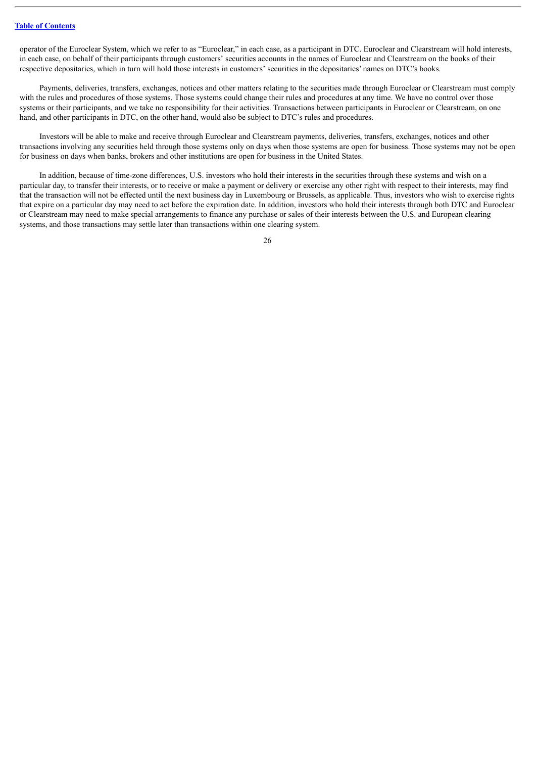operator of the Euroclear System, which we refer to as "Euroclear," in each case, as a participant in DTC. Euroclear and Clearstream will hold interests, in each case, on behalf of their participants through customers' securities accounts in the names of Euroclear and Clearstream on the books of their respective depositaries, which in turn will hold those interests in customers' securities in the depositaries' names on DTC's books.

Payments, deliveries, transfers, exchanges, notices and other matters relating to the securities made through Euroclear or Clearstream must comply with the rules and procedures of those systems. Those systems could change their rules and procedures at any time. We have no control over those systems or their participants, and we take no responsibility for their activities. Transactions between participants in Euroclear or Clearstream, on one hand, and other participants in DTC, on the other hand, would also be subject to DTC's rules and procedures.

Investors will be able to make and receive through Euroclear and Clearstream payments, deliveries, transfers, exchanges, notices and other transactions involving any securities held through those systems only on days when those systems are open for business. Those systems may not be open for business on days when banks, brokers and other institutions are open for business in the United States.

In addition, because of time-zone differences, U.S. investors who hold their interests in the securities through these systems and wish on a particular day, to transfer their interests, or to receive or make a payment or delivery or exercise any other right with respect to their interests, may find that the transaction will not be effected until the next business day in Luxembourg or Brussels, as applicable. Thus, investors who wish to exercise rights that expire on a particular day may need to act before the expiration date. In addition, investors who hold their interests through both DTC and Euroclear or Clearstream may need to make special arrangements to finance any purchase or sales of their interests between the U.S. and European clearing systems, and those transactions may settle later than transactions within one clearing system.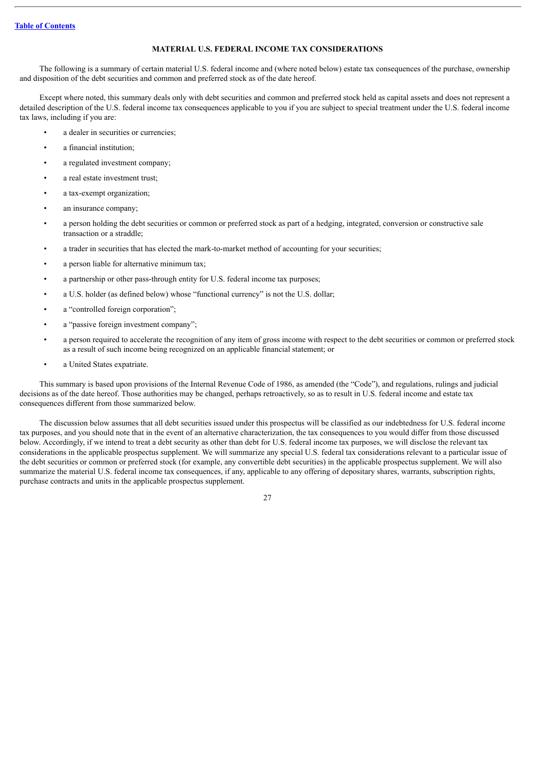# **MATERIAL U.S. FEDERAL INCOME TAX CONSIDERATIONS**

<span id="page-46-0"></span>The following is a summary of certain material U.S. federal income and (where noted below) estate tax consequences of the purchase, ownership and disposition of the debt securities and common and preferred stock as of the date hereof.

Except where noted, this summary deals only with debt securities and common and preferred stock held as capital assets and does not represent a detailed description of the U.S. federal income tax consequences applicable to you if you are subject to special treatment under the U.S. federal income tax laws, including if you are:

- a dealer in securities or currencies;
- a financial institution:
- a regulated investment company;
- a real estate investment trust;
- a tax-exempt organization;
- an insurance company;
- a person holding the debt securities or common or preferred stock as part of a hedging, integrated, conversion or constructive sale transaction or a straddle;
- a trader in securities that has elected the mark-to-market method of accounting for your securities;
- a person liable for alternative minimum tax;
- a partnership or other pass-through entity for U.S. federal income tax purposes;
- a U.S. holder (as defined below) whose "functional currency" is not the U.S. dollar;
- a "controlled foreign corporation";
- a "passive foreign investment company";
- a person required to accelerate the recognition of any item of gross income with respect to the debt securities or common or preferred stock as a result of such income being recognized on an applicable financial statement; or
- a United States expatriate.

This summary is based upon provisions of the Internal Revenue Code of 1986, as amended (the "Code"), and regulations, rulings and judicial decisions as of the date hereof. Those authorities may be changed, perhaps retroactively, so as to result in U.S. federal income and estate tax consequences different from those summarized below.

The discussion below assumes that all debt securities issued under this prospectus will be classified as our indebtedness for U.S. federal income tax purposes, and you should note that in the event of an alternative characterization, the tax consequences to you would differ from those discussed below. Accordingly, if we intend to treat a debt security as other than debt for U.S. federal income tax purposes, we will disclose the relevant tax considerations in the applicable prospectus supplement. We will summarize any special U.S. federal tax considerations relevant to a particular issue of the debt securities or common or preferred stock (for example, any convertible debt securities) in the applicable prospectus supplement. We will also summarize the material U.S. federal income tax consequences, if any, applicable to any offering of depositary shares, warrants, subscription rights, purchase contracts and units in the applicable prospectus supplement.

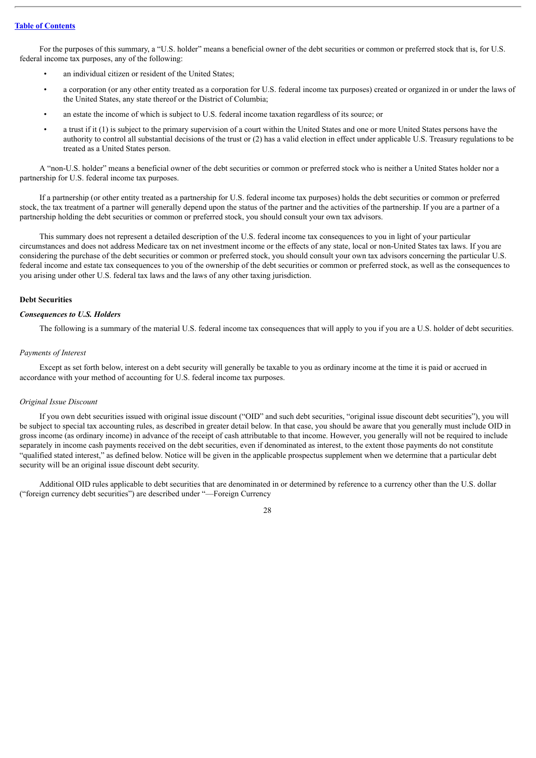For the purposes of this summary, a "U.S. holder" means a beneficial owner of the debt securities or common or preferred stock that is, for U.S. federal income tax purposes, any of the following:

- an individual citizen or resident of the United States;
- a corporation (or any other entity treated as a corporation for U.S. federal income tax purposes) created or organized in or under the laws of the United States, any state thereof or the District of Columbia;
- an estate the income of which is subject to U.S. federal income taxation regardless of its source; or
- a trust if it (1) is subject to the primary supervision of a court within the United States and one or more United States persons have the authority to control all substantial decisions of the trust or (2) has a valid election in effect under applicable U.S. Treasury regulations to be treated as a United States person.

A "non-U.S. holder" means a beneficial owner of the debt securities or common or preferred stock who is neither a United States holder nor a partnership for U.S. federal income tax purposes.

If a partnership (or other entity treated as a partnership for U.S. federal income tax purposes) holds the debt securities or common or preferred stock, the tax treatment of a partner will generally depend upon the status of the partner and the activities of the partnership. If you are a partner of a partnership holding the debt securities or common or preferred stock, you should consult your own tax advisors.

This summary does not represent a detailed description of the U.S. federal income tax consequences to you in light of your particular circumstances and does not address Medicare tax on net investment income or the effects of any state, local or non-United States tax laws. If you are considering the purchase of the debt securities or common or preferred stock, you should consult your own tax advisors concerning the particular U.S. federal income and estate tax consequences to you of the ownership of the debt securities or common or preferred stock, as well as the consequences to you arising under other U.S. federal tax laws and the laws of any other taxing jurisdiction.

#### **Debt Securities**

## *Consequences to U.S. Holders*

The following is a summary of the material U.S. federal income tax consequences that will apply to you if you are a U.S. holder of debt securities.

#### *Payments of Interest*

Except as set forth below, interest on a debt security will generally be taxable to you as ordinary income at the time it is paid or accrued in accordance with your method of accounting for U.S. federal income tax purposes.

### *Original Issue Discount*

If you own debt securities issued with original issue discount ("OID" and such debt securities, "original issue discount debt securities"), you will be subject to special tax accounting rules, as described in greater detail below. In that case, you should be aware that you generally must include OID in gross income (as ordinary income) in advance of the receipt of cash attributable to that income. However, you generally will not be required to include separately in income cash payments received on the debt securities, even if denominated as interest, to the extent those payments do not constitute "qualified stated interest," as defined below. Notice will be given in the applicable prospectus supplement when we determine that a particular debt security will be an original issue discount debt security.

Additional OID rules applicable to debt securities that are denominated in or determined by reference to a currency other than the U.S. dollar ("foreign currency debt securities") are described under "—Foreign Currency

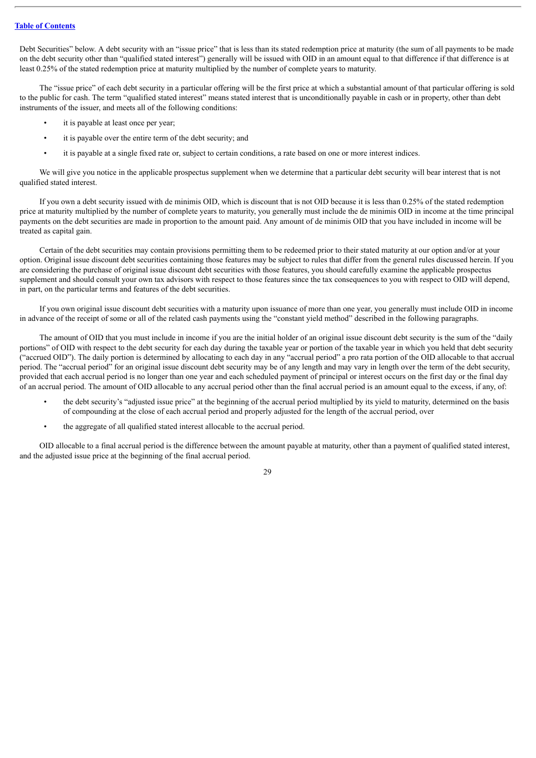Debt Securities" below. A debt security with an "issue price" that is less than its stated redemption price at maturity (the sum of all payments to be made on the debt security other than "qualified stated interest") generally will be issued with OID in an amount equal to that difference if that difference is at least 0.25% of the stated redemption price at maturity multiplied by the number of complete years to maturity.

The "issue price" of each debt security in a particular offering will be the first price at which a substantial amount of that particular offering is sold to the public for cash. The term "qualified stated interest" means stated interest that is unconditionally payable in cash or in property, other than debt instruments of the issuer, and meets all of the following conditions:

- it is payable at least once per year;
- it is payable over the entire term of the debt security; and
- it is payable at a single fixed rate or, subject to certain conditions, a rate based on one or more interest indices.

We will give you notice in the applicable prospectus supplement when we determine that a particular debt security will bear interest that is not qualified stated interest.

If you own a debt security issued with de minimis OID, which is discount that is not OID because it is less than 0.25% of the stated redemption price at maturity multiplied by the number of complete years to maturity, you generally must include the de minimis OID in income at the time principal payments on the debt securities are made in proportion to the amount paid. Any amount of de minimis OID that you have included in income will be treated as capital gain.

Certain of the debt securities may contain provisions permitting them to be redeemed prior to their stated maturity at our option and/or at your option. Original issue discount debt securities containing those features may be subject to rules that differ from the general rules discussed herein. If you are considering the purchase of original issue discount debt securities with those features, you should carefully examine the applicable prospectus supplement and should consult your own tax advisors with respect to those features since the tax consequences to you with respect to OID will depend, in part, on the particular terms and features of the debt securities.

If you own original issue discount debt securities with a maturity upon issuance of more than one year, you generally must include OID in income in advance of the receipt of some or all of the related cash payments using the "constant yield method" described in the following paragraphs.

The amount of OID that you must include in income if you are the initial holder of an original issue discount debt security is the sum of the "daily portions" of OID with respect to the debt security for each day during the taxable year or portion of the taxable year in which you held that debt security ("accrued OID"). The daily portion is determined by allocating to each day in any "accrual period" a pro rata portion of the OID allocable to that accrual period. The "accrual period" for an original issue discount debt security may be of any length and may vary in length over the term of the debt security, provided that each accrual period is no longer than one year and each scheduled payment of principal or interest occurs on the first day or the final day of an accrual period. The amount of OID allocable to any accrual period other than the final accrual period is an amount equal to the excess, if any, of:

- the debt security's "adjusted issue price" at the beginning of the accrual period multiplied by its yield to maturity, determined on the basis of compounding at the close of each accrual period and properly adjusted for the length of the accrual period, over
- the aggregate of all qualified stated interest allocable to the accrual period.

OID allocable to a final accrual period is the difference between the amount payable at maturity, other than a payment of qualified stated interest, and the adjusted issue price at the beginning of the final accrual period.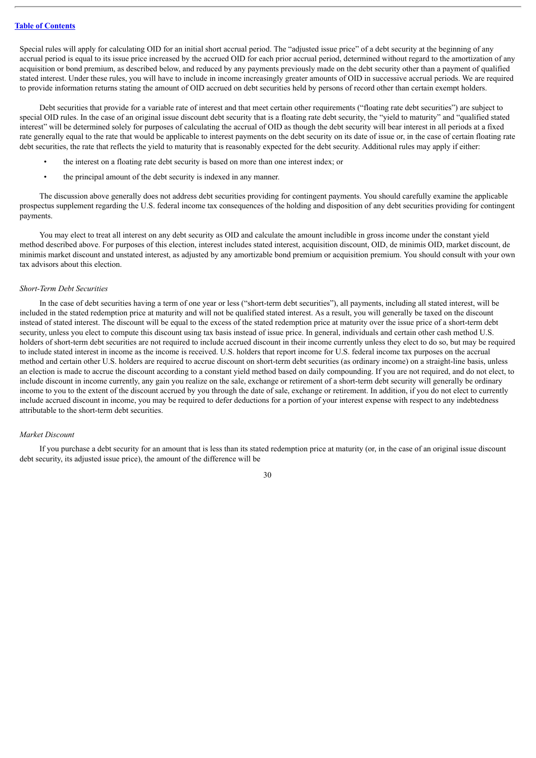Special rules will apply for calculating OID for an initial short accrual period. The "adjusted issue price" of a debt security at the beginning of any accrual period is equal to its issue price increased by the accrued OID for each prior accrual period, determined without regard to the amortization of any acquisition or bond premium, as described below, and reduced by any payments previously made on the debt security other than a payment of qualified stated interest. Under these rules, you will have to include in income increasingly greater amounts of OID in successive accrual periods. We are required to provide information returns stating the amount of OID accrued on debt securities held by persons of record other than certain exempt holders.

Debt securities that provide for a variable rate of interest and that meet certain other requirements ("floating rate debt securities") are subject to special OID rules. In the case of an original issue discount debt security that is a floating rate debt security, the "yield to maturity" and "qualified stated interest" will be determined solely for purposes of calculating the accrual of OID as though the debt security will bear interest in all periods at a fixed rate generally equal to the rate that would be applicable to interest payments on the debt security on its date of issue or, in the case of certain floating rate debt securities, the rate that reflects the yield to maturity that is reasonably expected for the debt security. Additional rules may apply if either:

- the interest on a floating rate debt security is based on more than one interest index; or
- the principal amount of the debt security is indexed in any manner.

The discussion above generally does not address debt securities providing for contingent payments. You should carefully examine the applicable prospectus supplement regarding the U.S. federal income tax consequences of the holding and disposition of any debt securities providing for contingent payments.

You may elect to treat all interest on any debt security as OID and calculate the amount includible in gross income under the constant yield method described above. For purposes of this election, interest includes stated interest, acquisition discount, OID, de minimis OID, market discount, de minimis market discount and unstated interest, as adjusted by any amortizable bond premium or acquisition premium. You should consult with your own tax advisors about this election.

#### *Short-Term Debt Securities*

In the case of debt securities having a term of one year or less ("short-term debt securities"), all payments, including all stated interest, will be included in the stated redemption price at maturity and will not be qualified stated interest. As a result, you will generally be taxed on the discount instead of stated interest. The discount will be equal to the excess of the stated redemption price at maturity over the issue price of a short-term debt security, unless you elect to compute this discount using tax basis instead of issue price. In general, individuals and certain other cash method U.S. holders of short-term debt securities are not required to include accrued discount in their income currently unless they elect to do so, but may be required to include stated interest in income as the income is received. U.S. holders that report income for U.S. federal income tax purposes on the accrual method and certain other U.S. holders are required to accrue discount on short-term debt securities (as ordinary income) on a straight-line basis, unless an election is made to accrue the discount according to a constant yield method based on daily compounding. If you are not required, and do not elect, to include discount in income currently, any gain you realize on the sale, exchange or retirement of a short-term debt security will generally be ordinary income to you to the extent of the discount accrued by you through the date of sale, exchange or retirement. In addition, if you do not elect to currently include accrued discount in income, you may be required to defer deductions for a portion of your interest expense with respect to any indebtedness attributable to the short-term debt securities.

#### *Market Discount*

If you purchase a debt security for an amount that is less than its stated redemption price at maturity (or, in the case of an original issue discount debt security, its adjusted issue price), the amount of the difference will be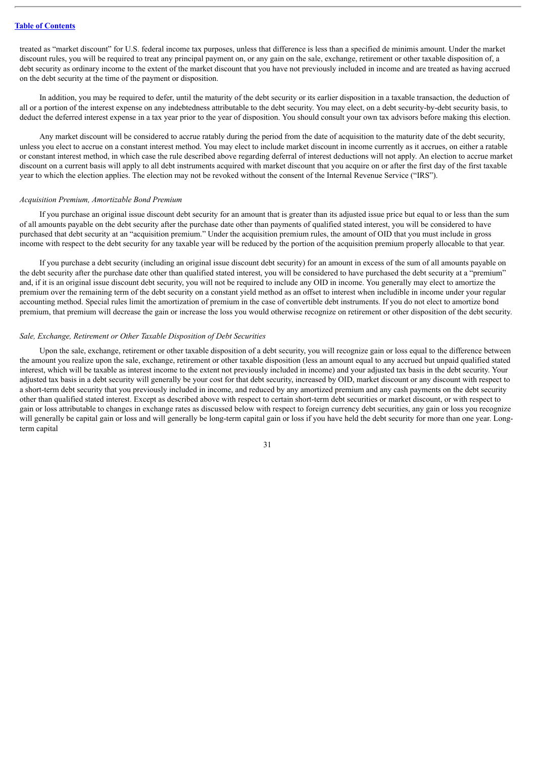treated as "market discount" for U.S. federal income tax purposes, unless that difference is less than a specified de minimis amount. Under the market discount rules, you will be required to treat any principal payment on, or any gain on the sale, exchange, retirement or other taxable disposition of, a debt security as ordinary income to the extent of the market discount that you have not previously included in income and are treated as having accrued on the debt security at the time of the payment or disposition.

In addition, you may be required to defer, until the maturity of the debt security or its earlier disposition in a taxable transaction, the deduction of all or a portion of the interest expense on any indebtedness attributable to the debt security. You may elect, on a debt security-by-debt security basis, to deduct the deferred interest expense in a tax year prior to the year of disposition. You should consult your own tax advisors before making this election.

Any market discount will be considered to accrue ratably during the period from the date of acquisition to the maturity date of the debt security, unless you elect to accrue on a constant interest method. You may elect to include market discount in income currently as it accrues, on either a ratable or constant interest method, in which case the rule described above regarding deferral of interest deductions will not apply. An election to accrue market discount on a current basis will apply to all debt instruments acquired with market discount that you acquire on or after the first day of the first taxable year to which the election applies. The election may not be revoked without the consent of the Internal Revenue Service ("IRS").

#### *Acquisition Premium, Amortizable Bond Premium*

If you purchase an original issue discount debt security for an amount that is greater than its adjusted issue price but equal to or less than the sum of all amounts payable on the debt security after the purchase date other than payments of qualified stated interest, you will be considered to have purchased that debt security at an "acquisition premium." Under the acquisition premium rules, the amount of OID that you must include in gross income with respect to the debt security for any taxable year will be reduced by the portion of the acquisition premium properly allocable to that year.

If you purchase a debt security (including an original issue discount debt security) for an amount in excess of the sum of all amounts payable on the debt security after the purchase date other than qualified stated interest, you will be considered to have purchased the debt security at a "premium" and, if it is an original issue discount debt security, you will not be required to include any OID in income. You generally may elect to amortize the premium over the remaining term of the debt security on a constant yield method as an offset to interest when includible in income under your regular accounting method. Special rules limit the amortization of premium in the case of convertible debt instruments. If you do not elect to amortize bond premium, that premium will decrease the gain or increase the loss you would otherwise recognize on retirement or other disposition of the debt security.

#### *Sale, Exchange, Retirement or Other Taxable Disposition of Debt Securities*

Upon the sale, exchange, retirement or other taxable disposition of a debt security, you will recognize gain or loss equal to the difference between the amount you realize upon the sale, exchange, retirement or other taxable disposition (less an amount equal to any accrued but unpaid qualified stated interest, which will be taxable as interest income to the extent not previously included in income) and your adjusted tax basis in the debt security. Your adjusted tax basis in a debt security will generally be your cost for that debt security, increased by OID, market discount or any discount with respect to a short-term debt security that you previously included in income, and reduced by any amortized premium and any cash payments on the debt security other than qualified stated interest. Except as described above with respect to certain short-term debt securities or market discount, or with respect to gain or loss attributable to changes in exchange rates as discussed below with respect to foreign currency debt securities, any gain or loss you recognize will generally be capital gain or loss and will generally be long-term capital gain or loss if you have held the debt security for more than one year. Longterm capital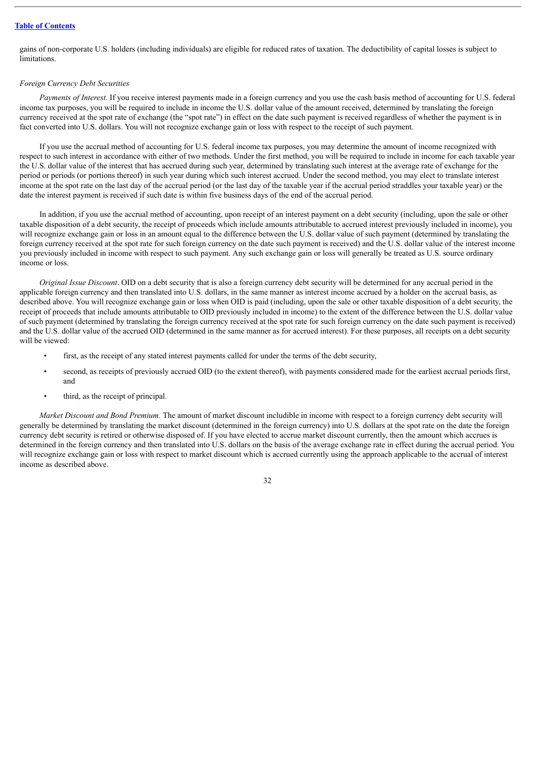gains of non-corporate U.S. holders (including individuals) are eligible for reduced rates of taxation. The deductibility of capital losses is subject to **limitations** 

#### *Foreign Currency Debt Securities*

*Payments of Interest*. If you receive interest payments made in a foreign currency and you use the cash basis method of accounting for U.S. federal income tax purposes, you will be required to include in income the U.S. dollar value of the amount received, determined by translating the foreign currency received at the spot rate of exchange (the "spot rate") in effect on the date such payment is received regardless of whether the payment is in fact converted into U.S. dollars. You will not recognize exchange gain or loss with respect to the receipt of such payment.

If you use the accrual method of accounting for U.S. federal income tax purposes, you may determine the amount of income recognized with respect to such interest in accordance with either of two methods. Under the first method, you will be required to include in income for each taxable year the U.S. dollar value of the interest that has accrued during such year, determined by translating such interest at the average rate of exchange for the period or periods (or portions thereof) in such year during which such interest accrued. Under the second method, you may elect to translate interest income at the spot rate on the last day of the accrual period (or the last day of the taxable year if the accrual period straddles your taxable year) or the date the interest payment is received if such date is within five business days of the end of the accrual period.

In addition, if you use the accrual method of accounting, upon receipt of an interest payment on a debt security (including, upon the sale or other taxable disposition of a debt security, the receipt of proceeds which include amounts attributable to accrued interest previously included in income), you will recognize exchange gain or loss in an amount equal to the difference between the U.S. dollar value of such payment (determined by translating the foreign currency received at the spot rate for such foreign currency on the date such payment is received) and the U.S. dollar value of the interest income you previously included in income with respect to such payment. Any such exchange gain or loss will generally be treated as U.S. source ordinary income or loss.

*Original Issue Discount*. OID on a debt security that is also a foreign currency debt security will be determined for any accrual period in the applicable foreign currency and then translated into U.S. dollars, in the same manner as interest income accrued by a holder on the accrual basis, as described above. You will recognize exchange gain or loss when OID is paid (including, upon the sale or other taxable disposition of a debt security, the receipt of proceeds that include amounts attributable to OID previously included in income) to the extent of the difference between the U.S. dollar value of such payment (determined by translating the foreign currency received at the spot rate for such foreign currency on the date such payment is received) and the U.S. dollar value of the accrued OID (determined in the same manner as for accrued interest). For these purposes, all receipts on a debt security will be viewed:

- first, as the receipt of any stated interest payments called for under the terms of the debt security,
- second, as receipts of previously accrued OID (to the extent thereof), with payments considered made for the earliest accrual periods first, and
- third, as the receipt of principal.

*Market Discount and Bond Premium.* The amount of market discount includible in income with respect to a foreign currency debt security will generally be determined by translating the market discount (determined in the foreign currency) into U.S. dollars at the spot rate on the date the foreign currency debt security is retired or otherwise disposed of. If you have elected to accrue market discount currently, then the amount which accrues is determined in the foreign currency and then translated into U.S. dollars on the basis of the average exchange rate in effect during the accrual period. You will recognize exchange gain or loss with respect to market discount which is accrued currently using the approach applicable to the accrual of interest income as described above.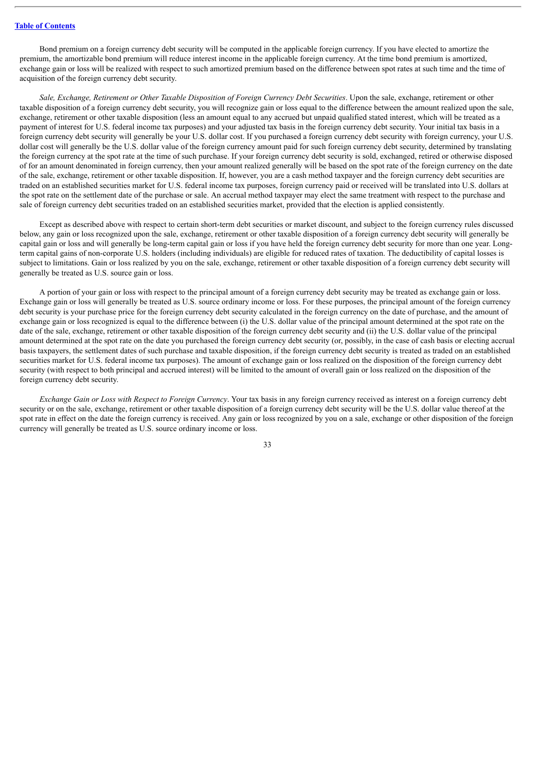Bond premium on a foreign currency debt security will be computed in the applicable foreign currency. If you have elected to amortize the premium, the amortizable bond premium will reduce interest income in the applicable foreign currency. At the time bond premium is amortized, exchange gain or loss will be realized with respect to such amortized premium based on the difference between spot rates at such time and the time of acquisition of the foreign currency debt security.

*Sale, Exchange, Retirement or Other Taxable Disposition of Foreign Currency Debt Securities*. Upon the sale, exchange, retirement or other taxable disposition of a foreign currency debt security, you will recognize gain or loss equal to the difference between the amount realized upon the sale, exchange, retirement or other taxable disposition (less an amount equal to any accrued but unpaid qualified stated interest, which will be treated as a payment of interest for U.S. federal income tax purposes) and your adjusted tax basis in the foreign currency debt security. Your initial tax basis in a foreign currency debt security will generally be your U.S. dollar cost. If you purchased a foreign currency debt security with foreign currency, your U.S. dollar cost will generally be the U.S. dollar value of the foreign currency amount paid for such foreign currency debt security, determined by translating the foreign currency at the spot rate at the time of such purchase. If your foreign currency debt security is sold, exchanged, retired or otherwise disposed of for an amount denominated in foreign currency, then your amount realized generally will be based on the spot rate of the foreign currency on the date of the sale, exchange, retirement or other taxable disposition. If, however, you are a cash method taxpayer and the foreign currency debt securities are traded on an established securities market for U.S. federal income tax purposes, foreign currency paid or received will be translated into U.S. dollars at the spot rate on the settlement date of the purchase or sale. An accrual method taxpayer may elect the same treatment with respect to the purchase and sale of foreign currency debt securities traded on an established securities market, provided that the election is applied consistently.

Except as described above with respect to certain short-term debt securities or market discount, and subject to the foreign currency rules discussed below, any gain or loss recognized upon the sale, exchange, retirement or other taxable disposition of a foreign currency debt security will generally be capital gain or loss and will generally be long-term capital gain or loss if you have held the foreign currency debt security for more than one year. Longterm capital gains of non-corporate U.S. holders (including individuals) are eligible for reduced rates of taxation. The deductibility of capital losses is subject to limitations. Gain or loss realized by you on the sale, exchange, retirement or other taxable disposition of a foreign currency debt security will generally be treated as U.S. source gain or loss.

A portion of your gain or loss with respect to the principal amount of a foreign currency debt security may be treated as exchange gain or loss. Exchange gain or loss will generally be treated as U.S. source ordinary income or loss. For these purposes, the principal amount of the foreign currency debt security is your purchase price for the foreign currency debt security calculated in the foreign currency on the date of purchase, and the amount of exchange gain or loss recognized is equal to the difference between (i) the U.S. dollar value of the principal amount determined at the spot rate on the date of the sale, exchange, retirement or other taxable disposition of the foreign currency debt security and (ii) the U.S. dollar value of the principal amount determined at the spot rate on the date you purchased the foreign currency debt security (or, possibly, in the case of cash basis or electing accrual basis taxpayers, the settlement dates of such purchase and taxable disposition, if the foreign currency debt security is treated as traded on an established securities market for U.S. federal income tax purposes). The amount of exchange gain or loss realized on the disposition of the foreign currency debt security (with respect to both principal and accrued interest) will be limited to the amount of overall gain or loss realized on the disposition of the foreign currency debt security.

*Exchange Gain or Loss with Respect to Foreign Currency*. Your tax basis in any foreign currency received as interest on a foreign currency debt security or on the sale, exchange, retirement or other taxable disposition of a foreign currency debt security will be the U.S. dollar value thereof at the spot rate in effect on the date the foreign currency is received. Any gain or loss recognized by you on a sale, exchange or other disposition of the foreign currency will generally be treated as U.S. source ordinary income or loss.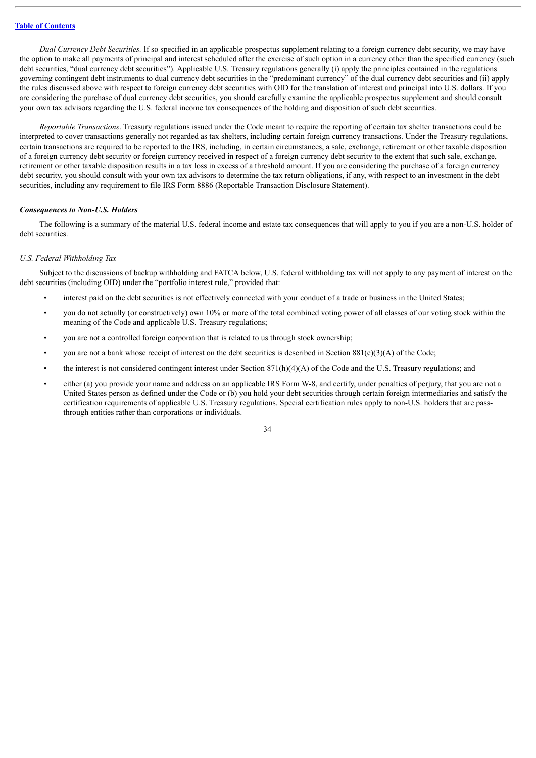*Dual Currency Debt Securities.* If so specified in an applicable prospectus supplement relating to a foreign currency debt security, we may have the option to make all payments of principal and interest scheduled after the exercise of such option in a currency other than the specified currency (such debt securities, "dual currency debt securities"). Applicable U.S. Treasury regulations generally (i) apply the principles contained in the regulations governing contingent debt instruments to dual currency debt securities in the "predominant currency" of the dual currency debt securities and (ii) apply the rules discussed above with respect to foreign currency debt securities with OID for the translation of interest and principal into U.S. dollars. If you are considering the purchase of dual currency debt securities, you should carefully examine the applicable prospectus supplement and should consult your own tax advisors regarding the U.S. federal income tax consequences of the holding and disposition of such debt securities.

*Reportable Transactions*. Treasury regulations issued under the Code meant to require the reporting of certain tax shelter transactions could be interpreted to cover transactions generally not regarded as tax shelters, including certain foreign currency transactions. Under the Treasury regulations, certain transactions are required to be reported to the IRS, including, in certain circumstances, a sale, exchange, retirement or other taxable disposition of a foreign currency debt security or foreign currency received in respect of a foreign currency debt security to the extent that such sale, exchange, retirement or other taxable disposition results in a tax loss in excess of a threshold amount. If you are considering the purchase of a foreign currency debt security, you should consult with your own tax advisors to determine the tax return obligations, if any, with respect to an investment in the debt securities, including any requirement to file IRS Form 8886 (Reportable Transaction Disclosure Statement).

#### *Consequences to Non-U.S. Holders*

The following is a summary of the material U.S. federal income and estate tax consequences that will apply to you if you are a non-U.S. holder of debt securities.

# *U.S. Federal Withholding Tax*

Subject to the discussions of backup withholding and FATCA below, U.S. federal withholding tax will not apply to any payment of interest on the debt securities (including OID) under the "portfolio interest rule," provided that:

- interest paid on the debt securities is not effectively connected with your conduct of a trade or business in the United States;
- you do not actually (or constructively) own 10% or more of the total combined voting power of all classes of our voting stock within the meaning of the Code and applicable U.S. Treasury regulations;
- you are not a controlled foreign corporation that is related to us through stock ownership;
- you are not a bank whose receipt of interest on the debt securities is described in Section  $881(c)(3)(A)$  of the Code;
- the interest is not considered contingent interest under Section 871(h)(4)(A) of the Code and the U.S. Treasury regulations; and
- either (a) you provide your name and address on an applicable IRS Form W-8, and certify, under penalties of perjury, that you are not a United States person as defined under the Code or (b) you hold your debt securities through certain foreign intermediaries and satisfy the certification requirements of applicable U.S. Treasury regulations. Special certification rules apply to non-U.S. holders that are passthrough entities rather than corporations or individuals.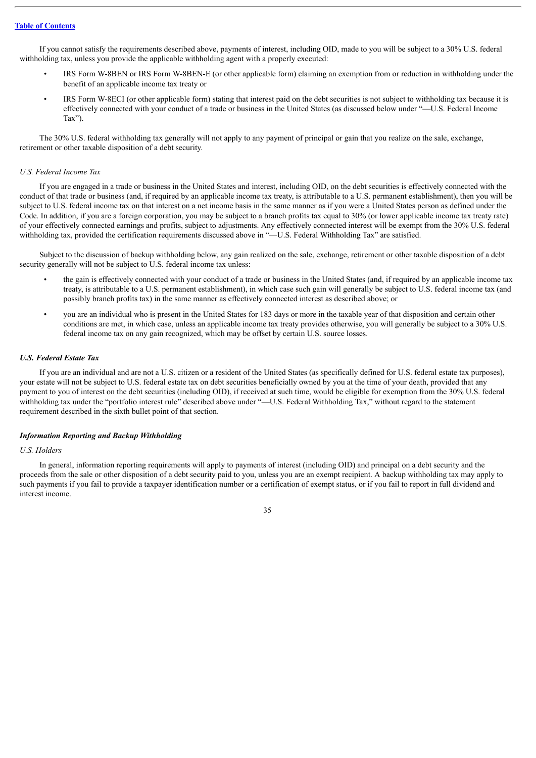If you cannot satisfy the requirements described above, payments of interest, including OID, made to you will be subject to a 30% U.S. federal withholding tax, unless you provide the applicable withholding agent with a properly executed:

- IRS Form W-8BEN or IRS Form W-8BEN-E (or other applicable form) claiming an exemption from or reduction in withholding under the benefit of an applicable income tax treaty or
- IRS Form W-8ECI (or other applicable form) stating that interest paid on the debt securities is not subject to withholding tax because it is effectively connected with your conduct of a trade or business in the United States (as discussed below under "—U.S. Federal Income Tax").

The 30% U.S. federal withholding tax generally will not apply to any payment of principal or gain that you realize on the sale, exchange, retirement or other taxable disposition of a debt security.

#### *U.S. Federal Income Tax*

If you are engaged in a trade or business in the United States and interest, including OID, on the debt securities is effectively connected with the conduct of that trade or business (and, if required by an applicable income tax treaty, is attributable to a U.S. permanent establishment), then you will be subject to U.S. federal income tax on that interest on a net income basis in the same manner as if you were a United States person as defined under the Code. In addition, if you are a foreign corporation, you may be subject to a branch profits tax equal to 30% (or lower applicable income tax treaty rate) of your effectively connected earnings and profits, subject to adjustments. Any effectively connected interest will be exempt from the 30% U.S. federal withholding tax, provided the certification requirements discussed above in "—U.S. Federal Withholding Tax" are satisfied.

Subject to the discussion of backup withholding below, any gain realized on the sale, exchange, retirement or other taxable disposition of a debt security generally will not be subject to U.S. federal income tax unless:

- the gain is effectively connected with your conduct of a trade or business in the United States (and, if required by an applicable income tax treaty, is attributable to a U.S. permanent establishment), in which case such gain will generally be subject to U.S. federal income tax (and possibly branch profits tax) in the same manner as effectively connected interest as described above; or
- you are an individual who is present in the United States for 183 days or more in the taxable year of that disposition and certain other conditions are met, in which case, unless an applicable income tax treaty provides otherwise, you will generally be subject to a 30% U.S. federal income tax on any gain recognized, which may be offset by certain U.S. source losses.

# *U.S. Federal Estate Tax*

If you are an individual and are not a U.S. citizen or a resident of the United States (as specifically defined for U.S. federal estate tax purposes), your estate will not be subject to U.S. federal estate tax on debt securities beneficially owned by you at the time of your death, provided that any payment to you of interest on the debt securities (including OID), if received at such time, would be eligible for exemption from the 30% U.S. federal withholding tax under the "portfolio interest rule" described above under "—U.S. Federal Withholding Tax," without regard to the statement requirement described in the sixth bullet point of that section.

# *Information Reporting and Backup Withholding*

#### *U.S. Holders*

In general, information reporting requirements will apply to payments of interest (including OID) and principal on a debt security and the proceeds from the sale or other disposition of a debt security paid to you, unless you are an exempt recipient. A backup withholding tax may apply to such payments if you fail to provide a taxpayer identification number or a certification of exempt status, or if you fail to report in full dividend and interest income.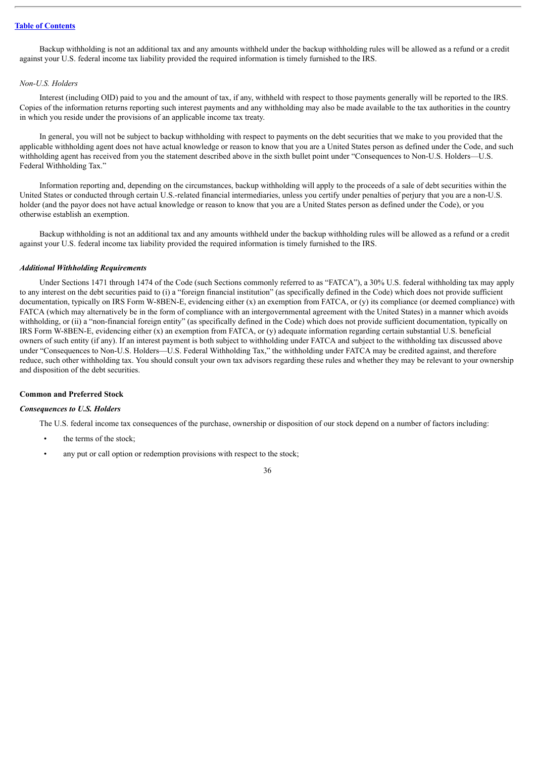Backup withholding is not an additional tax and any amounts withheld under the backup withholding rules will be allowed as a refund or a credit against your U.S. federal income tax liability provided the required information is timely furnished to the IRS.

#### *Non-U.S. Holders*

Interest (including OID) paid to you and the amount of tax, if any, withheld with respect to those payments generally will be reported to the IRS. Copies of the information returns reporting such interest payments and any withholding may also be made available to the tax authorities in the country in which you reside under the provisions of an applicable income tax treaty.

In general, you will not be subject to backup withholding with respect to payments on the debt securities that we make to you provided that the applicable withholding agent does not have actual knowledge or reason to know that you are a United States person as defined under the Code, and such withholding agent has received from you the statement described above in the sixth bullet point under "Consequences to Non-U.S. Holders—U.S. Federal Withholding Tax."

Information reporting and, depending on the circumstances, backup withholding will apply to the proceeds of a sale of debt securities within the United States or conducted through certain U.S.-related financial intermediaries, unless you certify under penalties of perjury that you are a non-U.S. holder (and the payor does not have actual knowledge or reason to know that you are a United States person as defined under the Code), or you otherwise establish an exemption.

Backup withholding is not an additional tax and any amounts withheld under the backup withholding rules will be allowed as a refund or a credit against your U.S. federal income tax liability provided the required information is timely furnished to the IRS.

#### *Additional Withholding Requirements*

Under Sections 1471 through 1474 of the Code (such Sections commonly referred to as "FATCA"), a 30% U.S. federal withholding tax may apply to any interest on the debt securities paid to (i) a "foreign financial institution" (as specifically defined in the Code) which does not provide sufficient documentation, typically on IRS Form W-8BEN-E, evidencing either (x) an exemption from FATCA, or (y) its compliance (or deemed compliance) with FATCA (which may alternatively be in the form of compliance with an intergovernmental agreement with the United States) in a manner which avoids withholding, or (ii) a "non-financial foreign entity" (as specifically defined in the Code) which does not provide sufficient documentation, typically on IRS Form W-8BEN-E, evidencing either (x) an exemption from FATCA, or (y) adequate information regarding certain substantial U.S. beneficial owners of such entity (if any). If an interest payment is both subject to withholding under FATCA and subject to the withholding tax discussed above under "Consequences to Non-U.S. Holders—U.S. Federal Withholding Tax," the withholding under FATCA may be credited against, and therefore reduce, such other withholding tax. You should consult your own tax advisors regarding these rules and whether they may be relevant to your ownership and disposition of the debt securities.

#### **Common and Preferred Stock**

# *Consequences to U.S. Holders*

The U.S. federal income tax consequences of the purchase, ownership or disposition of our stock depend on a number of factors including:

- the terms of the stock;
- any put or call option or redemption provisions with respect to the stock;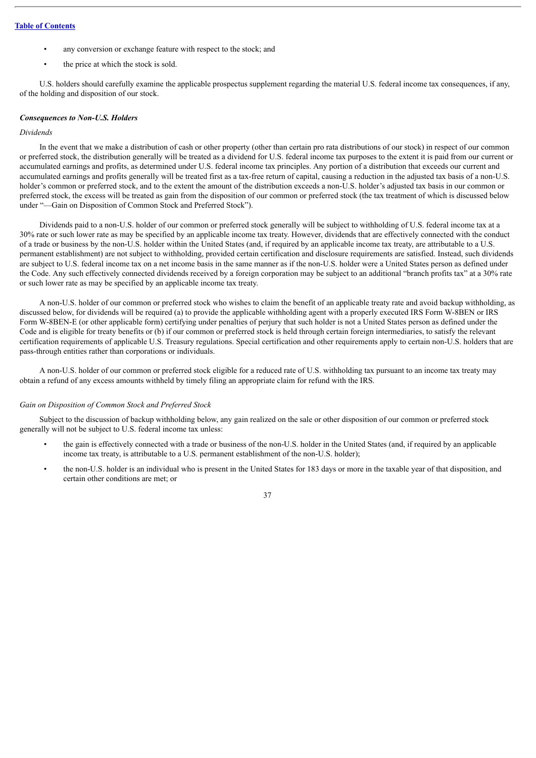- any conversion or exchange feature with respect to the stock; and
- the price at which the stock is sold.

U.S. holders should carefully examine the applicable prospectus supplement regarding the material U.S. federal income tax consequences, if any, of the holding and disposition of our stock.

#### *Consequences to Non-U.S. Holders*

# *Dividends*

In the event that we make a distribution of cash or other property (other than certain pro rata distributions of our stock) in respect of our common or preferred stock, the distribution generally will be treated as a dividend for U.S. federal income tax purposes to the extent it is paid from our current or accumulated earnings and profits, as determined under U.S. federal income tax principles. Any portion of a distribution that exceeds our current and accumulated earnings and profits generally will be treated first as a tax-free return of capital, causing a reduction in the adjusted tax basis of a non-U.S. holder's common or preferred stock, and to the extent the amount of the distribution exceeds a non-U.S. holder's adjusted tax basis in our common or preferred stock, the excess will be treated as gain from the disposition of our common or preferred stock (the tax treatment of which is discussed below under "—Gain on Disposition of Common Stock and Preferred Stock").

Dividends paid to a non-U.S. holder of our common or preferred stock generally will be subject to withholding of U.S. federal income tax at a 30% rate or such lower rate as may be specified by an applicable income tax treaty. However, dividends that are effectively connected with the conduct of a trade or business by the non-U.S. holder within the United States (and, if required by an applicable income tax treaty, are attributable to a U.S. permanent establishment) are not subject to withholding, provided certain certification and disclosure requirements are satisfied. Instead, such dividends are subject to U.S. federal income tax on a net income basis in the same manner as if the non-U.S. holder were a United States person as defined under the Code. Any such effectively connected dividends received by a foreign corporation may be subject to an additional "branch profits tax" at a 30% rate or such lower rate as may be specified by an applicable income tax treaty.

A non-U.S. holder of our common or preferred stock who wishes to claim the benefit of an applicable treaty rate and avoid backup withholding, as discussed below, for dividends will be required (a) to provide the applicable withholding agent with a properly executed IRS Form W-8BEN or IRS Form W-8BEN-E (or other applicable form) certifying under penalties of perjury that such holder is not a United States person as defined under the Code and is eligible for treaty benefits or (b) if our common or preferred stock is held through certain foreign intermediaries, to satisfy the relevant certification requirements of applicable U.S. Treasury regulations. Special certification and other requirements apply to certain non-U.S. holders that are pass-through entities rather than corporations or individuals.

A non-U.S. holder of our common or preferred stock eligible for a reduced rate of U.S. withholding tax pursuant to an income tax treaty may obtain a refund of any excess amounts withheld by timely filing an appropriate claim for refund with the IRS.

#### *Gain on Disposition of Common Stock and Preferred Stock*

Subject to the discussion of backup withholding below, any gain realized on the sale or other disposition of our common or preferred stock generally will not be subject to U.S. federal income tax unless:

- the gain is effectively connected with a trade or business of the non-U.S. holder in the United States (and, if required by an applicable income tax treaty, is attributable to a U.S. permanent establishment of the non-U.S. holder);
- the non-U.S. holder is an individual who is present in the United States for 183 days or more in the taxable year of that disposition, and certain other conditions are met; or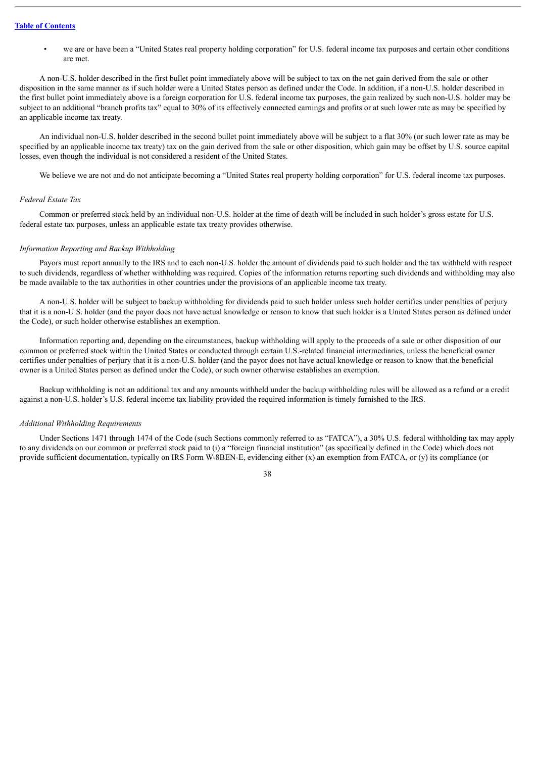• we are or have been a "United States real property holding corporation" for U.S. federal income tax purposes and certain other conditions are met.

A non-U.S. holder described in the first bullet point immediately above will be subject to tax on the net gain derived from the sale or other disposition in the same manner as if such holder were a United States person as defined under the Code. In addition, if a non-U.S. holder described in the first bullet point immediately above is a foreign corporation for U.S. federal income tax purposes, the gain realized by such non-U.S. holder may be subject to an additional "branch profits tax" equal to 30% of its effectively connected earnings and profits or at such lower rate as may be specified by an applicable income tax treaty.

An individual non-U.S. holder described in the second bullet point immediately above will be subject to a flat 30% (or such lower rate as may be specified by an applicable income tax treaty) tax on the gain derived from the sale or other disposition, which gain may be offset by U.S. source capital losses, even though the individual is not considered a resident of the United States.

We believe we are not and do not anticipate becoming a "United States real property holding corporation" for U.S. federal income tax purposes.

#### *Federal Estate Tax*

Common or preferred stock held by an individual non-U.S. holder at the time of death will be included in such holder's gross estate for U.S. federal estate tax purposes, unless an applicable estate tax treaty provides otherwise.

# *Information Reporting and Backup Withholding*

Payors must report annually to the IRS and to each non-U.S. holder the amount of dividends paid to such holder and the tax withheld with respect to such dividends, regardless of whether withholding was required. Copies of the information returns reporting such dividends and withholding may also be made available to the tax authorities in other countries under the provisions of an applicable income tax treaty.

A non-U.S. holder will be subject to backup withholding for dividends paid to such holder unless such holder certifies under penalties of perjury that it is a non-U.S. holder (and the payor does not have actual knowledge or reason to know that such holder is a United States person as defined under the Code), or such holder otherwise establishes an exemption.

Information reporting and, depending on the circumstances, backup withholding will apply to the proceeds of a sale or other disposition of our common or preferred stock within the United States or conducted through certain U.S.-related financial intermediaries, unless the beneficial owner certifies under penalties of perjury that it is a non-U.S. holder (and the payor does not have actual knowledge or reason to know that the beneficial owner is a United States person as defined under the Code), or such owner otherwise establishes an exemption.

Backup withholding is not an additional tax and any amounts withheld under the backup withholding rules will be allowed as a refund or a credit against a non-U.S. holder's U.S. federal income tax liability provided the required information is timely furnished to the IRS.

#### *Additional Withholding Requirements*

Under Sections 1471 through 1474 of the Code (such Sections commonly referred to as "FATCA"), a 30% U.S. federal withholding tax may apply to any dividends on our common or preferred stock paid to (i) a "foreign financial institution" (as specifically defined in the Code) which does not provide sufficient documentation, typically on IRS Form W-8BEN-E, evidencing either (x) an exemption from FATCA, or (y) its compliance (or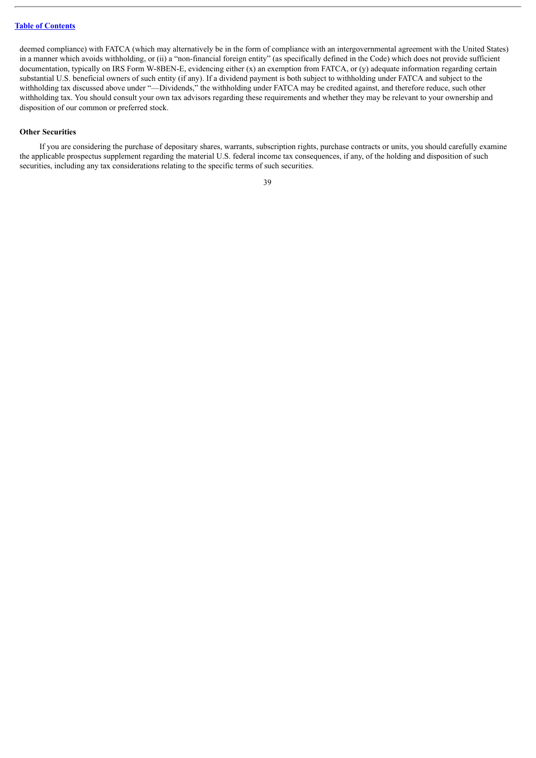deemed compliance) with FATCA (which may alternatively be in the form of compliance with an intergovernmental agreement with the United States) in a manner which avoids withholding, or (ii) a "non-financial foreign entity" (as specifically defined in the Code) which does not provide sufficient documentation, typically on IRS Form W-8BEN-E, evidencing either (x) an exemption from FATCA, or (y) adequate information regarding certain substantial U.S. beneficial owners of such entity (if any). If a dividend payment is both subject to withholding under FATCA and subject to the withholding tax discussed above under "—Dividends," the withholding under FATCA may be credited against, and therefore reduce, such other withholding tax. You should consult your own tax advisors regarding these requirements and whether they may be relevant to your ownership and disposition of our common or preferred stock.

#### **Other Securities**

If you are considering the purchase of depositary shares, warrants, subscription rights, purchase contracts or units, you should carefully examine the applicable prospectus supplement regarding the material U.S. federal income tax consequences, if any, of the holding and disposition of such securities, including any tax considerations relating to the specific terms of such securities.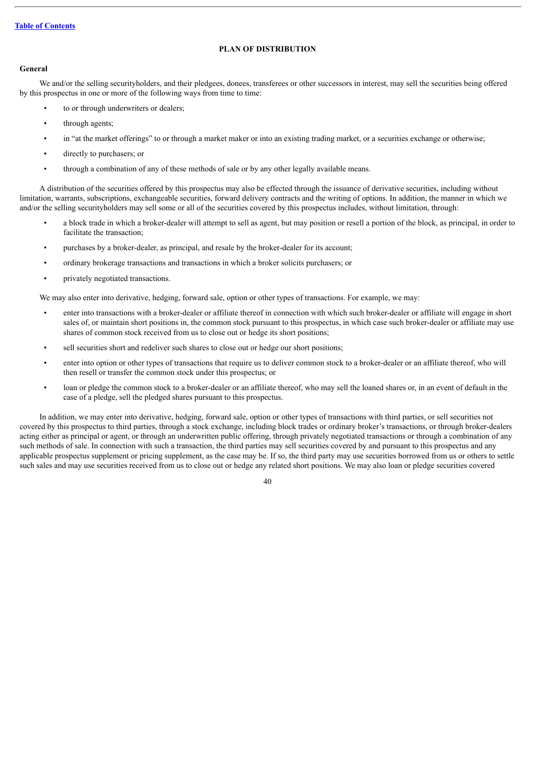# **PLAN OF DISTRIBUTION**

## <span id="page-59-0"></span>**General**

We and/or the selling securityholders, and their pledgees, donees, transferees or other successors in interest, may sell the securities being offered by this prospectus in one or more of the following ways from time to time:

- to or through underwriters or dealers;
- through agents;
- in "at the market offerings" to or through a market maker or into an existing trading market, or a securities exchange or otherwise;
- directly to purchasers; or
- through a combination of any of these methods of sale or by any other legally available means.

A distribution of the securities offered by this prospectus may also be effected through the issuance of derivative securities, including without limitation, warrants, subscriptions, exchangeable securities, forward delivery contracts and the writing of options. In addition, the manner in which we and/or the selling securityholders may sell some or all of the securities covered by this prospectus includes, without limitation, through:

- a block trade in which a broker-dealer will attempt to sell as agent, but may position or resell a portion of the block, as principal, in order to facilitate the transaction;
- purchases by a broker-dealer, as principal, and resale by the broker-dealer for its account;
- ordinary brokerage transactions and transactions in which a broker solicits purchasers; or
- privately negotiated transactions.

We may also enter into derivative, hedging, forward sale, option or other types of transactions. For example, we may:

- enter into transactions with a broker-dealer or affiliate thereof in connection with which such broker-dealer or affiliate will engage in short sales of, or maintain short positions in, the common stock pursuant to this prospectus, in which case such broker-dealer or affiliate may use shares of common stock received from us to close out or hedge its short positions;
- sell securities short and redeliver such shares to close out or hedge our short positions;
- enter into option or other types of transactions that require us to deliver common stock to a broker-dealer or an affiliate thereof, who will then resell or transfer the common stock under this prospectus; or
- loan or pledge the common stock to a broker-dealer or an affiliate thereof, who may sell the loaned shares or, in an event of default in the case of a pledge, sell the pledged shares pursuant to this prospectus.

In addition, we may enter into derivative, hedging, forward sale, option or other types of transactions with third parties, or sell securities not covered by this prospectus to third parties, through a stock exchange, including block trades or ordinary broker's transactions, or through broker-dealers acting either as principal or agent, or through an underwritten public offering, through privately negotiated transactions or through a combination of any such methods of sale. In connection with such a transaction, the third parties may sell securities covered by and pursuant to this prospectus and any applicable prospectus supplement or pricing supplement, as the case may be. If so, the third party may use securities borrowed from us or others to settle such sales and may use securities received from us to close out or hedge any related short positions. We may also loan or pledge securities covered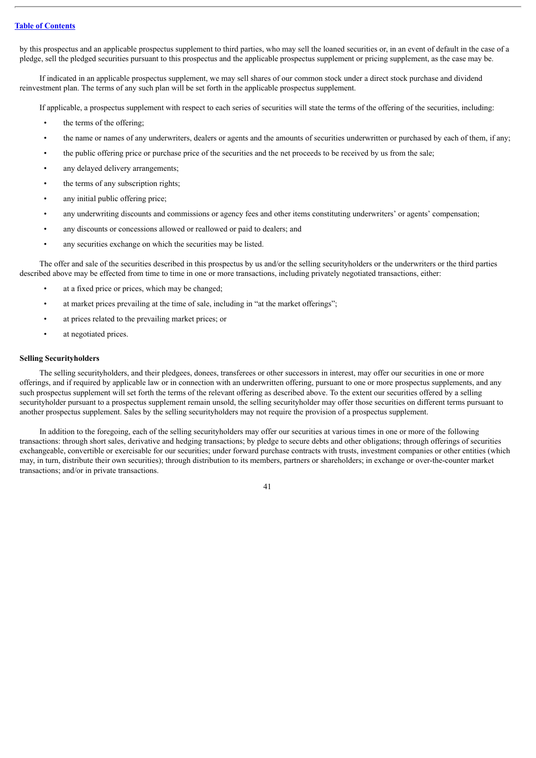by this prospectus and an applicable prospectus supplement to third parties, who may sell the loaned securities or, in an event of default in the case of a pledge, sell the pledged securities pursuant to this prospectus and the applicable prospectus supplement or pricing supplement, as the case may be.

If indicated in an applicable prospectus supplement, we may sell shares of our common stock under a direct stock purchase and dividend reinvestment plan. The terms of any such plan will be set forth in the applicable prospectus supplement.

If applicable, a prospectus supplement with respect to each series of securities will state the terms of the offering of the securities, including:

- the terms of the offering;
- the name or names of any underwriters, dealers or agents and the amounts of securities underwritten or purchased by each of them, if any;
- the public offering price or purchase price of the securities and the net proceeds to be received by us from the sale;
- any delayed delivery arrangements;
- the terms of any subscription rights;
- any initial public offering price;
- any underwriting discounts and commissions or agency fees and other items constituting underwriters' or agents' compensation;
- any discounts or concessions allowed or reallowed or paid to dealers; and
- any securities exchange on which the securities may be listed.

The offer and sale of the securities described in this prospectus by us and/or the selling securityholders or the underwriters or the third parties described above may be effected from time to time in one or more transactions, including privately negotiated transactions, either:

- at a fixed price or prices, which may be changed;
- at market prices prevailing at the time of sale, including in "at the market offerings";
- at prices related to the prevailing market prices; or
- at negotiated prices.

#### **Selling Securityholders**

The selling securityholders, and their pledgees, donees, transferees or other successors in interest, may offer our securities in one or more offerings, and if required by applicable law or in connection with an underwritten offering, pursuant to one or more prospectus supplements, and any such prospectus supplement will set forth the terms of the relevant offering as described above. To the extent our securities offered by a selling securityholder pursuant to a prospectus supplement remain unsold, the selling securityholder may offer those securities on different terms pursuant to another prospectus supplement. Sales by the selling securityholders may not require the provision of a prospectus supplement.

In addition to the foregoing, each of the selling securityholders may offer our securities at various times in one or more of the following transactions: through short sales, derivative and hedging transactions; by pledge to secure debts and other obligations; through offerings of securities exchangeable, convertible or exercisable for our securities; under forward purchase contracts with trusts, investment companies or other entities (which may, in turn, distribute their own securities); through distribution to its members, partners or shareholders; in exchange or over-the-counter market transactions; and/or in private transactions.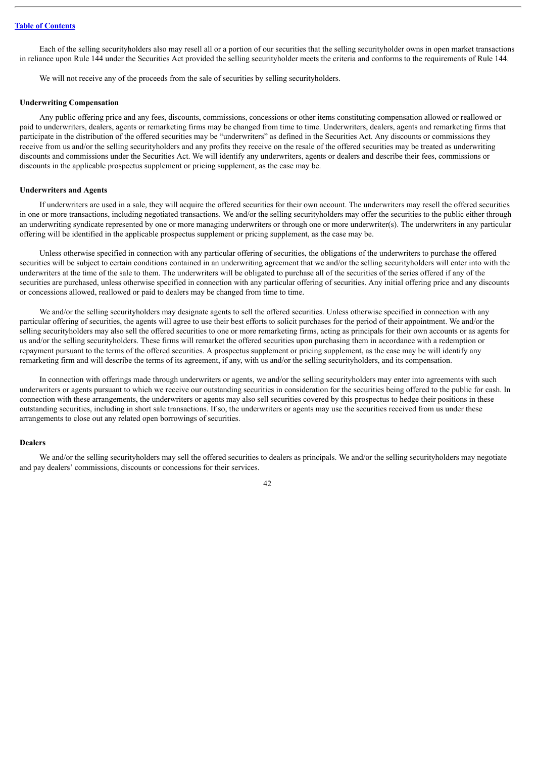Each of the selling securityholders also may resell all or a portion of our securities that the selling securityholder owns in open market transactions in reliance upon Rule 144 under the Securities Act provided the selling securityholder meets the criteria and conforms to the requirements of Rule 144.

We will not receive any of the proceeds from the sale of securities by selling securityholders.

#### **Underwriting Compensation**

Any public offering price and any fees, discounts, commissions, concessions or other items constituting compensation allowed or reallowed or paid to underwriters, dealers, agents or remarketing firms may be changed from time to time. Underwriters, dealers, agents and remarketing firms that participate in the distribution of the offered securities may be "underwriters" as defined in the Securities Act. Any discounts or commissions they receive from us and/or the selling securityholders and any profits they receive on the resale of the offered securities may be treated as underwriting discounts and commissions under the Securities Act. We will identify any underwriters, agents or dealers and describe their fees, commissions or discounts in the applicable prospectus supplement or pricing supplement, as the case may be.

#### **Underwriters and Agents**

If underwriters are used in a sale, they will acquire the offered securities for their own account. The underwriters may resell the offered securities in one or more transactions, including negotiated transactions. We and/or the selling securityholders may offer the securities to the public either through an underwriting syndicate represented by one or more managing underwriters or through one or more underwriter(s). The underwriters in any particular offering will be identified in the applicable prospectus supplement or pricing supplement, as the case may be.

Unless otherwise specified in connection with any particular offering of securities, the obligations of the underwriters to purchase the offered securities will be subject to certain conditions contained in an underwriting agreement that we and/or the selling securityholders will enter into with the underwriters at the time of the sale to them. The underwriters will be obligated to purchase all of the securities of the series offered if any of the securities are purchased, unless otherwise specified in connection with any particular offering of securities. Any initial offering price and any discounts or concessions allowed, reallowed or paid to dealers may be changed from time to time.

We and/or the selling securityholders may designate agents to sell the offered securities. Unless otherwise specified in connection with any particular offering of securities, the agents will agree to use their best efforts to solicit purchases for the period of their appointment. We and/or the selling securityholders may also sell the offered securities to one or more remarketing firms, acting as principals for their own accounts or as agents for us and/or the selling securityholders. These firms will remarket the offered securities upon purchasing them in accordance with a redemption or repayment pursuant to the terms of the offered securities. A prospectus supplement or pricing supplement, as the case may be will identify any remarketing firm and will describe the terms of its agreement, if any, with us and/or the selling securityholders, and its compensation.

In connection with offerings made through underwriters or agents, we and/or the selling securityholders may enter into agreements with such underwriters or agents pursuant to which we receive our outstanding securities in consideration for the securities being offered to the public for cash. In connection with these arrangements, the underwriters or agents may also sell securities covered by this prospectus to hedge their positions in these outstanding securities, including in short sale transactions. If so, the underwriters or agents may use the securities received from us under these arrangements to close out any related open borrowings of securities.

#### **Dealers**

We and/or the selling securityholders may sell the offered securities to dealers as principals. We and/or the selling securityholders may negotiate and pay dealers' commissions, discounts or concessions for their services.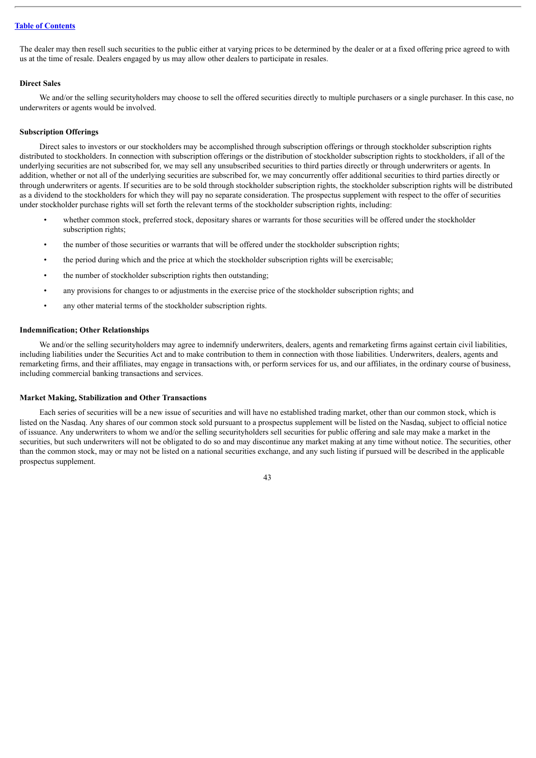The dealer may then resell such securities to the public either at varying prices to be determined by the dealer or at a fixed offering price agreed to with us at the time of resale. Dealers engaged by us may allow other dealers to participate in resales.

#### **Direct Sales**

We and/or the selling securityholders may choose to sell the offered securities directly to multiple purchasers or a single purchaser. In this case, no underwriters or agents would be involved.

### **Subscription Offerings**

Direct sales to investors or our stockholders may be accomplished through subscription offerings or through stockholder subscription rights distributed to stockholders. In connection with subscription offerings or the distribution of stockholder subscription rights to stockholders, if all of the underlying securities are not subscribed for, we may sell any unsubscribed securities to third parties directly or through underwriters or agents. In addition, whether or not all of the underlying securities are subscribed for, we may concurrently offer additional securities to third parties directly or through underwriters or agents. If securities are to be sold through stockholder subscription rights, the stockholder subscription rights will be distributed as a dividend to the stockholders for which they will pay no separate consideration. The prospectus supplement with respect to the offer of securities under stockholder purchase rights will set forth the relevant terms of the stockholder subscription rights, including:

- whether common stock, preferred stock, depositary shares or warrants for those securities will be offered under the stockholder subscription rights:
- the number of those securities or warrants that will be offered under the stockholder subscription rights;
- the period during which and the price at which the stockholder subscription rights will be exercisable;
- the number of stockholder subscription rights then outstanding;
- any provisions for changes to or adjustments in the exercise price of the stockholder subscription rights; and
- any other material terms of the stockholder subscription rights.

#### **Indemnification; Other Relationships**

We and/or the selling securityholders may agree to indemnify underwriters, dealers, agents and remarketing firms against certain civil liabilities. including liabilities under the Securities Act and to make contribution to them in connection with those liabilities. Underwriters, dealers, agents and remarketing firms, and their affiliates, may engage in transactions with, or perform services for us, and our affiliates, in the ordinary course of business, including commercial banking transactions and services.

#### **Market Making, Stabilization and Other Transactions**

Each series of securities will be a new issue of securities and will have no established trading market, other than our common stock, which is listed on the Nasdaq. Any shares of our common stock sold pursuant to a prospectus supplement will be listed on the Nasdaq, subject to official notice of issuance. Any underwriters to whom we and/or the selling securityholders sell securities for public offering and sale may make a market in the securities, but such underwriters will not be obligated to do so and may discontinue any market making at any time without notice. The securities, other than the common stock, may or may not be listed on a national securities exchange, and any such listing if pursued will be described in the applicable prospectus supplement.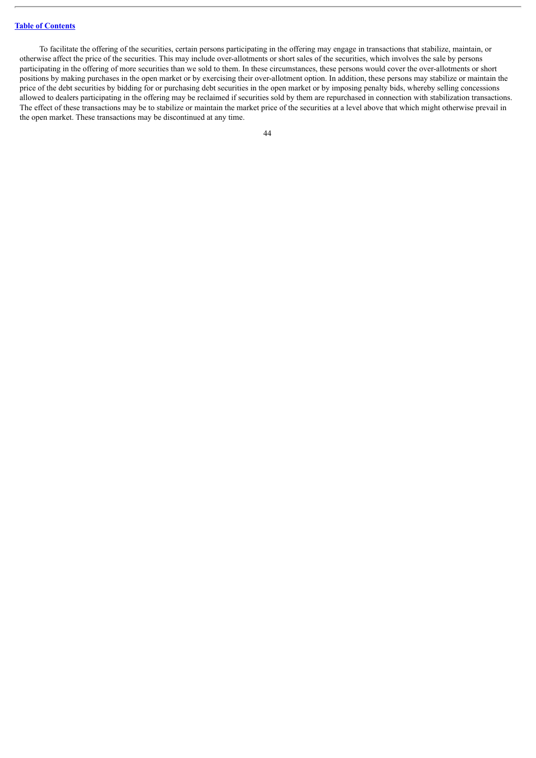To facilitate the offering of the securities, certain persons participating in the offering may engage in transactions that stabilize, maintain, or otherwise affect the price of the securities. This may include over-allotments or short sales of the securities, which involves the sale by persons participating in the offering of more securities than we sold to them. In these circumstances, these persons would cover the over-allotments or short positions by making purchases in the open market or by exercising their over-allotment option. In addition, these persons may stabilize or maintain the price of the debt securities by bidding for or purchasing debt securities in the open market or by imposing penalty bids, whereby selling concessions allowed to dealers participating in the offering may be reclaimed if securities sold by them are repurchased in connection with stabilization transactions. The effect of these transactions may be to stabilize or maintain the market price of the securities at a level above that which might otherwise prevail in the open market. These transactions may be discontinued at any time.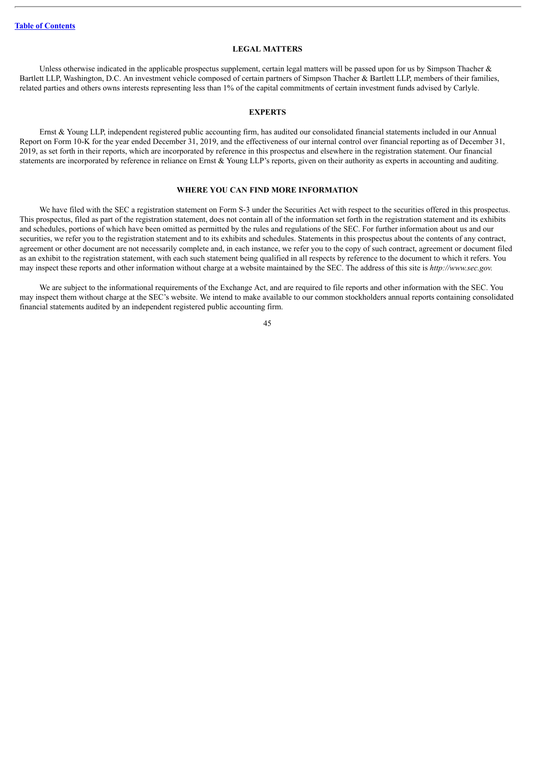#### **LEGAL MATTERS**

<span id="page-64-0"></span>Unless otherwise indicated in the applicable prospectus supplement, certain legal matters will be passed upon for us by Simpson Thacher & Bartlett LLP, Washington, D.C. An investment vehicle composed of certain partners of Simpson Thacher & Bartlett LLP, members of their families, related parties and others owns interests representing less than 1% of the capital commitments of certain investment funds advised by Carlyle.

# **EXPERTS**

<span id="page-64-1"></span>Ernst & Young LLP, independent registered public accounting firm, has audited our consolidated financial statements included in our Annual Report on Form 10-K for the year ended December 31, 2019, and the effectiveness of our internal control over financial reporting as of December 31, 2019, as set forth in their reports, which are incorporated by reference in this prospectus and elsewhere in the registration statement. Our financial statements are incorporated by reference in reliance on Ernst & Young LLP's reports, given on their authority as experts in accounting and auditing.

# **WHERE YOU CAN FIND MORE INFORMATION**

<span id="page-64-2"></span>We have filed with the SEC a registration statement on Form S-3 under the Securities Act with respect to the securities offered in this prospectus. This prospectus, filed as part of the registration statement, does not contain all of the information set forth in the registration statement and its exhibits and schedules, portions of which have been omitted as permitted by the rules and regulations of the SEC. For further information about us and our securities, we refer you to the registration statement and to its exhibits and schedules. Statements in this prospectus about the contents of any contract, agreement or other document are not necessarily complete and, in each instance, we refer you to the copy of such contract, agreement or document filed as an exhibit to the registration statement, with each such statement being qualified in all respects by reference to the document to which it refers. You may inspect these reports and other information without charge at a website maintained by the SEC. The address of this site is *http://www.sec.gov.*

We are subject to the informational requirements of the Exchange Act, and are required to file reports and other information with the SEC. You may inspect them without charge at the SEC's website. We intend to make available to our common stockholders annual reports containing consolidated financial statements audited by an independent registered public accounting firm.